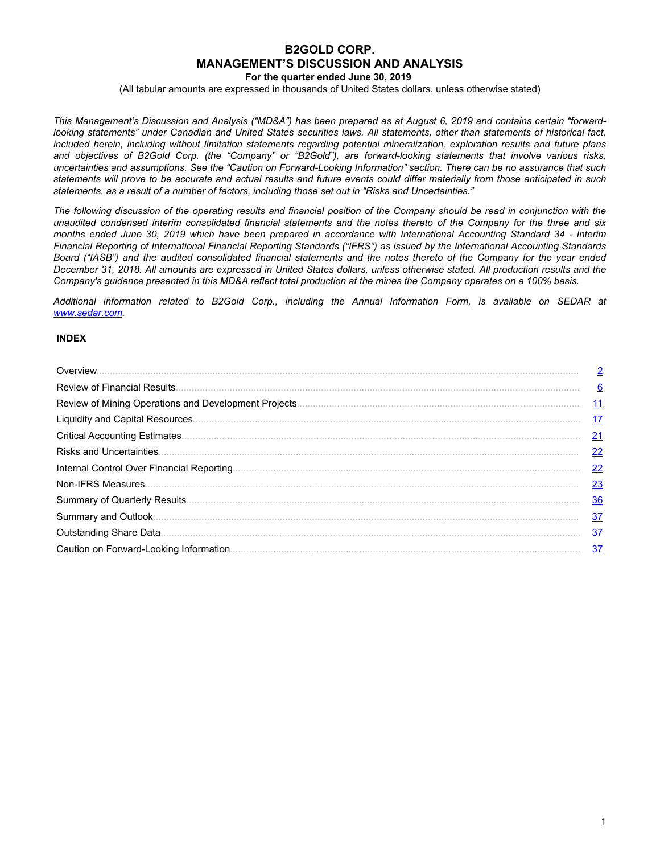# **B2GOLD CORP. MANAGEMENT'S DISCUSSION AND ANALYSIS**

**For the quarter ended June 30, 2019**

(All tabular amounts are expressed in thousands of United States dollars, unless otherwise stated)

This Management's Discussion and Analysis ("MD&A") has been prepared as at August 6, 2019 and contains certain "forwardlooking statements" under Canadian and United States securities laws. All statements, other than statements of historical fact, included herein, including without limitation statements regarding potential mineralization, exploration results and future plans and objectives of B2Gold Corp. (the "Company" or "B2Gold"), are forward-looking statements that involve various risks, uncertainties and assumptions. See the "Caution on Forward-Looking Information" section. There can be no assurance that such statements will prove to be accurate and actual results and future events could differ materially from those anticipated in such *statements, as a result of a number of factors, including those set out in "Risks and Uncertainties."*

The following discussion of the operating results and financial position of the Company should be read in conjunction with the unaudited condensed interim consolidated financial statements and the notes thereto of the Company for the three and six months ended June 30, 2019 which have been prepared in accordance with International Accounting Standard 34 - Interim Financial Reporting of International Financial Reporting Standards ("IFRS") as issued by the International Accounting Standards Board ("IASB") and the audited consolidated financial statements and the notes thereto of the Company for the year ended December 31, 2018. All amounts are expressed in United States dollars, unless otherwise stated. All production results and the Company's guidance presented in this MD&A reflect total production at the mines the Company operates on a 100% basis.

*Additional information related to B2Gold Corp., including the Annual Information Form, is available on SEDAR at www.sedar.com.*

### **INDEX**

| $\overline{2}$  |
|-----------------|
| 6               |
| $\overline{11}$ |
| <u>17</u>       |
| 21              |
| 22              |
| 22              |
| 23              |
| 36              |
| 37              |
| <u>37</u>       |
| 37              |
|                 |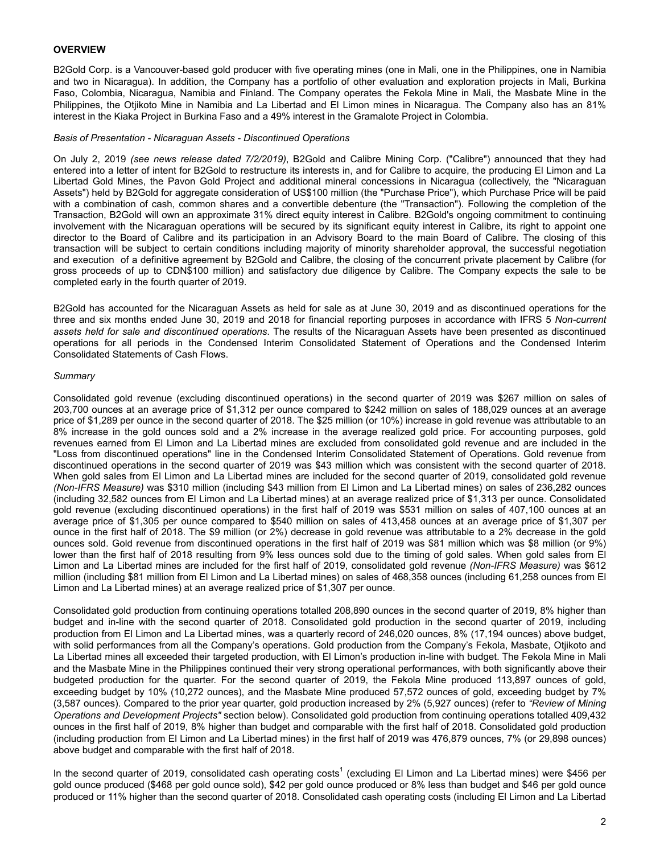## <span id="page-1-0"></span>**OVERVIEW**

B2Gold Corp. is a Vancouver-based gold producer with five operating mines (one in Mali, one in the Philippines, one in Namibia and two in Nicaragua). In addition, the Company has a portfolio of other evaluation and exploration projects in Mali, Burkina Faso, Colombia, Nicaragua, Namibia and Finland. The Company operates the Fekola Mine in Mali, the Masbate Mine in the Philippines, the Otjikoto Mine in Namibia and La Libertad and El Limon mines in Nicaragua. The Company also has an 81% interest in the Kiaka Project in Burkina Faso and a 49% interest in the Gramalote Project in Colombia.

### *Basis of Presentation - Nicaraguan Assets - Discontinued Operations*

On July 2, 2019 *(see news release dated 7/2/2019)*, B2Gold and Calibre Mining Corp. ("Calibre") announced that they had entered into a letter of intent for B2Gold to restructure its interests in, and for Calibre to acquire, the producing El Limon and La Libertad Gold Mines, the Pavon Gold Project and additional mineral concessions in Nicaragua (collectively, the "Nicaraguan Assets") held by B2Gold for aggregate consideration of US\$100 million (the "Purchase Price"), which Purchase Price will be paid with a combination of cash, common shares and a convertible debenture (the "Transaction"). Following the completion of the Transaction, B2Gold will own an approximate 31% direct equity interest in Calibre. B2Gold's ongoing commitment to continuing involvement with the Nicaraguan operations will be secured by its significant equity interest in Calibre, its right to appoint one director to the Board of Calibre and its participation in an Advisory Board to the main Board of Calibre. The closing of this transaction will be subject to certain conditions including majority of minority shareholder approval, the successful negotiation and execution of a definitive agreement by B2Gold and Calibre, the closing of the concurrent private placement by Calibre (for gross proceeds of up to CDN\$100 million) and satisfactory due diligence by Calibre. The Company expects the sale to be completed early in the fourth quarter of 2019.

B2Gold has accounted for the Nicaraguan Assets as held for sale as at June 30, 2019 and as discontinued operations for the three and six months ended June 30, 2019 and 2018 for financial reporting purposes in accordance with IFRS 5 *Non-current assets held for sale and discontinued operations*. The results of the Nicaraguan Assets have been presented as discontinued operations for all periods in the Condensed Interim Consolidated Statement of Operations and the Condensed Interim Consolidated Statements of Cash Flows.

### *Summary*

Consolidated gold revenue (excluding discontinued operations) in the second quarter of 2019 was \$267 million on sales of 203,700 ounces at an average price of \$1,312 per ounce compared to \$242 million on sales of 188,029 ounces at an average price of \$1,289 per ounce in the second quarter of 2018. The \$25 million (or 10%) increase in gold revenue was attributable to an 8% increase in the gold ounces sold and a 2% increase in the average realized gold price. For accounting purposes, gold revenues earned from El Limon and La Libertad mines are excluded from consolidated gold revenue and are included in the "Loss from discontinued operations" line in the Condensed Interim Consolidated Statement of Operations. Gold revenue from discontinued operations in the second quarter of 2019 was \$43 million which was consistent with the second quarter of 2018. When gold sales from El Limon and La Libertad mines are included for the second quarter of 2019, consolidated gold revenue *(Non-IFRS Measure)* was \$310 million (including \$43 million from El Limon and La Libertad mines) on sales of 236,282 ounces (including 32,582 ounces from El Limon and La Libertad mines) at an average realized price of \$1,313 per ounce. Consolidated gold revenue (excluding discontinued operations) in the first half of 2019 was \$531 million on sales of 407,100 ounces at an average price of \$1,305 per ounce compared to \$540 million on sales of 413,458 ounces at an average price of \$1,307 per ounce in the first half of 2018. The \$9 million (or 2%) decrease in gold revenue was attributable to a 2% decrease in the gold ounces sold. Gold revenue from discontinued operations in the first half of 2019 was \$81 million which was \$8 million (or 9%) lower than the first half of 2018 resulting from 9% less ounces sold due to the timing of gold sales. When gold sales from El Limon and La Libertad mines are included for the first half of 2019, consolidated gold revenue *(Non-IFRS Measure)* was \$612 million (including \$81 million from El Limon and La Libertad mines) on sales of 468,358 ounces (including 61,258 ounces from El Limon and La Libertad mines) at an average realized price of \$1,307 per ounce.

Consolidated gold production from continuing operations totalled 208,890 ounces in the second quarter of 2019, 8% higher than budget and in-line with the second quarter of 2018. Consolidated gold production in the second quarter of 2019, including production from El Limon and La Libertad mines, was a quarterly record of 246,020 ounces, 8% (17,194 ounces) above budget, with solid performances from all the Company's operations. Gold production from the Company's Fekola, Masbate, Otjikoto and La Libertad mines all exceeded their targeted production, with El Limon's production in-line with budget. The Fekola Mine in Mali and the Masbate Mine in the Philippines continued their very strong operational performances, with both significantly above their budgeted production for the quarter. For the second quarter of 2019, the Fekola Mine produced 113,897 ounces of gold, exceeding budget by 10% (10,272 ounces), and the Masbate Mine produced 57,572 ounces of gold, exceeding budget by 7% (3,587 ounces). Compared to the prior year quarter, gold production increased by 2% (5,927 ounces) (refer to *"Review of Mining Operations and Development Projects"* section below). Consolidated gold production from continuing operations totalled 409,432 ounces in the first half of 2019, 8% higher than budget and comparable with the first half of 2018. Consolidated gold production (including production from El Limon and La Libertad mines) in the first half of 2019 was 476,879 ounces, 7% (or 29,898 ounces) above budget and comparable with the first half of 2018.

In the second quarter of 2019, consolidated cash operating costs<sup>1</sup> (excluding El Limon and La Libertad mines) were \$456 per gold ounce produced (\$468 per gold ounce sold), \$42 per gold ounce produced or 8% less than budget and \$46 per gold ounce produced or 11% higher than the second quarter of 2018. Consolidated cash operating costs (including El Limon and La Libertad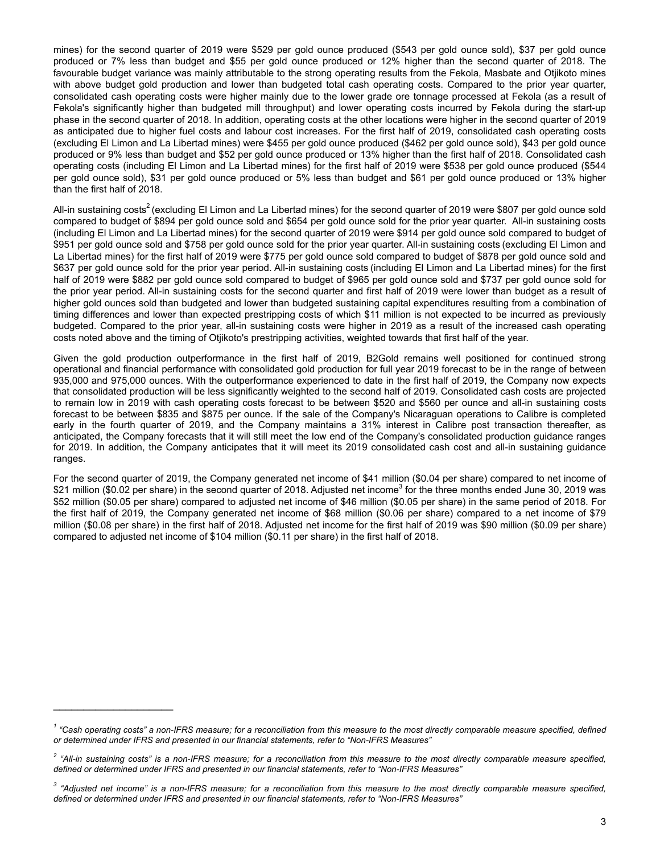mines) for the second quarter of 2019 were \$529 per gold ounce produced (\$543 per gold ounce sold), \$37 per gold ounce produced or 7% less than budget and \$55 per gold ounce produced or 12% higher than the second quarter of 2018. The favourable budget variance was mainly attributable to the strong operating results from the Fekola, Masbate and Otjikoto mines with above budget gold production and lower than budgeted total cash operating costs. Compared to the prior year quarter, consolidated cash operating costs were higher mainly due to the lower grade ore tonnage processed at Fekola (as a result of Fekola's significantly higher than budgeted mill throughput) and lower operating costs incurred by Fekola during the start-up phase in the second quarter of 2018. In addition, operating costs at the other locations were higher in the second quarter of 2019 as anticipated due to higher fuel costs and labour cost increases. For the first half of 2019, consolidated cash operating costs (excluding El Limon and La Libertad mines) were \$455 per gold ounce produced (\$462 per gold ounce sold), \$43 per gold ounce produced or 9% less than budget and \$52 per gold ounce produced or 13% higher than the first half of 2018. Consolidated cash operating costs (including El Limon and La Libertad mines) for the first half of 2019 were \$538 per gold ounce produced (\$544 per gold ounce sold), \$31 per gold ounce produced or 5% less than budget and \$61 per gold ounce produced or 13% higher than the first half of 2018.

All-in sustaining costs<sup>2</sup> (excluding El Limon and La Libertad mines) for the second quarter of 2019 were \$807 per gold ounce sold compared to budget of \$894 per gold ounce sold and \$654 per gold ounce sold for the prior year quarter. All-in sustaining costs (including El Limon and La Libertad mines) for the second quarter of 2019 were \$914 per gold ounce sold compared to budget of \$951 per gold ounce sold and \$758 per gold ounce sold for the prior year quarter. All-in sustaining costs (excluding El Limon and La Libertad mines) for the first half of 2019 were \$775 per gold ounce sold compared to budget of \$878 per gold ounce sold and \$637 per gold ounce sold for the prior year period. All-in sustaining costs (including El Limon and La Libertad mines) for the first half of 2019 were \$882 per gold ounce sold compared to budget of \$965 per gold ounce sold and \$737 per gold ounce sold for the prior year period. All-in sustaining costs for the second quarter and first half of 2019 were lower than budget as a result of higher gold ounces sold than budgeted and lower than budgeted sustaining capital expenditures resulting from a combination of timing differences and lower than expected prestripping costs of which \$11 million is not expected to be incurred as previously budgeted. Compared to the prior year, all-in sustaining costs were higher in 2019 as a result of the increased cash operating costs noted above and the timing of Otjikoto's prestripping activities, weighted towards that first half of the year.

Given the gold production outperformance in the first half of 2019, B2Gold remains well positioned for continued strong operational and financial performance with consolidated gold production for full year 2019 forecast to be in the range of between 935,000 and 975,000 ounces. With the outperformance experienced to date in the first half of 2019, the Company now expects that consolidated production will be less significantly weighted to the second half of 2019. Consolidated cash costs are projected to remain low in 2019 with cash operating costs forecast to be between \$520 and \$560 per ounce and all-in sustaining costs forecast to be between \$835 and \$875 per ounce. If the sale of the Company's Nicaraguan operations to Calibre is completed early in the fourth quarter of 2019, and the Company maintains a 31% interest in Calibre post transaction thereafter, as anticipated, the Company forecasts that it will still meet the low end of the Company's consolidated production guidance ranges for 2019. In addition, the Company anticipates that it will meet its 2019 consolidated cash cost and all-in sustaining guidance ranges.

For the second quarter of 2019, the Company generated net income of \$41 million (\$0.04 per share) compared to net income of \$21 million (\$0.02 per share) in the second quarter of 2018. Adjusted net income<sup>3</sup> for the three months ended June 30, 2019 was \$52 million (\$0.05 per share) compared to adjusted net income of \$46 million (\$0.05 per share) in the same period of 2018. For the first half of 2019, the Company generated net income of \$68 million (\$0.06 per share) compared to a net income of \$79 million (\$0.08 per share) in the first half of 2018. Adjusted net income for the first half of 2019 was \$90 million (\$0.09 per share) compared to adjusted net income of \$104 million (\$0.11 per share) in the first half of 2018.

 $\mathcal{L}_\text{max}$  , where  $\mathcal{L}_\text{max}$  , we have the set of  $\mathcal{L}_\text{max}$ 

<sup>&</sup>lt;sup>1</sup> "Cash operating costs" a non-IFRS measure; for a reconciliation from this measure to the most directly comparable measure specified, defined *or determined under IFRS and presented in our financial statements, refer to "Non-IFRS Measures"*

<sup>&</sup>lt;sup>2</sup> "All-in sustaining costs" is a non-IFRS measure; for a reconciliation from this measure to the most directly comparable measure specified, *defined or determined under IFRS and presented in our financial statements, refer to "Non-IFRS Measures"*

<sup>&</sup>lt;sup>3</sup> "Adjusted net income" is a non-IFRS measure; for a reconciliation from this measure to the most directly comparable measure specified, *defined or determined under IFRS and presented in our financial statements, refer to "Non-IFRS Measures"*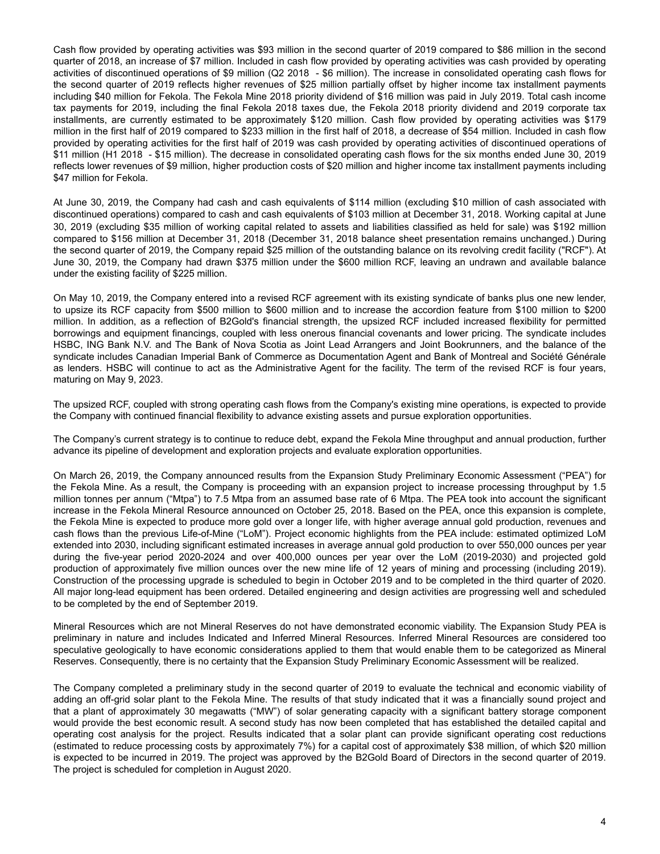Cash flow provided by operating activities was \$93 million in the second quarter of 2019 compared to \$86 million in the second quarter of 2018, an increase of \$7 million. Included in cash flow provided by operating activities was cash provided by operating activities of discontinued operations of \$9 million (Q2 2018 - \$6 million). The increase in consolidated operating cash flows for the second quarter of 2019 reflects higher revenues of \$25 million partially offset by higher income tax installment payments including \$40 million for Fekola. The Fekola Mine 2018 priority dividend of \$16 million was paid in July 2019. Total cash income tax payments for 2019, including the final Fekola 2018 taxes due, the Fekola 2018 priority dividend and 2019 corporate tax installments, are currently estimated to be approximately \$120 million. Cash flow provided by operating activities was \$179 million in the first half of 2019 compared to \$233 million in the first half of 2018, a decrease of \$54 million. Included in cash flow provided by operating activities for the first half of 2019 was cash provided by operating activities of discontinued operations of \$11 million (H1 2018 - \$15 million). The decrease in consolidated operating cash flows for the six months ended June 30, 2019 reflects lower revenues of \$9 million, higher production costs of \$20 million and higher income tax installment payments including \$47 million for Fekola.

At June 30, 2019, the Company had cash and cash equivalents of \$114 million (excluding \$10 million of cash associated with discontinued operations) compared to cash and cash equivalents of \$103 million at December 31, 2018. Working capital at June 30, 2019 (excluding \$35 million of working capital related to assets and liabilities classified as held for sale) was \$192 million compared to \$156 million at December 31, 2018 (December 31, 2018 balance sheet presentation remains unchanged.) During the second quarter of 2019, the Company repaid \$25 million of the outstanding balance on its revolving credit facility ("RCF"). At June 30, 2019, the Company had drawn \$375 million under the \$600 million RCF, leaving an undrawn and available balance under the existing facility of \$225 million.

On May 10, 2019, the Company entered into a revised RCF agreement with its existing syndicate of banks plus one new lender, to upsize its RCF capacity from \$500 million to \$600 million and to increase the accordion feature from \$100 million to \$200 million. In addition, as a reflection of B2Gold's financial strength, the upsized RCF included increased flexibility for permitted borrowings and equipment financings, coupled with less onerous financial covenants and lower pricing. The syndicate includes HSBC, ING Bank N.V. and The Bank of Nova Scotia as Joint Lead Arrangers and Joint Bookrunners, and the balance of the syndicate includes Canadian Imperial Bank of Commerce as Documentation Agent and Bank of Montreal and Société Générale as lenders. HSBC will continue to act as the Administrative Agent for the facility. The term of the revised RCF is four years, maturing on May 9, 2023.

The upsized RCF, coupled with strong operating cash flows from the Company's existing mine operations, is expected to provide the Company with continued financial flexibility to advance existing assets and pursue exploration opportunities.

The Company's current strategy is to continue to reduce debt, expand the Fekola Mine throughput and annual production, further advance its pipeline of development and exploration projects and evaluate exploration opportunities.

On March 26, 2019, the Company announced results from the Expansion Study Preliminary Economic Assessment ("PEA") for the Fekola Mine. As a result, the Company is proceeding with an expansion project to increase processing throughput by 1.5 million tonnes per annum ("Mtpa") to 7.5 Mtpa from an assumed base rate of 6 Mtpa. The PEA took into account the significant increase in the Fekola Mineral Resource announced on October 25, 2018. Based on the PEA, once this expansion is complete, the Fekola Mine is expected to produce more gold over a longer life, with higher average annual gold production, revenues and cash flows than the previous Life-of-Mine ("LoM"). Project economic highlights from the PEA include: estimated optimized LoM extended into 2030, including significant estimated increases in average annual gold production to over 550,000 ounces per year during the five-year period 2020-2024 and over 400,000 ounces per year over the LoM (2019-2030) and projected gold production of approximately five million ounces over the new mine life of 12 years of mining and processing (including 2019). Construction of the processing upgrade is scheduled to begin in October 2019 and to be completed in the third quarter of 2020. All major long-lead equipment has been ordered. Detailed engineering and design activities are progressing well and scheduled to be completed by the end of September 2019.

Mineral Resources which are not Mineral Reserves do not have demonstrated economic viability. The Expansion Study PEA is preliminary in nature and includes Indicated and Inferred Mineral Resources. Inferred Mineral Resources are considered too speculative geologically to have economic considerations applied to them that would enable them to be categorized as Mineral Reserves. Consequently, there is no certainty that the Expansion Study Preliminary Economic Assessment will be realized.

The Company completed a preliminary study in the second quarter of 2019 to evaluate the technical and economic viability of adding an off-grid solar plant to the Fekola Mine. The results of that study indicated that it was a financially sound project and that a plant of approximately 30 megawatts ("MW") of solar generating capacity with a significant battery storage component would provide the best economic result. A second study has now been completed that has established the detailed capital and operating cost analysis for the project. Results indicated that a solar plant can provide significant operating cost reductions (estimated to reduce processing costs by approximately 7%) for a capital cost of approximately \$38 million, of which \$20 million is expected to be incurred in 2019. The project was approved by the B2Gold Board of Directors in the second quarter of 2019. The project is scheduled for completion in August 2020.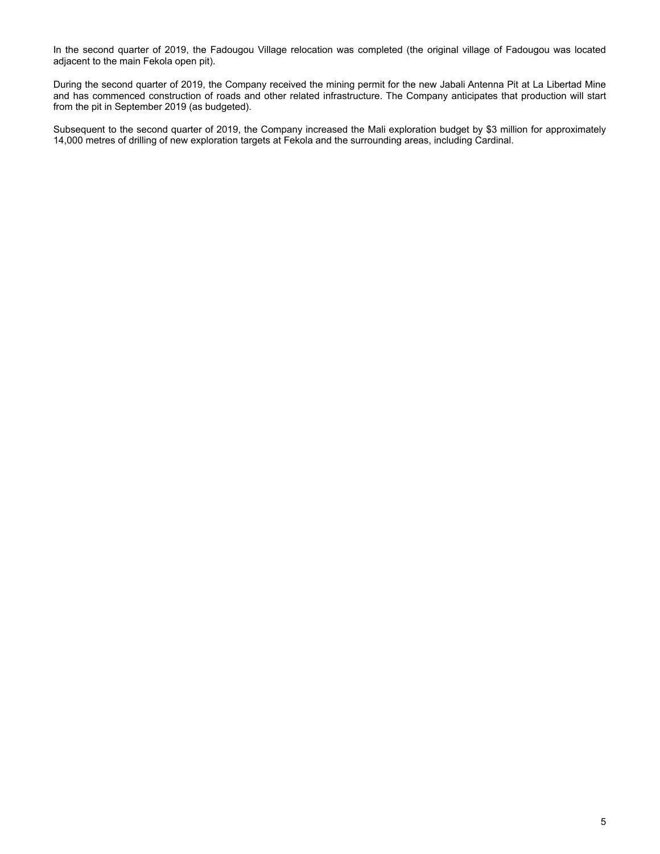In the second quarter of 2019, the Fadougou Village relocation was completed (the original village of Fadougou was located adjacent to the main Fekola open pit).

During the second quarter of 2019, the Company received the mining permit for the new Jabali Antenna Pit at La Libertad Mine and has commenced construction of roads and other related infrastructure. The Company anticipates that production will start from the pit in September 2019 (as budgeted).

Subsequent to the second quarter of 2019, the Company increased the Mali exploration budget by \$3 million for approximately 14,000 metres of drilling of new exploration targets at Fekola and the surrounding areas, including Cardinal.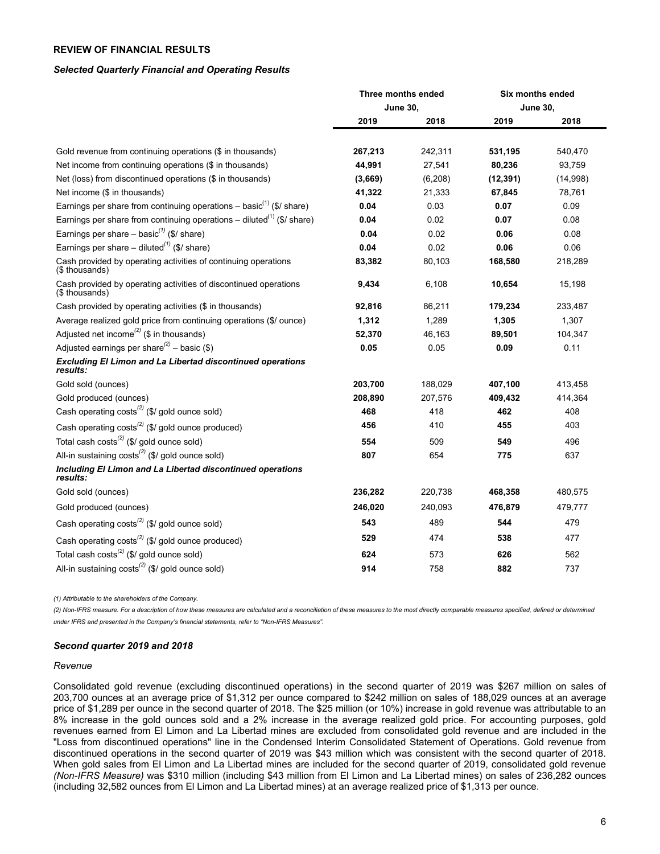## <span id="page-5-0"></span>**REVIEW OF FINANCIAL RESULTS**

#### *Selected Quarterly Financial and Operating Results*

|                                                                                    | Three months ended |                 | Six months ended |                 |  |
|------------------------------------------------------------------------------------|--------------------|-----------------|------------------|-----------------|--|
|                                                                                    |                    | <b>June 30,</b> |                  | <b>June 30,</b> |  |
|                                                                                    | 2019               | 2018            | 2019             | 2018            |  |
| Gold revenue from continuing operations (\$ in thousands)                          | 267,213            | 242,311         | 531,195          | 540,470         |  |
| Net income from continuing operations (\$ in thousands)                            | 44,991             | 27,541          | 80,236           | 93,759          |  |
| Net (loss) from discontinued operations (\$ in thousands)                          | (3,669)            | (6, 208)        | (12, 391)        | (14,998)        |  |
| Net income (\$ in thousands)                                                       | 41,322             | 21,333          | 67,845           | 78,761          |  |
| Earnings per share from continuing operations - basic $^{(1)}$ (\$/ share)         | 0.04               | 0.03            | 0.07             | 0.09            |  |
| Earnings per share from continuing operations - diluted <sup>(1)</sup> (\$/ share) | 0.04               | 0.02            | 0.07             | 0.08            |  |
| Earnings per share $-$ basic <sup>(1)</sup> (\$/ share)                            | 0.04               | 0.02            | 0.06             | 0.08            |  |
| Earnings per share – diluted <sup>(1)</sup> (\$/ share)                            | 0.04               | 0.02            | 0.06             | 0.06            |  |
| Cash provided by operating activities of continuing operations<br>(\$ thousands)   | 83,382             | 80,103          | 168,580          | 218,289         |  |
| Cash provided by operating activities of discontinued operations<br>(\$ thousands) | 9,434              | 6,108           | 10,654           | 15,198          |  |
| Cash provided by operating activities (\$ in thousands)                            | 92,816             | 86,211          | 179,234          | 233,487         |  |
| Average realized gold price from continuing operations (\$/ ounce)                 | 1,312              | 1,289           | 1,305            | 1,307           |  |
| Adjusted net income <sup>(2)</sup> (\$ in thousands)                               | 52,370             | 46,163          | 89,501           | 104,347         |  |
| Adjusted earnings per share <sup>(2)</sup> – basic (\$)                            | 0.05               | 0.05            | 0.09             | 0.11            |  |
| <b>Excluding El Limon and La Libertad discontinued operations</b><br>results:      |                    |                 |                  |                 |  |
| Gold sold (ounces)                                                                 | 203,700            | 188,029         | 407,100          | 413,458         |  |
| Gold produced (ounces)                                                             | 208,890            | 207,576         | 409,432          | 414,364         |  |
| Cash operating costs <sup>(2)</sup> (\$/ gold ounce sold)                          | 468                | 418             | 462              | 408             |  |
| Cash operating costs <sup>(2)</sup> (\$/ gold ounce produced)                      | 456                | 410             | 455              | 403             |  |
| Total cash costs <sup>(2)</sup> (\$/ gold ounce sold)                              | 554                | 509             | 549              | 496             |  |
| All-in sustaining costs <sup>(2)</sup> (\$/ gold ounce sold)                       | 807                | 654             | 775              | 637             |  |
| Including El Limon and La Libertad discontinued operations<br>results:             |                    |                 |                  |                 |  |
| Gold sold (ounces)                                                                 | 236,282            | 220,738         | 468,358          | 480,575         |  |
| Gold produced (ounces)                                                             | 246,020            | 240,093         | 476,879          | 479,777         |  |
| Cash operating costs <sup>(2)</sup> (\$/ gold ounce sold)                          | 543                | 489             | 544              | 479             |  |
| Cash operating costs <sup>(2)</sup> (\$/ gold ounce produced)                      | 529                | 474             | 538              | 477             |  |
| Total cash costs <sup>(2)</sup> (\$/ gold ounce sold)                              | 624                | 573             | 626              | 562             |  |
| All-in sustaining $costs^{(2)}$ (\$/ gold ounce sold)                              | 914                | 758             | 882              | 737             |  |

*(1) Attributable to the shareholders of the Company.*

(2) Non-IFRS measure. For a description of how these measures are calculated and a reconciliation of these measures to the most directly comparable measures specified, defined or determined *under IFRS and presented in the Company's financial statements, refer to "Non-IFRS Measures".*

#### *Second quarter 2019 and 2018*

#### *Revenue*

Consolidated gold revenue (excluding discontinued operations) in the second quarter of 2019 was \$267 million on sales of 203,700 ounces at an average price of \$1,312 per ounce compared to \$242 million on sales of 188,029 ounces at an average price of \$1,289 per ounce in the second quarter of 2018. The \$25 million (or 10%) increase in gold revenue was attributable to an 8% increase in the gold ounces sold and a 2% increase in the average realized gold price. For accounting purposes, gold revenues earned from El Limon and La Libertad mines are excluded from consolidated gold revenue and are included in the "Loss from discontinued operations" line in the Condensed Interim Consolidated Statement of Operations. Gold revenue from discontinued operations in the second quarter of 2019 was \$43 million which was consistent with the second quarter of 2018. When gold sales from El Limon and La Libertad mines are included for the second quarter of 2019, consolidated gold revenue *(Non-IFRS Measure)* was \$310 million (including \$43 million from El Limon and La Libertad mines) on sales of 236,282 ounces (including 32,582 ounces from El Limon and La Libertad mines) at an average realized price of \$1,313 per ounce.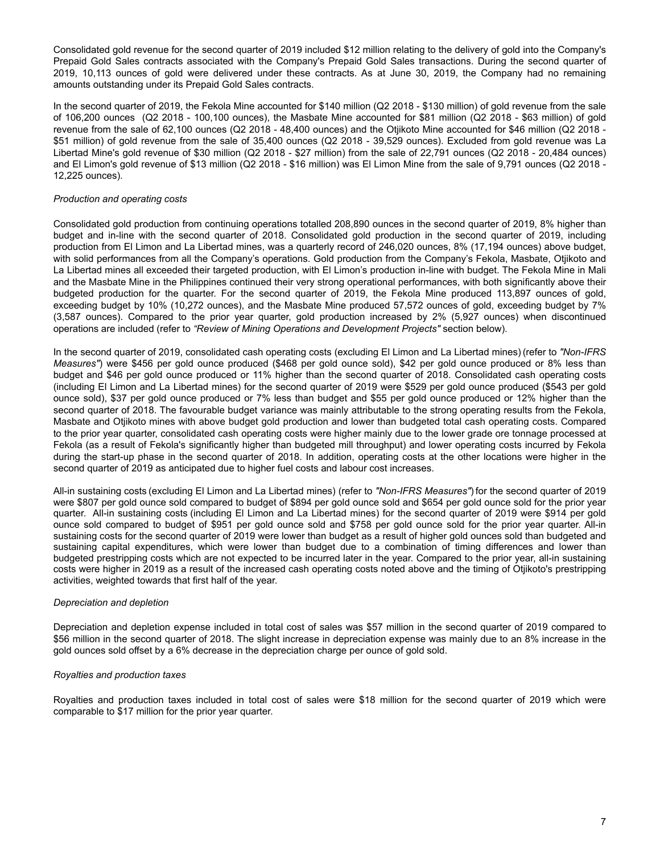Consolidated gold revenue for the second quarter of 2019 included \$12 million relating to the delivery of gold into the Company's Prepaid Gold Sales contracts associated with the Company's Prepaid Gold Sales transactions. During the second quarter of 2019, 10,113 ounces of gold were delivered under these contracts. As at June 30, 2019, the Company had no remaining amounts outstanding under its Prepaid Gold Sales contracts.

In the second quarter of 2019, the Fekola Mine accounted for \$140 million (Q2 2018 - \$130 million) of gold revenue from the sale of 106,200 ounces (Q2 2018 - 100,100 ounces), the Masbate Mine accounted for \$81 million (Q2 2018 - \$63 million) of gold revenue from the sale of 62,100 ounces (Q2 2018 - 48,400 ounces) and the Otjikoto Mine accounted for \$46 million (Q2 2018 - \$51 million) of gold revenue from the sale of 35,400 ounces (Q2 2018 - 39,529 ounces). Excluded from gold revenue was La Libertad Mine's gold revenue of \$30 million (Q2 2018 - \$27 million) from the sale of 22,791 ounces (Q2 2018 - 20,484 ounces) and El Limon's gold revenue of \$13 million (Q2 2018 - \$16 million) was El Limon Mine from the sale of 9,791 ounces (Q2 2018 - 12,225 ounces).

### *Production and operating costs*

Consolidated gold production from continuing operations totalled 208,890 ounces in the second quarter of 2019, 8% higher than budget and in-line with the second quarter of 2018. Consolidated gold production in the second quarter of 2019, including production from El Limon and La Libertad mines, was a quarterly record of 246,020 ounces, 8% (17,194 ounces) above budget, with solid performances from all the Company's operations. Gold production from the Company's Fekola, Masbate, Otjikoto and La Libertad mines all exceeded their targeted production, with El Limon's production in-line with budget. The Fekola Mine in Mali and the Masbate Mine in the Philippines continued their very strong operational performances, with both significantly above their budgeted production for the quarter. For the second quarter of 2019, the Fekola Mine produced 113,897 ounces of gold, exceeding budget by 10% (10,272 ounces), and the Masbate Mine produced 57,572 ounces of gold, exceeding budget by 7% (3,587 ounces). Compared to the prior year quarter, gold production increased by 2% (5,927 ounces) when discontinued operations are included (refer to *"Review of Mining Operations and Development Projects"* section below).

In the second quarter of 2019, consolidated cash operating costs (excluding El Limon and La Libertad mines) (refer to *"Non-IFRS Measures"*) were \$456 per gold ounce produced (\$468 per gold ounce sold), \$42 per gold ounce produced or 8% less than budget and \$46 per gold ounce produced or 11% higher than the second quarter of 2018. Consolidated cash operating costs (including El Limon and La Libertad mines) for the second quarter of 2019 were \$529 per gold ounce produced (\$543 per gold ounce sold), \$37 per gold ounce produced or 7% less than budget and \$55 per gold ounce produced or 12% higher than the second quarter of 2018. The favourable budget variance was mainly attributable to the strong operating results from the Fekola, Masbate and Otjikoto mines with above budget gold production and lower than budgeted total cash operating costs. Compared to the prior year quarter, consolidated cash operating costs were higher mainly due to the lower grade ore tonnage processed at Fekola (as a result of Fekola's significantly higher than budgeted mill throughput) and lower operating costs incurred by Fekola during the start-up phase in the second quarter of 2018. In addition, operating costs at the other locations were higher in the second quarter of 2019 as anticipated due to higher fuel costs and labour cost increases.

All-in sustaining costs (excluding El Limon and La Libertad mines) (refer to *"Non-IFRS Measures"*) for the second quarter of 2019 were \$807 per gold ounce sold compared to budget of \$894 per gold ounce sold and \$654 per gold ounce sold for the prior year quarter. All-in sustaining costs (including El Limon and La Libertad mines) for the second quarter of 2019 were \$914 per gold ounce sold compared to budget of \$951 per gold ounce sold and \$758 per gold ounce sold for the prior year quarter. All-in sustaining costs for the second quarter of 2019 were lower than budget as a result of higher gold ounces sold than budgeted and sustaining capital expenditures, which were lower than budget due to a combination of timing differences and lower than budgeted prestripping costs which are not expected to be incurred later in the year. Compared to the prior year, all-in sustaining costs were higher in 2019 as a result of the increased cash operating costs noted above and the timing of Otjikoto's prestripping activities, weighted towards that first half of the year.

#### *Depreciation and depletion*

Depreciation and depletion expense included in total cost of sales was \$57 million in the second quarter of 2019 compared to \$56 million in the second quarter of 2018. The slight increase in depreciation expense was mainly due to an 8% increase in the gold ounces sold offset by a 6% decrease in the depreciation charge per ounce of gold sold.

#### *Royalties and production taxes*

Royalties and production taxes included in total cost of sales were \$18 million for the second quarter of 2019 which were comparable to \$17 million for the prior year quarter.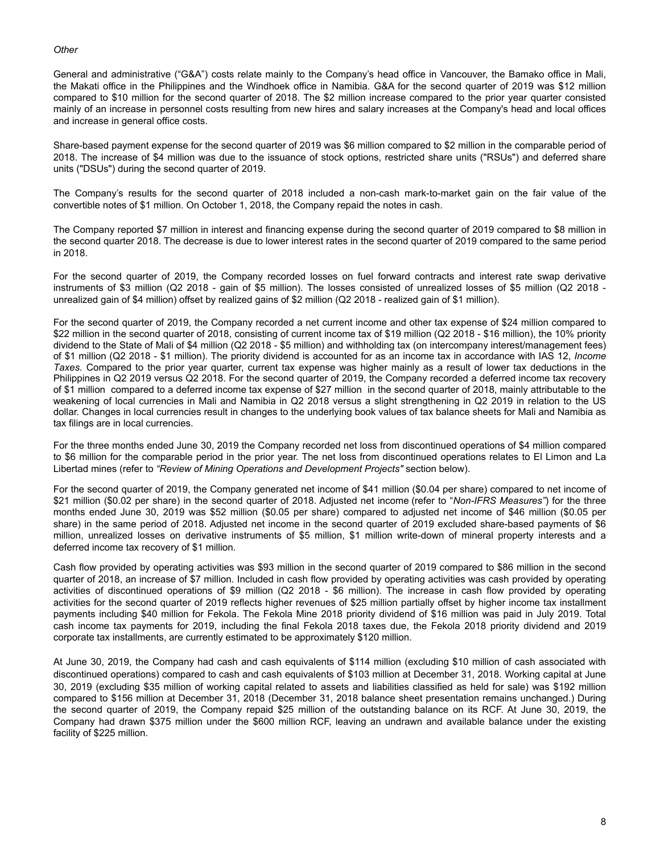### *Other*

General and administrative ("G&A") costs relate mainly to the Company's head office in Vancouver, the Bamako office in Mali, the Makati office in the Philippines and the Windhoek office in Namibia. G&A for the second quarter of 2019 was \$12 million compared to \$10 million for the second quarter of 2018. The \$2 million increase compared to the prior year quarter consisted mainly of an increase in personnel costs resulting from new hires and salary increases at the Company's head and local offices and increase in general office costs.

Share-based payment expense for the second quarter of 2019 was \$6 million compared to \$2 million in the comparable period of 2018. The increase of \$4 million was due to the issuance of stock options, restricted share units ("RSUs") and deferred share units ("DSUs") during the second quarter of 2019.

The Company's results for the second quarter of 2018 included a non-cash mark-to-market gain on the fair value of the convertible notes of \$1 million. On October 1, 2018, the Company repaid the notes in cash.

The Company reported \$7 million in interest and financing expense during the second quarter of 2019 compared to \$8 million in the second quarter 2018. The decrease is due to lower interest rates in the second quarter of 2019 compared to the same period in 2018.

For the second quarter of 2019, the Company recorded losses on fuel forward contracts and interest rate swap derivative instruments of \$3 million (Q2 2018 - gain of \$5 million). The losses consisted of unrealized losses of \$5 million (Q2 2018 unrealized gain of \$4 million) offset by realized gains of \$2 million (Q2 2018 - realized gain of \$1 million).

For the second quarter of 2019, the Company recorded a net current income and other tax expense of \$24 million compared to \$22 million in the second quarter of 2018, consisting of current income tax of \$19 million (Q2 2018 - \$16 million), the 10% priority dividend to the State of Mali of \$4 million (Q2 2018 - \$5 million) and withholding tax (on intercompany interest/management fees) of \$1 million (Q2 2018 - \$1 million). The priority dividend is accounted for as an income tax in accordance with IAS 12, *Income Taxes.* Compared to the prior year quarter, current tax expense was higher mainly as a result of lower tax deductions in the Philippines in Q2 2019 versus Q2 2018. For the second quarter of 2019, the Company recorded a deferred income tax recovery of \$1 million compared to a deferred income tax expense of \$27 million in the second quarter of 2018, mainly attributable to the weakening of local currencies in Mali and Namibia in Q2 2018 versus a slight strengthening in Q2 2019 in relation to the US dollar. Changes in local currencies result in changes to the underlying book values of tax balance sheets for Mali and Namibia as tax filings are in local currencies.

For the three months ended June 30, 2019 the Company recorded net loss from discontinued operations of \$4 million compared to \$6 million for the comparable period in the prior year. The net loss from discontinued operations relates to El Limon and La Libertad mines (refer to *"Review of Mining Operations and Development Projects"* section below).

For the second quarter of 2019, the Company generated net income of \$41 million (\$0.04 per share) compared to net income of \$21 million (\$0.02 per share) in the second quarter of 2018. Adjusted net income (refer to "*Non-IFRS Measures"*) for the three months ended June 30, 2019 was \$52 million (\$0.05 per share) compared to adjusted net income of \$46 million (\$0.05 per share) in the same period of 2018. Adjusted net income in the second quarter of 2019 excluded share-based payments of \$6 million, unrealized losses on derivative instruments of \$5 million, \$1 million write-down of mineral property interests and a deferred income tax recovery of \$1 million.

Cash flow provided by operating activities was \$93 million in the second quarter of 2019 compared to \$86 million in the second quarter of 2018, an increase of \$7 million. Included in cash flow provided by operating activities was cash provided by operating activities of discontinued operations of \$9 million (Q2 2018 - \$6 million). The increase in cash flow provided by operating activities for the second quarter of 2019 reflects higher revenues of \$25 million partially offset by higher income tax installment payments including \$40 million for Fekola. The Fekola Mine 2018 priority dividend of \$16 million was paid in July 2019. Total cash income tax payments for 2019, including the final Fekola 2018 taxes due, the Fekola 2018 priority dividend and 2019 corporate tax installments, are currently estimated to be approximately \$120 million.

At June 30, 2019, the Company had cash and cash equivalents of \$114 million (excluding \$10 million of cash associated with discontinued operations) compared to cash and cash equivalents of \$103 million at December 31, 2018. Working capital at June 30, 2019 (excluding \$35 million of working capital related to assets and liabilities classified as held for sale) was \$192 million compared to \$156 million at December 31, 2018 (December 31, 2018 balance sheet presentation remains unchanged.) During the second quarter of 2019, the Company repaid \$25 million of the outstanding balance on its RCF. At June 30, 2019, the Company had drawn \$375 million under the \$600 million RCF, leaving an undrawn and available balance under the existing facility of \$225 million.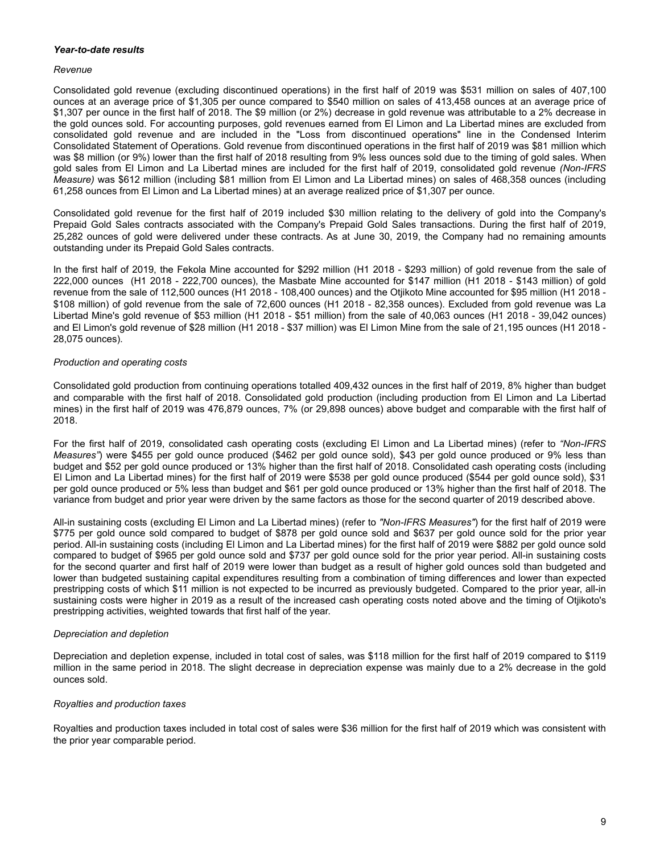### *Year-to-date results*

#### *Revenue*

Consolidated gold revenue (excluding discontinued operations) in the first half of 2019 was \$531 million on sales of 407,100 ounces at an average price of \$1,305 per ounce compared to \$540 million on sales of 413,458 ounces at an average price of \$1,307 per ounce in the first half of 2018. The \$9 million (or 2%) decrease in gold revenue was attributable to a 2% decrease in the gold ounces sold. For accounting purposes, gold revenues earned from El Limon and La Libertad mines are excluded from consolidated gold revenue and are included in the "Loss from discontinued operations" line in the Condensed Interim Consolidated Statement of Operations. Gold revenue from discontinued operations in the first half of 2019 was \$81 million which was \$8 million (or 9%) lower than the first half of 2018 resulting from 9% less ounces sold due to the timing of gold sales. When gold sales from El Limon and La Libertad mines are included for the first half of 2019, consolidated gold revenue *(Non-IFRS Measure)* was \$612 million (including \$81 million from El Limon and La Libertad mines) on sales of 468,358 ounces (including 61,258 ounces from El Limon and La Libertad mines) at an average realized price of \$1,307 per ounce.

Consolidated gold revenue for the first half of 2019 included \$30 million relating to the delivery of gold into the Company's Prepaid Gold Sales contracts associated with the Company's Prepaid Gold Sales transactions. During the first half of 2019, 25,282 ounces of gold were delivered under these contracts. As at June 30, 2019, the Company had no remaining amounts outstanding under its Prepaid Gold Sales contracts.

In the first half of 2019, the Fekola Mine accounted for \$292 million (H1 2018 - \$293 million) of gold revenue from the sale of 222,000 ounces (H1 2018 - 222,700 ounces), the Masbate Mine accounted for \$147 million (H1 2018 - \$143 million) of gold revenue from the sale of 112,500 ounces (H1 2018 - 108,400 ounces) and the Otjikoto Mine accounted for \$95 million (H1 2018 - \$108 million) of gold revenue from the sale of 72,600 ounces (H1 2018 - 82,358 ounces). Excluded from gold revenue was La Libertad Mine's gold revenue of \$53 million (H1 2018 - \$51 million) from the sale of 40,063 ounces (H1 2018 - 39,042 ounces) and El Limon's gold revenue of \$28 million (H1 2018 - \$37 million) was El Limon Mine from the sale of 21,195 ounces (H1 2018 - 28,075 ounces).

### *Production and operating costs*

Consolidated gold production from continuing operations totalled 409,432 ounces in the first half of 2019, 8% higher than budget and comparable with the first half of 2018. Consolidated gold production (including production from El Limon and La Libertad mines) in the first half of 2019 was 476,879 ounces, 7% (or 29,898 ounces) above budget and comparable with the first half of 2018.

For the first half of 2019, consolidated cash operating costs (excluding El Limon and La Libertad mines) (refer to *"Non-IFRS Measures"*) were \$455 per gold ounce produced (\$462 per gold ounce sold), \$43 per gold ounce produced or 9% less than budget and \$52 per gold ounce produced or 13% higher than the first half of 2018. Consolidated cash operating costs (including El Limon and La Libertad mines) for the first half of 2019 were \$538 per gold ounce produced (\$544 per gold ounce sold), \$31 per gold ounce produced or 5% less than budget and \$61 per gold ounce produced or 13% higher than the first half of 2018. The variance from budget and prior year were driven by the same factors as those for the second quarter of 2019 described above.

All-in sustaining costs (excluding El Limon and La Libertad mines) (refer to *"Non-IFRS Measures"*) for the first half of 2019 were \$775 per gold ounce sold compared to budget of \$878 per gold ounce sold and \$637 per gold ounce sold for the prior year period. All-in sustaining costs (including El Limon and La Libertad mines) for the first half of 2019 were \$882 per gold ounce sold compared to budget of \$965 per gold ounce sold and \$737 per gold ounce sold for the prior year period. All-in sustaining costs for the second quarter and first half of 2019 were lower than budget as a result of higher gold ounces sold than budgeted and lower than budgeted sustaining capital expenditures resulting from a combination of timing differences and lower than expected prestripping costs of which \$11 million is not expected to be incurred as previously budgeted. Compared to the prior year, all-in sustaining costs were higher in 2019 as a result of the increased cash operating costs noted above and the timing of Otjikoto's prestripping activities, weighted towards that first half of the year.

### *Depreciation and depletion*

Depreciation and depletion expense, included in total cost of sales, was \$118 million for the first half of 2019 compared to \$119 million in the same period in 2018. The slight decrease in depreciation expense was mainly due to a 2% decrease in the gold ounces sold.

### *Royalties and production taxes*

Royalties and production taxes included in total cost of sales were \$36 million for the first half of 2019 which was consistent with the prior year comparable period.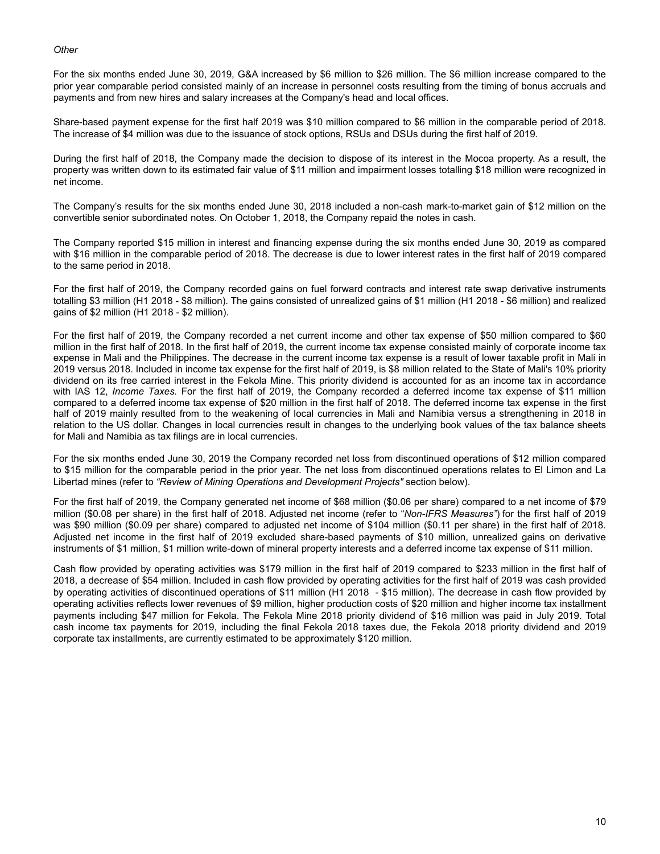### *Other*

For the six months ended June 30, 2019, G&A increased by \$6 million to \$26 million. The \$6 million increase compared to the prior year comparable period consisted mainly of an increase in personnel costs resulting from the timing of bonus accruals and payments and from new hires and salary increases at the Company's head and local offices.

Share-based payment expense for the first half 2019 was \$10 million compared to \$6 million in the comparable period of 2018. The increase of \$4 million was due to the issuance of stock options, RSUs and DSUs during the first half of 2019.

During the first half of 2018, the Company made the decision to dispose of its interest in the Mocoa property. As a result, the property was written down to its estimated fair value of \$11 million and impairment losses totalling \$18 million were recognized in net income.

The Company's results for the six months ended June 30, 2018 included a non-cash mark-to-market gain of \$12 million on the convertible senior subordinated notes. On October 1, 2018, the Company repaid the notes in cash.

The Company reported \$15 million in interest and financing expense during the six months ended June 30, 2019 as compared with \$16 million in the comparable period of 2018. The decrease is due to lower interest rates in the first half of 2019 compared to the same period in 2018.

For the first half of 2019, the Company recorded gains on fuel forward contracts and interest rate swap derivative instruments totalling \$3 million (H1 2018 - \$8 million). The gains consisted of unrealized gains of \$1 million (H1 2018 - \$6 million) and realized gains of \$2 million (H1 2018 - \$2 million).

For the first half of 2019, the Company recorded a net current income and other tax expense of \$50 million compared to \$60 million in the first half of 2018. In the first half of 2019, the current income tax expense consisted mainly of corporate income tax expense in Mali and the Philippines. The decrease in the current income tax expense is a result of lower taxable profit in Mali in 2019 versus 2018. Included in income tax expense for the first half of 2019, is \$8 million related to the State of Mali's 10% priority dividend on its free carried interest in the Fekola Mine. This priority dividend is accounted for as an income tax in accordance with IAS 12, *Income Taxes.* For the first half of 2019, the Company recorded a deferred income tax expense of \$11 million compared to a deferred income tax expense of \$20 million in the first half of 2018. The deferred income tax expense in the first half of 2019 mainly resulted from to the weakening of local currencies in Mali and Namibia versus a strengthening in 2018 in relation to the US dollar. Changes in local currencies result in changes to the underlying book values of the tax balance sheets for Mali and Namibia as tax filings are in local currencies.

For the six months ended June 30, 2019 the Company recorded net loss from discontinued operations of \$12 million compared to \$15 million for the comparable period in the prior year. The net loss from discontinued operations relates to El Limon and La Libertad mines (refer to *"Review of Mining Operations and Development Projects"* section below).

For the first half of 2019, the Company generated net income of \$68 million (\$0.06 per share) compared to a net income of \$79 million (\$0.08 per share) in the first half of 2018. Adjusted net income (refer to "*Non-IFRS Measures"*) for the first half of 2019 was \$90 million (\$0.09 per share) compared to adjusted net income of \$104 million (\$0.11 per share) in the first half of 2018. Adjusted net income in the first half of 2019 excluded share-based payments of \$10 million, unrealized gains on derivative instruments of \$1 million, \$1 million write-down of mineral property interests and a deferred income tax expense of \$11 million.

Cash flow provided by operating activities was \$179 million in the first half of 2019 compared to \$233 million in the first half of 2018, a decrease of \$54 million. Included in cash flow provided by operating activities for the first half of 2019 was cash provided by operating activities of discontinued operations of \$11 million (H1 2018 - \$15 million). The decrease in cash flow provided by operating activities reflects lower revenues of \$9 million, higher production costs of \$20 million and higher income tax installment payments including \$47 million for Fekola. The Fekola Mine 2018 priority dividend of \$16 million was paid in July 2019. Total cash income tax payments for 2019, including the final Fekola 2018 taxes due, the Fekola 2018 priority dividend and 2019 corporate tax installments, are currently estimated to be approximately \$120 million.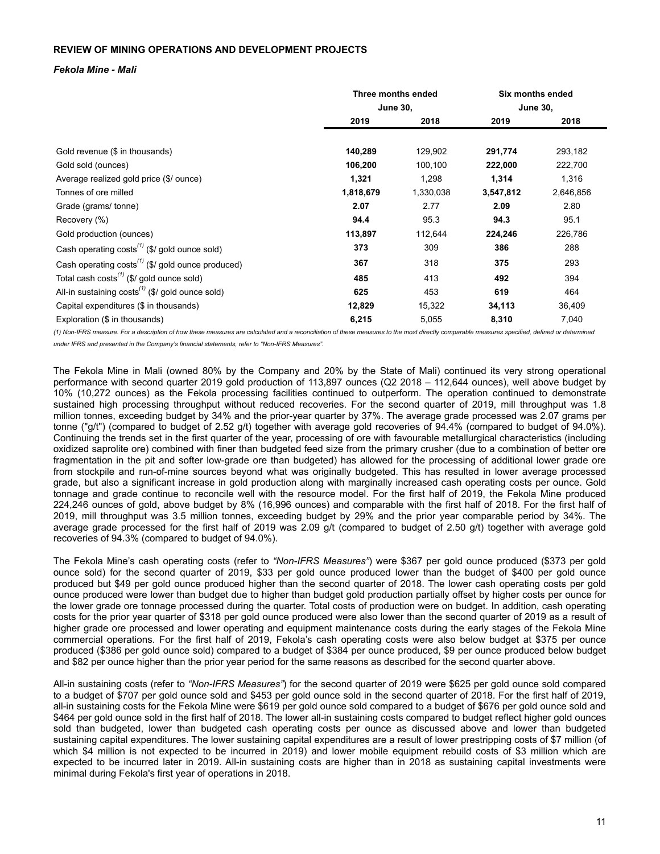## <span id="page-10-0"></span>**REVIEW OF MINING OPERATIONS AND DEVELOPMENT PROJECTS**

### *Fekola Mine - Mali*

|                                                                    | Three months ended |           | Six months ended |           |
|--------------------------------------------------------------------|--------------------|-----------|------------------|-----------|
|                                                                    | <b>June 30,</b>    |           | <b>June 30,</b>  |           |
|                                                                    | 2019               | 2018      | 2019             | 2018      |
|                                                                    |                    |           |                  |           |
| Gold revenue (\$ in thousands)                                     | 140,289            | 129,902   | 291,774          | 293,182   |
| Gold sold (ounces)                                                 | 106,200            | 100,100   | 222,000          | 222,700   |
| Average realized gold price (\$/ ounce)                            | 1,321              | 1,298     | 1,314            | 1,316     |
| Tonnes of ore milled                                               | 1,818,679          | 1,330,038 | 3,547,812        | 2,646,856 |
| Grade (grams/tonne)                                                | 2.07               | 2.77      | 2.09             | 2.80      |
| Recovery (%)                                                       | 94.4               | 95.3      | 94.3             | 95.1      |
| Gold production (ounces)                                           | 113,897            | 112,644   | 224,246          | 226,786   |
| Cash operating $costs^{(1)}$ (\$/ gold ounce sold)                 | 373                | 309       | 386              | 288       |
| Cash operating $costs^{(1)}$ (\$/ gold ounce produced)             | 367                | 318       | 375              | 293       |
| Total cash costs <sup><math>(1)</math></sup> (\$/ gold ounce sold) | 485                | 413       | 492              | 394       |
| All-in sustaining $costs^{(1)}$ (\$/ gold ounce sold)              | 625                | 453       | 619              | 464       |
| Capital expenditures (\$ in thousands)                             | 12,829             | 15,322    | 34,113           | 36,409    |
| Exploration (\$ in thousands)                                      | 6,215              | 5,055     | 8,310            | 7,040     |

(1) Non-IFRS measure. For a description of how these measures are calculated and a reconciliation of these measures to the most directly comparable measures specified, defined or determined *under IFRS and presented in the Company's financial statements, refer to "Non-IFRS Measures".*

The Fekola Mine in Mali (owned 80% by the Company and 20% by the State of Mali) continued its very strong operational performance with second quarter 2019 gold production of 113,897 ounces (Q2 2018 – 112,644 ounces), well above budget by 10% (10,272 ounces) as the Fekola processing facilities continued to outperform. The operation continued to demonstrate sustained high processing throughput without reduced recoveries. For the second quarter of 2019, mill throughput was 1.8 million tonnes, exceeding budget by 34% and the prior-year quarter by 37%. The average grade processed was 2.07 grams per tonne ("g/t") (compared to budget of 2.52 g/t) together with average gold recoveries of 94.4% (compared to budget of 94.0%). Continuing the trends set in the first quarter of the year, processing of ore with favourable metallurgical characteristics (including oxidized saprolite ore) combined with finer than budgeted feed size from the primary crusher (due to a combination of better ore fragmentation in the pit and softer low-grade ore than budgeted) has allowed for the processing of additional lower grade ore from stockpile and run-of-mine sources beyond what was originally budgeted. This has resulted in lower average processed grade, but also a significant increase in gold production along with marginally increased cash operating costs per ounce. Gold tonnage and grade continue to reconcile well with the resource model. For the first half of 2019, the Fekola Mine produced 224,246 ounces of gold, above budget by 8% (16,996 ounces) and comparable with the first half of 2018. For the first half of 2019, mill throughput was 3.5 million tonnes, exceeding budget by 29% and the prior year comparable period by 34%. The average grade processed for the first half of 2019 was 2.09 g/t (compared to budget of 2.50 g/t) together with average gold recoveries of 94.3% (compared to budget of 94.0%).

The Fekola Mine's cash operating costs (refer to *"Non-IFRS Measures"*) were \$367 per gold ounce produced (\$373 per gold ounce sold) for the second quarter of 2019, \$33 per gold ounce produced lower than the budget of \$400 per gold ounce produced but \$49 per gold ounce produced higher than the second quarter of 2018. The lower cash operating costs per gold ounce produced were lower than budget due to higher than budget gold production partially offset by higher costs per ounce for the lower grade ore tonnage processed during the quarter. Total costs of production were on budget. In addition, cash operating costs for the prior year quarter of \$318 per gold ounce produced were also lower than the second quarter of 2019 as a result of higher grade ore processed and lower operating and equipment maintenance costs during the early stages of the Fekola Mine commercial operations. For the first half of 2019, Fekola's cash operating costs were also below budget at \$375 per ounce produced (\$386 per gold ounce sold) compared to a budget of \$384 per ounce produced, \$9 per ounce produced below budget and \$82 per ounce higher than the prior year period for the same reasons as described for the second quarter above.

All-in sustaining costs (refer to *"Non-IFRS Measures"*) for the second quarter of 2019 were \$625 per gold ounce sold compared to a budget of \$707 per gold ounce sold and \$453 per gold ounce sold in the second quarter of 2018. For the first half of 2019, all-in sustaining costs for the Fekola Mine were \$619 per gold ounce sold compared to a budget of \$676 per gold ounce sold and \$464 per gold ounce sold in the first half of 2018. The lower all-in sustaining costs compared to budget reflect higher gold ounces sold than budgeted, lower than budgeted cash operating costs per ounce as discussed above and lower than budgeted sustaining capital expenditures. The lower sustaining capital expenditures are a result of lower prestripping costs of \$7 million (of which \$4 million is not expected to be incurred in 2019) and lower mobile equipment rebuild costs of \$3 million which are expected to be incurred later in 2019. All-in sustaining costs are higher than in 2018 as sustaining capital investments were minimal during Fekola's first year of operations in 2018.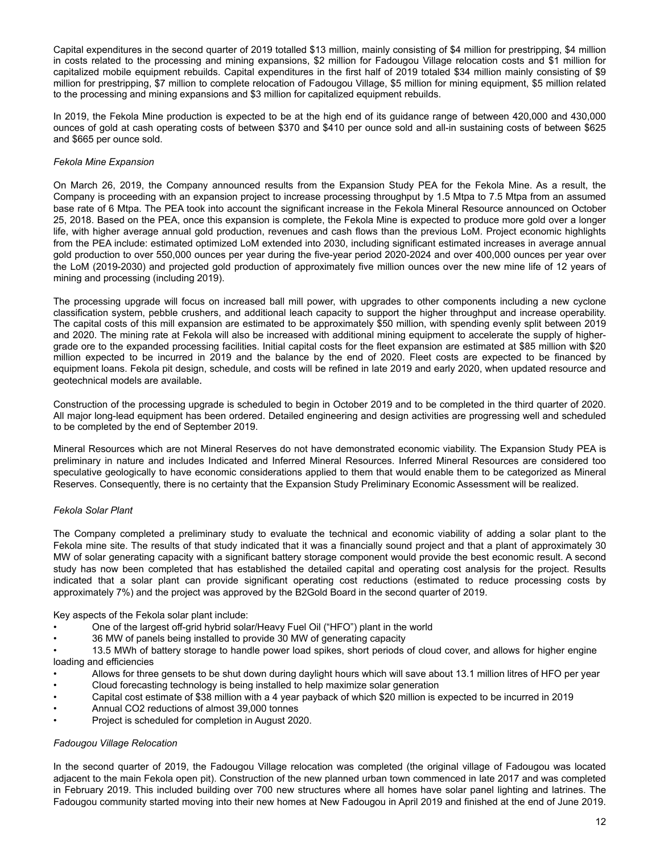Capital expenditures in the second quarter of 2019 totalled \$13 million, mainly consisting of \$4 million for prestripping, \$4 million in costs related to the processing and mining expansions, \$2 million for Fadougou Village relocation costs and \$1 million for capitalized mobile equipment rebuilds. Capital expenditures in the first half of 2019 totaled \$34 million mainly consisting of \$9 million for prestripping, \$7 million to complete relocation of Fadougou Village, \$5 million for mining equipment, \$5 million related to the processing and mining expansions and \$3 million for capitalized equipment rebuilds.

In 2019, the Fekola Mine production is expected to be at the high end of its guidance range of between 420,000 and 430,000 ounces of gold at cash operating costs of between \$370 and \$410 per ounce sold and all-in sustaining costs of between \$625 and \$665 per ounce sold.

## *Fekola Mine Expansion*

On March 26, 2019, the Company announced results from the Expansion Study PEA for the Fekola Mine. As a result, the Company is proceeding with an expansion project to increase processing throughput by 1.5 Mtpa to 7.5 Mtpa from an assumed base rate of 6 Mtpa. The PEA took into account the significant increase in the Fekola Mineral Resource announced on October 25, 2018. Based on the PEA, once this expansion is complete, the Fekola Mine is expected to produce more gold over a longer life, with higher average annual gold production, revenues and cash flows than the previous LoM. Project economic highlights from the PEA include: estimated optimized LoM extended into 2030, including significant estimated increases in average annual gold production to over 550,000 ounces per year during the five-year period 2020-2024 and over 400,000 ounces per year over the LoM (2019-2030) and projected gold production of approximately five million ounces over the new mine life of 12 years of mining and processing (including 2019).

The processing upgrade will focus on increased ball mill power, with upgrades to other components including a new cyclone classification system, pebble crushers, and additional leach capacity to support the higher throughput and increase operability. The capital costs of this mill expansion are estimated to be approximately \$50 million, with spending evenly split between 2019 and 2020. The mining rate at Fekola will also be increased with additional mining equipment to accelerate the supply of highergrade ore to the expanded processing facilities. Initial capital costs for the fleet expansion are estimated at \$85 million with \$20 million expected to be incurred in 2019 and the balance by the end of 2020. Fleet costs are expected to be financed by equipment loans. Fekola pit design, schedule, and costs will be refined in late 2019 and early 2020, when updated resource and geotechnical models are available.

Construction of the processing upgrade is scheduled to begin in October 2019 and to be completed in the third quarter of 2020. All major long-lead equipment has been ordered. Detailed engineering and design activities are progressing well and scheduled to be completed by the end of September 2019.

Mineral Resources which are not Mineral Reserves do not have demonstrated economic viability. The Expansion Study PEA is preliminary in nature and includes Indicated and Inferred Mineral Resources. Inferred Mineral Resources are considered too speculative geologically to have economic considerations applied to them that would enable them to be categorized as Mineral Reserves. Consequently, there is no certainty that the Expansion Study Preliminary Economic Assessment will be realized.

## *Fekola Solar Plant*

The Company completed a preliminary study to evaluate the technical and economic viability of adding a solar plant to the Fekola mine site. The results of that study indicated that it was a financially sound project and that a plant of approximately 30 MW of solar generating capacity with a significant battery storage component would provide the best economic result. A second study has now been completed that has established the detailed capital and operating cost analysis for the project. Results indicated that a solar plant can provide significant operating cost reductions (estimated to reduce processing costs by approximately 7%) and the project was approved by the B2Gold Board in the second quarter of 2019.

Key aspects of the Fekola solar plant include:

- One of the largest off-grid hybrid solar/Heavy Fuel Oil ("HFO") plant in the world
- 36 MW of panels being installed to provide 30 MW of generating capacity

• 13.5 MWh of battery storage to handle power load spikes, short periods of cloud cover, and allows for higher engine loading and efficiencies

- Allows for three gensets to be shut down during daylight hours which will save about 13.1 million litres of HFO per year
- Cloud forecasting technology is being installed to help maximize solar generation
- Capital cost estimate of \$38 million with a 4 year payback of which \$20 million is expected to be incurred in 2019
- Annual CO2 reductions of almost 39,000 tonnes
- Project is scheduled for completion in August 2020.

## *Fadougou Village Relocation*

In the second quarter of 2019, the Fadougou Village relocation was completed (the original village of Fadougou was located adjacent to the main Fekola open pit). Construction of the new planned urban town commenced in late 2017 and was completed in February 2019. This included building over 700 new structures where all homes have solar panel lighting and latrines. The Fadougou community started moving into their new homes at New Fadougou in April 2019 and finished at the end of June 2019.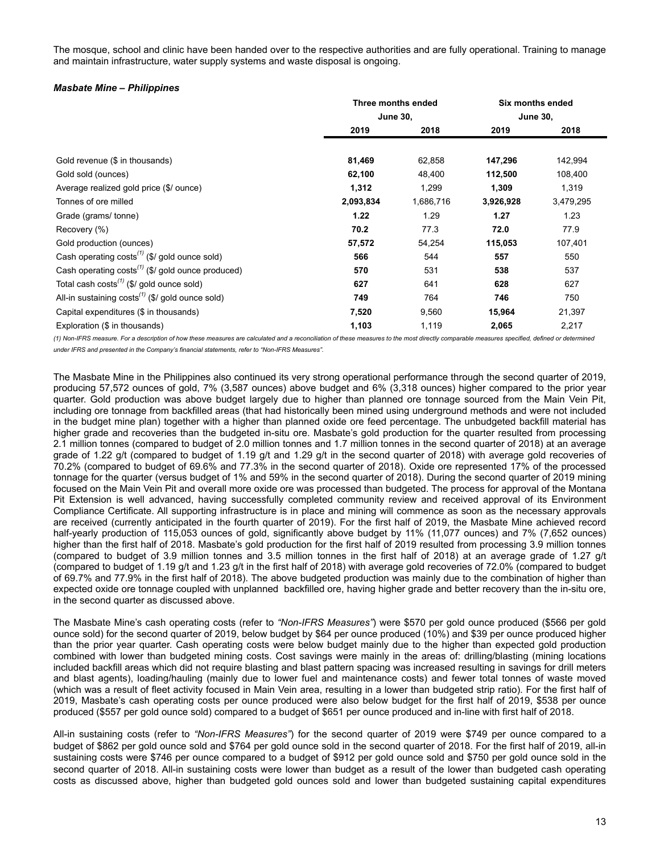The mosque, school and clinic have been handed over to the respective authorities and are fully operational. Training to manage and maintain infrastructure, water supply systems and waste disposal is ongoing.

### *Masbate Mine – Philippines*

|                                                                    | Three months ended |           | Six months ended |                 |
|--------------------------------------------------------------------|--------------------|-----------|------------------|-----------------|
|                                                                    | <b>June 30,</b>    |           |                  | <b>June 30,</b> |
|                                                                    | 2019               | 2018      | 2019             | 2018            |
|                                                                    |                    |           |                  |                 |
| Gold revenue (\$ in thousands)                                     | 81,469             | 62,858    | 147,296          | 142,994         |
| Gold sold (ounces)                                                 | 62,100             | 48,400    | 112,500          | 108,400         |
| Average realized gold price (\$/ ounce)                            | 1,312              | 1,299     | 1,309            | 1,319           |
| Tonnes of ore milled                                               | 2,093,834          | 1,686,716 | 3,926,928        | 3,479,295       |
| Grade (grams/tonne)                                                | 1.22               | 1.29      | 1.27             | 1.23            |
| Recovery (%)                                                       | 70.2               | 77.3      | 72.0             | 77.9            |
| Gold production (ounces)                                           | 57,572             | 54,254    | 115,053          | 107,401         |
| Cash operating $costs^{(1)}$ (\$/ gold ounce sold)                 | 566                | 544       | 557              | 550             |
| Cash operating $costs^{(1)}$ (\$/ gold ounce produced)             | 570                | 531       | 538              | 537             |
| Total cash costs <sup><math>(1)</math></sup> (\$/ gold ounce sold) | 627                | 641       | 628              | 627             |
| All-in sustaining $costs^{(1)}$ (\$/ gold ounce sold)              | 749                | 764       | 746              | 750             |
| Capital expenditures (\$ in thousands)                             | 7,520              | 9,560     | 15,964           | 21,397          |
| Exploration (\$ in thousands)                                      | 1,103              | 1,119     | 2,065            | 2,217           |

(1) Non-IFRS measure. For a description of how these measures are calculated and a reconciliation of these measures to the most directly comparable measures specified, defined or determined *under IFRS and presented in the Company's financial statements, refer to "Non-IFRS Measures".*

The Masbate Mine in the Philippines also continued its very strong operational performance through the second quarter of 2019, producing 57,572 ounces of gold, 7% (3,587 ounces) above budget and 6% (3,318 ounces) higher compared to the prior year quarter. Gold production was above budget largely due to higher than planned ore tonnage sourced from the Main Vein Pit, including ore tonnage from backfilled areas (that had historically been mined using underground methods and were not included in the budget mine plan) together with a higher than planned oxide ore feed percentage. The unbudgeted backfill material has higher grade and recoveries than the budgeted in-situ ore. Masbate's gold production for the quarter resulted from processing 2.1 million tonnes (compared to budget of 2.0 million tonnes and 1.7 million tonnes in the second quarter of 2018) at an average grade of 1.22 g/t (compared to budget of 1.19 g/t and 1.29 g/t in the second quarter of 2018) with average gold recoveries of 70.2% (compared to budget of 69.6% and 77.3% in the second quarter of 2018). Oxide ore represented 17% of the processed tonnage for the quarter (versus budget of 1% and 59% in the second quarter of 2018). During the second quarter of 2019 mining focused on the Main Vein Pit and overall more oxide ore was processed than budgeted. The process for approval of the Montana Pit Extension is well advanced, having successfully completed community review and received approval of its Environment Compliance Certificate. All supporting infrastructure is in place and mining will commence as soon as the necessary approvals are received (currently anticipated in the fourth quarter of 2019). For the first half of 2019, the Masbate Mine achieved record half-yearly production of 115,053 ounces of gold, significantly above budget by 11% (11,077 ounces) and 7% (7,652 ounces) higher than the first half of 2018. Masbate's gold production for the first half of 2019 resulted from processing 3.9 million tonnes (compared to budget of 3.9 million tonnes and 3.5 million tonnes in the first half of 2018) at an average grade of 1.27 g/t (compared to budget of 1.19 g/t and 1.23 g/t in the first half of 2018) with average gold recoveries of 72.0% (compared to budget of 69.7% and 77.9% in the first half of 2018). The above budgeted production was mainly due to the combination of higher than expected oxide ore tonnage coupled with unplanned backfilled ore, having higher grade and better recovery than the in-situ ore, in the second quarter as discussed above.

The Masbate Mine's cash operating costs (refer to *"Non-IFRS Measures"*) were \$570 per gold ounce produced (\$566 per gold ounce sold) for the second quarter of 2019, below budget by \$64 per ounce produced (10%) and \$39 per ounce produced higher than the prior year quarter. Cash operating costs were below budget mainly due to the higher than expected gold production combined with lower than budgeted mining costs. Cost savings were mainly in the areas of: drilling/blasting (mining locations included backfill areas which did not require blasting and blast pattern spacing was increased resulting in savings for drill meters and blast agents), loading/hauling (mainly due to lower fuel and maintenance costs) and fewer total tonnes of waste moved (which was a result of fleet activity focused in Main Vein area, resulting in a lower than budgeted strip ratio). For the first half of 2019, Masbate's cash operating costs per ounce produced were also below budget for the first half of 2019, \$538 per ounce produced (\$557 per gold ounce sold) compared to a budget of \$651 per ounce produced and in-line with first half of 2018.

All-in sustaining costs (refer to *"Non-IFRS Measures"*) for the second quarter of 2019 were \$749 per ounce compared to a budget of \$862 per gold ounce sold and \$764 per gold ounce sold in the second quarter of 2018. For the first half of 2019, all-in sustaining costs were \$746 per ounce compared to a budget of \$912 per gold ounce sold and \$750 per gold ounce sold in the second quarter of 2018. All-in sustaining costs were lower than budget as a result of the lower than budgeted cash operating costs as discussed above, higher than budgeted gold ounces sold and lower than budgeted sustaining capital expenditures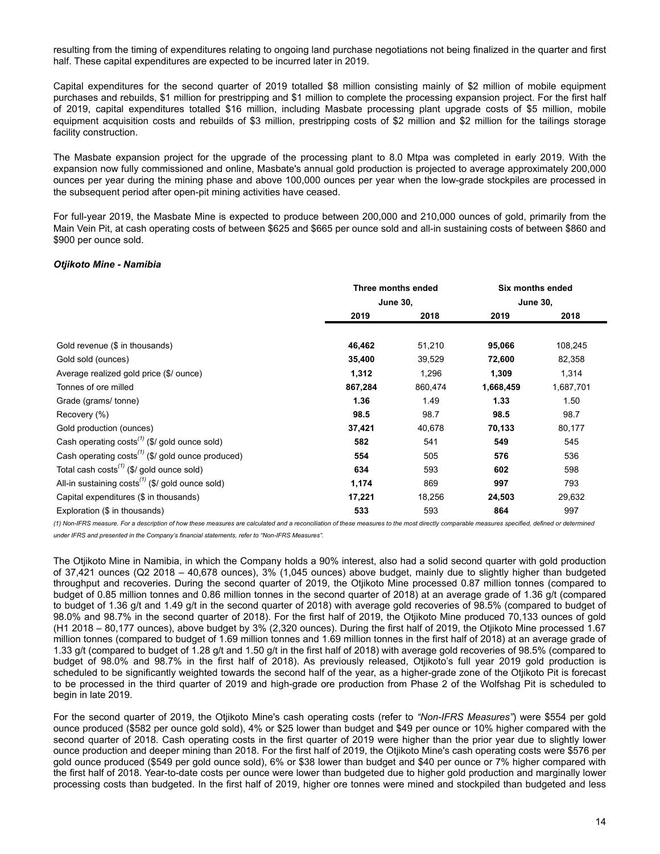resulting from the timing of expenditures relating to ongoing land purchase negotiations not being finalized in the quarter and first half. These capital expenditures are expected to be incurred later in 2019.

Capital expenditures for the second quarter of 2019 totalled \$8 million consisting mainly of \$2 million of mobile equipment purchases and rebuilds, \$1 million for prestripping and \$1 million to complete the processing expansion project. For the first half of 2019, capital expenditures totalled \$16 million, including Masbate processing plant upgrade costs of \$5 million, mobile equipment acquisition costs and rebuilds of \$3 million, prestripping costs of \$2 million and \$2 million for the tailings storage facility construction.

The Masbate expansion project for the upgrade of the processing plant to 8.0 Mtpa was completed in early 2019. With the expansion now fully commissioned and online, Masbate's annual gold production is projected to average approximately 200,000 ounces per year during the mining phase and above 100,000 ounces per year when the low-grade stockpiles are processed in the subsequent period after open-pit mining activities have ceased.

For full-year 2019, the Masbate Mine is expected to produce between 200,000 and 210,000 ounces of gold, primarily from the Main Vein Pit, at cash operating costs of between \$625 and \$665 per ounce sold and all-in sustaining costs of between \$860 and \$900 per ounce sold.

### *Otjikoto Mine - Namibia*

|                                                               | Three months ended |         | Six months ended |           |
|---------------------------------------------------------------|--------------------|---------|------------------|-----------|
|                                                               | <b>June 30,</b>    |         | <b>June 30,</b>  |           |
|                                                               | 2019               | 2018    | 2019             | 2018      |
|                                                               |                    |         |                  |           |
| Gold revenue (\$ in thousands)                                | 46,462             | 51,210  | 95,066           | 108,245   |
| Gold sold (ounces)                                            | 35,400             | 39,529  | 72,600           | 82,358    |
| Average realized gold price (\$/ ounce)                       | 1,312              | 1,296   | 1,309            | 1,314     |
| Tonnes of ore milled                                          | 867,284            | 860,474 | 1,668,459        | 1,687,701 |
| Grade (grams/tonne)                                           | 1.36               | 1.49    | 1.33             | 1.50      |
| Recovery (%)                                                  | 98.5               | 98.7    | 98.5             | 98.7      |
| Gold production (ounces)                                      | 37,421             | 40,678  | 70,133           | 80,177    |
| Cash operating $costs^{(1)}$ (\$/ gold ounce sold)            | 582                | 541     | 549              | 545       |
| Cash operating costs <sup>(1)</sup> (\$/ gold ounce produced) | 554                | 505     | 576              | 536       |
| Total cash $costs^{(1)}$ (\$/ gold ounce sold)                | 634                | 593     | 602              | 598       |
| All-in sustaining $costs^{(1)}$ (\$/ gold ounce sold)         | 1,174              | 869     | 997              | 793       |
| Capital expenditures (\$ in thousands)                        | 17,221             | 18,256  | 24,503           | 29,632    |
| Exploration (\$ in thousands)                                 | 533                | 593     | 864              | 997       |

(1) Non-IFRS measure. For a description of how these measures are calculated and a reconciliation of these measures to the most directly comparable measures specified, defined or determined *under IFRS and presented in the Company's financial statements, refer to "Non-IFRS Measures".*

The Otjikoto Mine in Namibia, in which the Company holds a 90% interest, also had a solid second quarter with gold production of 37,421 ounces (Q2 2018 – 40,678 ounces), 3% (1,045 ounces) above budget, mainly due to slightly higher than budgeted throughput and recoveries. During the second quarter of 2019, the Otjikoto Mine processed 0.87 million tonnes (compared to budget of 0.85 million tonnes and 0.86 million tonnes in the second quarter of 2018) at an average grade of 1.36 g/t (compared to budget of 1.36 g/t and 1.49 g/t in the second quarter of 2018) with average gold recoveries of 98.5% (compared to budget of 98.0% and 98.7% in the second quarter of 2018). For the first half of 2019, the Otjikoto Mine produced 70,133 ounces of gold (H1 2018 – 80,177 ounces), above budget by 3% (2,320 ounces). During the first half of 2019, the Otjikoto Mine processed 1.67 million tonnes (compared to budget of 1.69 million tonnes and 1.69 million tonnes in the first half of 2018) at an average grade of 1.33 g/t (compared to budget of 1.28 g/t and 1.50 g/t in the first half of 2018) with average gold recoveries of 98.5% (compared to budget of 98.0% and 98.7% in the first half of 2018). As previously released, Otjikoto's full year 2019 gold production is scheduled to be significantly weighted towards the second half of the year, as a higher-grade zone of the Otjikoto Pit is forecast to be processed in the third quarter of 2019 and high-grade ore production from Phase 2 of the Wolfshag Pit is scheduled to begin in late 2019.

For the second quarter of 2019, the Otjikoto Mine's cash operating costs (refer to *"Non-IFRS Measures"*) were \$554 per gold ounce produced (\$582 per ounce gold sold), 4% or \$25 lower than budget and \$49 per ounce or 10% higher compared with the second quarter of 2018. Cash operating costs in the first quarter of 2019 were higher than the prior year due to slightly lower ounce production and deeper mining than 2018. For the first half of 2019, the Otjikoto Mine's cash operating costs were \$576 per gold ounce produced (\$549 per gold ounce sold), 6% or \$38 lower than budget and \$40 per ounce or 7% higher compared with the first half of 2018. Year-to-date costs per ounce were lower than budgeted due to higher gold production and marginally lower processing costs than budgeted. In the first half of 2019, higher ore tonnes were mined and stockpiled than budgeted and less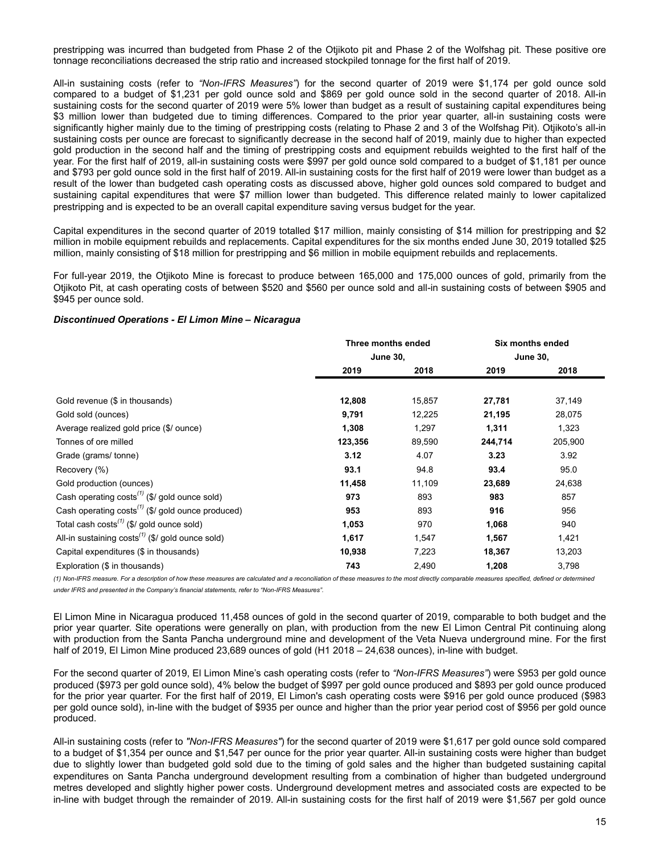prestripping was incurred than budgeted from Phase 2 of the Otjikoto pit and Phase 2 of the Wolfshag pit. These positive ore tonnage reconciliations decreased the strip ratio and increased stockpiled tonnage for the first half of 2019.

All-in sustaining costs (refer to *"Non-IFRS Measures"*) for the second quarter of 2019 were \$1,174 per gold ounce sold compared to a budget of \$1,231 per gold ounce sold and \$869 per gold ounce sold in the second quarter of 2018. All-in sustaining costs for the second quarter of 2019 were 5% lower than budget as a result of sustaining capital expenditures being \$3 million lower than budgeted due to timing differences. Compared to the prior year quarter, all-in sustaining costs were significantly higher mainly due to the timing of prestripping costs (relating to Phase 2 and 3 of the Wolfshag Pit). Otjikoto's all-in sustaining costs per ounce are forecast to significantly decrease in the second half of 2019, mainly due to higher than expected gold production in the second half and the timing of prestripping costs and equipment rebuilds weighted to the first half of the year. For the first half of 2019, all-in sustaining costs were \$997 per gold ounce sold compared to a budget of \$1,181 per ounce and \$793 per gold ounce sold in the first half of 2019. All-in sustaining costs for the first half of 2019 were lower than budget as a result of the lower than budgeted cash operating costs as discussed above, higher gold ounces sold compared to budget and sustaining capital expenditures that were \$7 million lower than budgeted. This difference related mainly to lower capitalized prestripping and is expected to be an overall capital expenditure saving versus budget for the year.

Capital expenditures in the second quarter of 2019 totalled \$17 million, mainly consisting of \$14 million for prestripping and \$2 million in mobile equipment rebuilds and replacements. Capital expenditures for the six months ended June 30, 2019 totalled \$25 million, mainly consisting of \$18 million for prestripping and \$6 million in mobile equipment rebuilds and replacements.

For full-year 2019, the Otjikoto Mine is forecast to produce between 165,000 and 175,000 ounces of gold, primarily from the Otjikoto Pit, at cash operating costs of between \$520 and \$560 per ounce sold and all-in sustaining costs of between \$905 and \$945 per ounce sold.

### *Discontinued Operations - El Limon Mine – Nicaragua*

|                                                                    | Three months ended |        | Six months ended |         |
|--------------------------------------------------------------------|--------------------|--------|------------------|---------|
|                                                                    | <b>June 30,</b>    |        | <b>June 30,</b>  |         |
|                                                                    | 2019               | 2018   | 2019             | 2018    |
|                                                                    |                    |        |                  |         |
| Gold revenue (\$ in thousands)                                     | 12,808             | 15,857 | 27,781           | 37,149  |
| Gold sold (ounces)                                                 | 9,791              | 12,225 | 21,195           | 28,075  |
| Average realized gold price (\$/ ounce)                            | 1,308              | 1,297  | 1,311            | 1,323   |
| Tonnes of ore milled                                               | 123,356            | 89,590 | 244,714          | 205,900 |
| Grade (grams/tonne)                                                | 3.12               | 4.07   | 3.23             | 3.92    |
| Recovery (%)                                                       | 93.1               | 94.8   | 93.4             | 95.0    |
| Gold production (ounces)                                           | 11,458             | 11,109 | 23,689           | 24,638  |
| Cash operating $costs^{(1)}$ (\$/ gold ounce sold)                 | 973                | 893    | 983              | 857     |
| Cash operating $costs^{(1)}$ (\$/ gold ounce produced)             | 953                | 893    | 916              | 956     |
| Total cash costs <sup><math>(1)</math></sup> (\$/ gold ounce sold) | 1,053              | 970    | 1,068            | 940     |
| All-in sustaining $costs^{(1)}$ (\$/ gold ounce sold)              | 1,617              | 1,547  | 1,567            | 1,421   |
| Capital expenditures (\$ in thousands)                             | 10,938             | 7,223  | 18,367           | 13,203  |
| Exploration (\$ in thousands)                                      | 743                | 2,490  | 1,208            | 3,798   |

(1) Non-IFRS measure. For a description of how these measures are calculated and a reconciliation of these measures to the most directly comparable measures specified, defined or determined

*under IFRS and presented in the Company's financial statements, refer to "Non-IFRS Measures".*

El Limon Mine in Nicaragua produced 11,458 ounces of gold in the second quarter of 2019, comparable to both budget and the prior year quarter. Site operations were generally on plan, with production from the new El Limon Central Pit continuing along with production from the Santa Pancha underground mine and development of the Veta Nueva underground mine. For the first half of 2019, El Limon Mine produced 23,689 ounces of gold (H1 2018 - 24,638 ounces), in-line with budget.

For the second quarter of 2019, El Limon Mine's cash operating costs (refer to *"Non-IFRS Measures"*) were \$953 per gold ounce produced (\$973 per gold ounce sold), 4% below the budget of \$997 per gold ounce produced and \$893 per gold ounce produced for the prior year quarter. For the first half of 2019, El Limon's cash operating costs were \$916 per gold ounce produced (\$983 per gold ounce sold), in-line with the budget of \$935 per ounce and higher than the prior year period cost of \$956 per gold ounce produced.

All-in sustaining costs (refer to *"Non-IFRS Measures"*) for the second quarter of 2019 were \$1,617 per gold ounce sold compared to a budget of \$1,354 per ounce and \$1,547 per ounce for the prior year quarter. All-in sustaining costs were higher than budget due to slightly lower than budgeted gold sold due to the timing of gold sales and the higher than budgeted sustaining capital expenditures on Santa Pancha underground development resulting from a combination of higher than budgeted underground metres developed and slightly higher power costs. Underground development metres and associated costs are expected to be in-line with budget through the remainder of 2019. All-in sustaining costs for the first half of 2019 were \$1,567 per gold ounce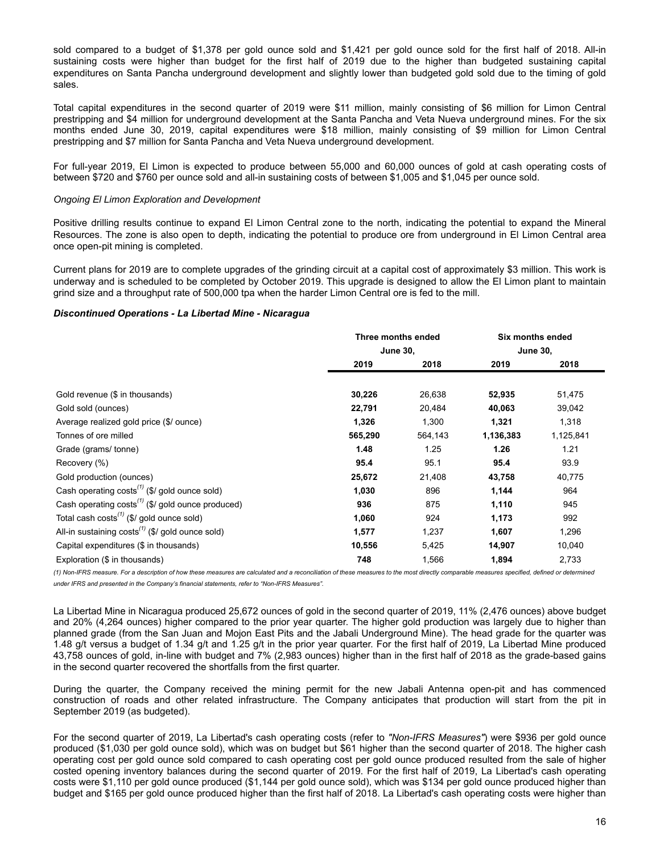sold compared to a budget of \$1,378 per gold ounce sold and \$1,421 per gold ounce sold for the first half of 2018. All-in sustaining costs were higher than budget for the first half of 2019 due to the higher than budgeted sustaining capital expenditures on Santa Pancha underground development and slightly lower than budgeted gold sold due to the timing of gold sales.

Total capital expenditures in the second quarter of 2019 were \$11 million, mainly consisting of \$6 million for Limon Central prestripping and \$4 million for underground development at the Santa Pancha and Veta Nueva underground mines. For the six months ended June 30, 2019, capital expenditures were \$18 million, mainly consisting of \$9 million for Limon Central prestripping and \$7 million for Santa Pancha and Veta Nueva underground development.

For full-year 2019, El Limon is expected to produce between 55,000 and 60,000 ounces of gold at cash operating costs of between \$720 and \$760 per ounce sold and all-in sustaining costs of between \$1,005 and \$1,045 per ounce sold.

### *Ongoing El Limon Exploration and Development*

Positive drilling results continue to expand El Limon Central zone to the north, indicating the potential to expand the Mineral Resources. The zone is also open to depth, indicating the potential to produce ore from underground in El Limon Central area once open-pit mining is completed.

Current plans for 2019 are to complete upgrades of the grinding circuit at a capital cost of approximately \$3 million. This work is underway and is scheduled to be completed by October 2019. This upgrade is designed to allow the El Limon plant to maintain grind size and a throughput rate of 500,000 tpa when the harder Limon Central ore is fed to the mill.

### *Discontinued Operations - La Libertad Mine - Nicaragua*

|                                                                    | Three months ended |         | Six months ended |           |
|--------------------------------------------------------------------|--------------------|---------|------------------|-----------|
|                                                                    | <b>June 30,</b>    |         | <b>June 30,</b>  |           |
|                                                                    | 2019               | 2018    | 2019             | 2018      |
|                                                                    |                    |         |                  |           |
| Gold revenue (\$ in thousands)                                     | 30,226             | 26,638  | 52,935           | 51,475    |
| Gold sold (ounces)                                                 | 22,791             | 20,484  | 40,063           | 39,042    |
| Average realized gold price (\$/ ounce)                            | 1,326              | 1,300   | 1,321            | 1,318     |
| Tonnes of ore milled                                               | 565,290            | 564,143 | 1,136,383        | 1,125,841 |
| Grade (grams/tonne)                                                | 1.48               | 1.25    | 1.26             | 1.21      |
| Recovery (%)                                                       | 95.4               | 95.1    | 95.4             | 93.9      |
| Gold production (ounces)                                           | 25,672             | 21,408  | 43,758           | 40,775    |
| Cash operating $costs^{(1)}$ (\$/ gold ounce sold)                 | 1,030              | 896     | 1,144            | 964       |
| Cash operating $costs^{(1)}$ (\$/ gold ounce produced)             | 936                | 875     | 1,110            | 945       |
| Total cash costs <sup><math>(1)</math></sup> (\$/ gold ounce sold) | 1,060              | 924     | 1,173            | 992       |
| All-in sustaining $costs^{(1)}$ (\$/ gold ounce sold)              | 1,577              | 1,237   | 1,607            | 1,296     |
| Capital expenditures (\$ in thousands)                             | 10,556             | 5,425   | 14,907           | 10,040    |
| Exploration (\$ in thousands)                                      | 748                | 1,566   | 1,894            | 2,733     |

(1) Non-IFRS measure. For a description of how these measures are calculated and a reconciliation of these measures to the most directly comparable measures specified, defined or determined *under IFRS and presented in the Company's financial statements, refer to "Non-IFRS Measures".*

La Libertad Mine in Nicaragua produced 25,672 ounces of gold in the second quarter of 2019, 11% (2,476 ounces) above budget and 20% (4,264 ounces) higher compared to the prior year quarter. The higher gold production was largely due to higher than planned grade (from the San Juan and Mojon East Pits and the Jabali Underground Mine). The head grade for the quarter was 1.48 g/t versus a budget of 1.34 g/t and 1.25 g/t in the prior year quarter. For the first half of 2019, La Libertad Mine produced 43,758 ounces of gold, in-line with budget and 7% (2,983 ounces) higher than in the first half of 2018 as the grade-based gains in the second quarter recovered the shortfalls from the first quarter.

During the quarter, the Company received the mining permit for the new Jabali Antenna open-pit and has commenced construction of roads and other related infrastructure. The Company anticipates that production will start from the pit in September 2019 (as budgeted).

For the second quarter of 2019, La Libertad's cash operating costs (refer to *"Non-IFRS Measures"*) were \$936 per gold ounce produced (\$1,030 per gold ounce sold), which was on budget but \$61 higher than the second quarter of 2018. The higher cash operating cost per gold ounce sold compared to cash operating cost per gold ounce produced resulted from the sale of higher costed opening inventory balances during the second quarter of 2019. For the first half of 2019, La Libertad's cash operating costs were \$1,110 per gold ounce produced (\$1,144 per gold ounce sold), which was \$134 per gold ounce produced higher than budget and \$165 per gold ounce produced higher than the first half of 2018. La Libertad's cash operating costs were higher than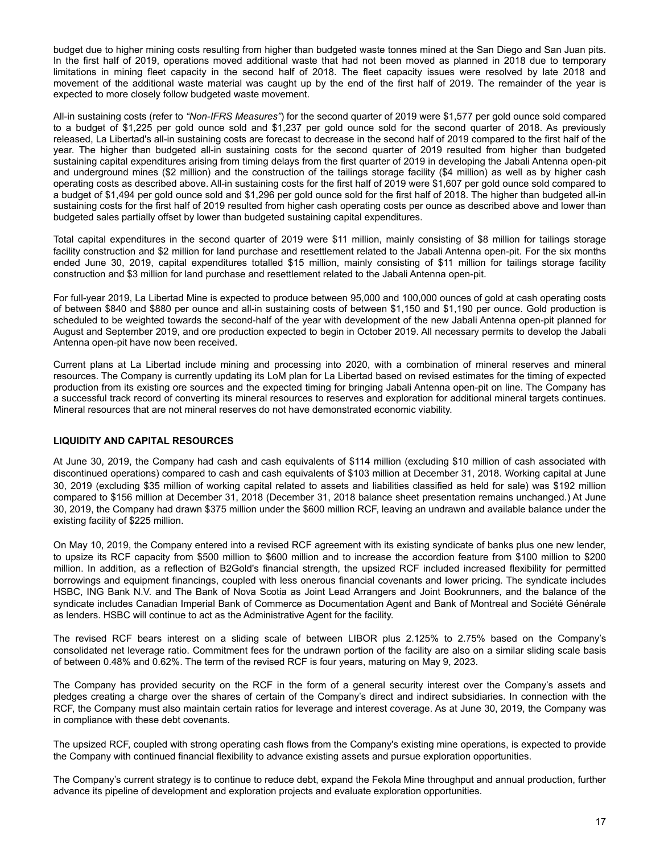<span id="page-16-0"></span>budget due to higher mining costs resulting from higher than budgeted waste tonnes mined at the San Diego and San Juan pits. In the first half of 2019, operations moved additional waste that had not been moved as planned in 2018 due to temporary limitations in mining fleet capacity in the second half of 2018. The fleet capacity issues were resolved by late 2018 and movement of the additional waste material was caught up by the end of the first half of 2019. The remainder of the year is expected to more closely follow budgeted waste movement.

All-in sustaining costs (refer to *"Non-IFRS Measures"*) for the second quarter of 2019 were \$1,577 per gold ounce sold compared to a budget of \$1,225 per gold ounce sold and \$1,237 per gold ounce sold for the second quarter of 2018. As previously released, La Libertad's all-in sustaining costs are forecast to decrease in the second half of 2019 compared to the first half of the year. The higher than budgeted all-in sustaining costs for the second quarter of 2019 resulted from higher than budgeted sustaining capital expenditures arising from timing delays from the first quarter of 2019 in developing the Jabali Antenna open-pit and underground mines (\$2 million) and the construction of the tailings storage facility (\$4 million) as well as by higher cash operating costs as described above. All-in sustaining costs for the first half of 2019 were \$1,607 per gold ounce sold compared to a budget of \$1,494 per gold ounce sold and \$1,296 per gold ounce sold for the first half of 2018. The higher than budgeted all-in sustaining costs for the first half of 2019 resulted from higher cash operating costs per ounce as described above and lower than budgeted sales partially offset by lower than budgeted sustaining capital expenditures.

Total capital expenditures in the second quarter of 2019 were \$11 million, mainly consisting of \$8 million for tailings storage facility construction and \$2 million for land purchase and resettlement related to the Jabali Antenna open-pit. For the six months ended June 30, 2019, capital expenditures totalled \$15 million, mainly consisting of \$11 million for tailings storage facility construction and \$3 million for land purchase and resettlement related to the Jabali Antenna open-pit.

For full-year 2019, La Libertad Mine is expected to produce between 95,000 and 100,000 ounces of gold at cash operating costs of between \$840 and \$880 per ounce and all-in sustaining costs of between \$1,150 and \$1,190 per ounce. Gold production is scheduled to be weighted towards the second-half of the year with development of the new Jabali Antenna open-pit planned for August and September 2019, and ore production expected to begin in October 2019. All necessary permits to develop the Jabali Antenna open-pit have now been received.

Current plans at La Libertad include mining and processing into 2020, with a combination of mineral reserves and mineral resources. The Company is currently updating its LoM plan for La Libertad based on revised estimates for the timing of expected production from its existing ore sources and the expected timing for bringing Jabali Antenna open-pit on line. The Company has a successful track record of converting its mineral resources to reserves and exploration for additional mineral targets continues. Mineral resources that are not mineral reserves do not have demonstrated economic viability.

## **LIQUIDITY AND CAPITAL RESOURCES**

At June 30, 2019, the Company had cash and cash equivalents of \$114 million (excluding \$10 million of cash associated with discontinued operations) compared to cash and cash equivalents of \$103 million at December 31, 2018. Working capital at June 30, 2019 (excluding \$35 million of working capital related to assets and liabilities classified as held for sale) was \$192 million compared to \$156 million at December 31, 2018 (December 31, 2018 balance sheet presentation remains unchanged.) At June 30, 2019, the Company had drawn \$375 million under the \$600 million RCF, leaving an undrawn and available balance under the existing facility of \$225 million.

On May 10, 2019, the Company entered into a revised RCF agreement with its existing syndicate of banks plus one new lender, to upsize its RCF capacity from \$500 million to \$600 million and to increase the accordion feature from \$100 million to \$200 million. In addition, as a reflection of B2Gold's financial strength, the upsized RCF included increased flexibility for permitted borrowings and equipment financings, coupled with less onerous financial covenants and lower pricing. The syndicate includes HSBC, ING Bank N.V. and The Bank of Nova Scotia as Joint Lead Arrangers and Joint Bookrunners, and the balance of the syndicate includes Canadian Imperial Bank of Commerce as Documentation Agent and Bank of Montreal and Société Générale as lenders. HSBC will continue to act as the Administrative Agent for the facility.

The revised RCF bears interest on a sliding scale of between LIBOR plus 2.125% to 2.75% based on the Company's consolidated net leverage ratio. Commitment fees for the undrawn portion of the facility are also on a similar sliding scale basis of between 0.48% and 0.62%. The term of the revised RCF is four years, maturing on May 9, 2023.

The Company has provided security on the RCF in the form of a general security interest over the Company's assets and pledges creating a charge over the shares of certain of the Company's direct and indirect subsidiaries. In connection with the RCF, the Company must also maintain certain ratios for leverage and interest coverage. As at June 30, 2019, the Company was in compliance with these debt covenants.

The upsized RCF, coupled with strong operating cash flows from the Company's existing mine operations, is expected to provide the Company with continued financial flexibility to advance existing assets and pursue exploration opportunities.

The Company's current strategy is to continue to reduce debt, expand the Fekola Mine throughput and annual production, further advance its pipeline of development and exploration projects and evaluate exploration opportunities.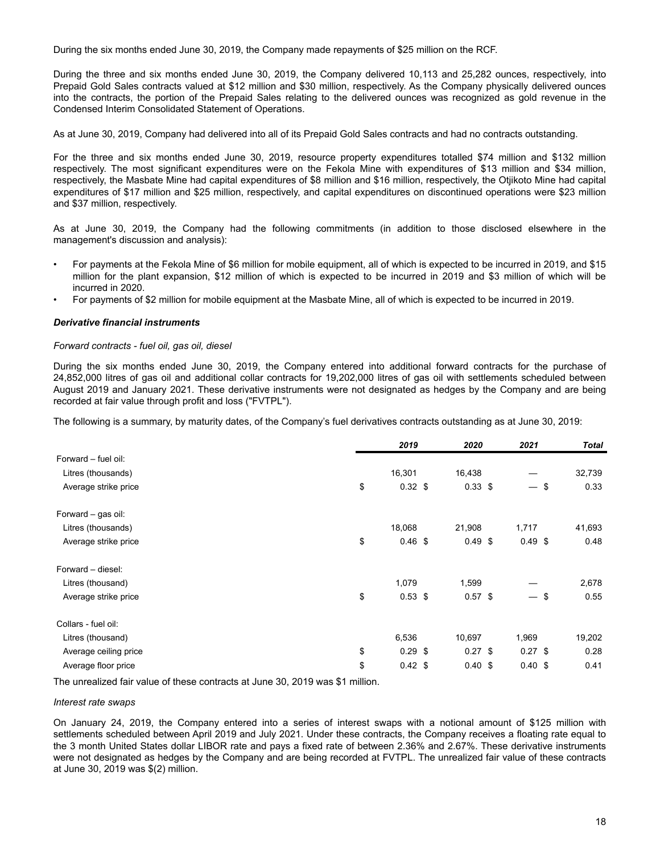During the six months ended June 30, 2019, the Company made repayments of \$25 million on the RCF.

During the three and six months ended June 30, 2019, the Company delivered 10,113 and 25,282 ounces, respectively, into Prepaid Gold Sales contracts valued at \$12 million and \$30 million, respectively. As the Company physically delivered ounces into the contracts, the portion of the Prepaid Sales relating to the delivered ounces was recognized as gold revenue in the Condensed Interim Consolidated Statement of Operations.

As at June 30, 2019, Company had delivered into all of its Prepaid Gold Sales contracts and had no contracts outstanding.

For the three and six months ended June 30, 2019, resource property expenditures totalled \$74 million and \$132 million respectively. The most significant expenditures were on the Fekola Mine with expenditures of \$13 million and \$34 million, respectively, the Masbate Mine had capital expenditures of \$8 million and \$16 million, respectively, the Otjikoto Mine had capital expenditures of \$17 million and \$25 million, respectively, and capital expenditures on discontinued operations were \$23 million and \$37 million, respectively.

As at June 30, 2019, the Company had the following commitments (in addition to those disclosed elsewhere in the management's discussion and analysis):

- For payments at the Fekola Mine of \$6 million for mobile equipment, all of which is expected to be incurred in 2019, and \$15 million for the plant expansion, \$12 million of which is expected to be incurred in 2019 and \$3 million of which will be incurred in 2020.
- For payments of \$2 million for mobile equipment at the Masbate Mine, all of which is expected to be incurred in 2019.

### *Derivative financial instruments*

### *Forward contracts - fuel oil, gas oil, diesel*

During the six months ended June 30, 2019, the Company entered into additional forward contracts for the purchase of 24,852,000 litres of gas oil and additional collar contracts for 19,202,000 litres of gas oil with settlements scheduled between August 2019 and January 2021. These derivative instruments were not designated as hedges by the Company and are being recorded at fair value through profit and loss ("FVTPL").

The following is a summary, by maturity dates, of the Company's fuel derivatives contracts outstanding as at June 30, 2019:

|                       | 2019            | 2020      | 2021      |     | <b>Total</b> |
|-----------------------|-----------------|-----------|-----------|-----|--------------|
| Forward - fuel oil:   |                 |           |           |     |              |
| Litres (thousands)    | 16,301          | 16,438    |           |     | 32,739       |
| Average strike price  | \$<br>$0.32$ \$ | $0.33$ \$ |           | \$  | 0.33         |
| Forward – gas oil:    |                 |           |           |     |              |
| Litres (thousands)    | 18,068          | 21,908    | 1,717     |     | 41,693       |
| Average strike price  | \$<br>0.46~\$   | $0.49$ \$ | $0.49$ \$ |     | 0.48         |
| Forward - diesel:     |                 |           |           |     |              |
| Litres (thousand)     | 1,079           | 1,599     |           |     | 2,678        |
| Average strike price  | \$<br>$0.53$ \$ | $0.57$ \$ |           | -\$ | 0.55         |
| Collars - fuel oil:   |                 |           |           |     |              |
| Litres (thousand)     | 6,536           | 10,697    | 1,969     |     | 19,202       |
| Average ceiling price | \$<br>$0.29$ \$ | $0.27$ \$ | $0.27$ \$ |     | 0.28         |
| Average floor price   | \$<br>$0.42$ \$ | 0.40~\$   | 0.40~\$   |     | 0.41         |

The unrealized fair value of these contracts at June 30, 2019 was \$1 million.

#### *Interest rate swaps*

On January 24, 2019, the Company entered into a series of interest swaps with a notional amount of \$125 million with settlements scheduled between April 2019 and July 2021. Under these contracts, the Company receives a floating rate equal to the 3 month United States dollar LIBOR rate and pays a fixed rate of between 2.36% and 2.67%. These derivative instruments were not designated as hedges by the Company and are being recorded at FVTPL. The unrealized fair value of these contracts at June 30, 2019 was \$(2) million.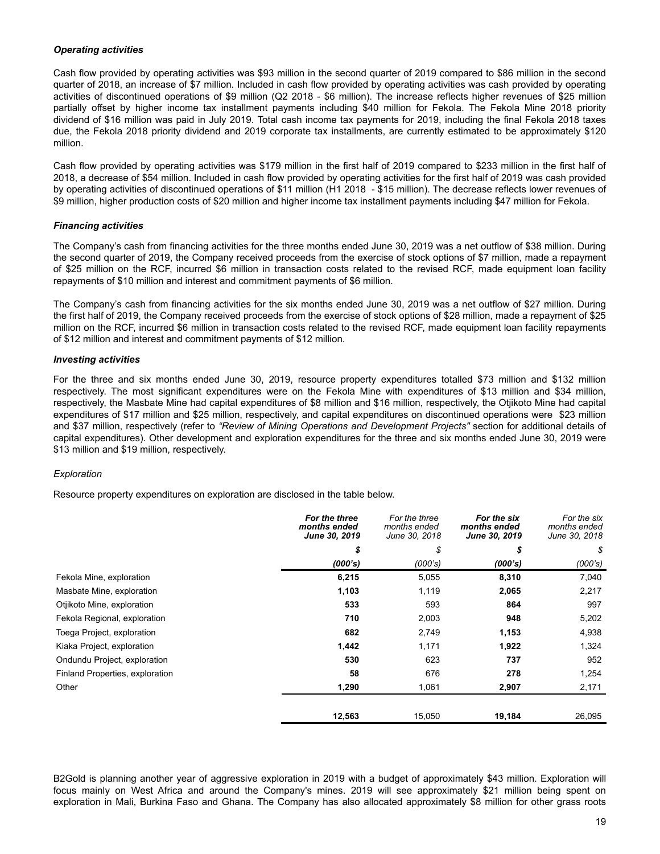## *Operating activities*

Cash flow provided by operating activities was \$93 million in the second quarter of 2019 compared to \$86 million in the second quarter of 2018, an increase of \$7 million. Included in cash flow provided by operating activities was cash provided by operating activities of discontinued operations of \$9 million (Q2 2018 - \$6 million). The increase reflects higher revenues of \$25 million partially offset by higher income tax installment payments including \$40 million for Fekola. The Fekola Mine 2018 priority dividend of \$16 million was paid in July 2019. Total cash income tax payments for 2019, including the final Fekola 2018 taxes due, the Fekola 2018 priority dividend and 2019 corporate tax installments, are currently estimated to be approximately \$120 million.

Cash flow provided by operating activities was \$179 million in the first half of 2019 compared to \$233 million in the first half of 2018, a decrease of \$54 million. Included in cash flow provided by operating activities for the first half of 2019 was cash provided by operating activities of discontinued operations of \$11 million (H1 2018 - \$15 million). The decrease reflects lower revenues of \$9 million, higher production costs of \$20 million and higher income tax installment payments including \$47 million for Fekola.

## *Financing activities*

The Company's cash from financing activities for the three months ended June 30, 2019 was a net outflow of \$38 million. During the second quarter of 2019, the Company received proceeds from the exercise of stock options of \$7 million, made a repayment of \$25 million on the RCF, incurred \$6 million in transaction costs related to the revised RCF, made equipment loan facility repayments of \$10 million and interest and commitment payments of \$6 million.

The Company's cash from financing activities for the six months ended June 30, 2019 was a net outflow of \$27 million. During the first half of 2019, the Company received proceeds from the exercise of stock options of \$28 million, made a repayment of \$25 million on the RCF, incurred \$6 million in transaction costs related to the revised RCF, made equipment loan facility repayments of \$12 million and interest and commitment payments of \$12 million.

## *Investing activities*

For the three and six months ended June 30, 2019, resource property expenditures totalled \$73 million and \$132 million respectively. The most significant expenditures were on the Fekola Mine with expenditures of \$13 million and \$34 million, respectively, the Masbate Mine had capital expenditures of \$8 million and \$16 million, respectively, the Otjikoto Mine had capital expenditures of \$17 million and \$25 million, respectively, and capital expenditures on discontinued operations were \$23 million and \$37 million, respectively (refer to *"Review of Mining Operations and Development Projects"* section for additional details of capital expenditures). Other development and exploration expenditures for the three and six months ended June 30, 2019 were \$13 million and \$19 million, respectively.

## *Exploration*

Resource property expenditures on exploration are disclosed in the table below.

|                                 | For the three<br>months ended<br>June 30, 2019 | For the three<br>months ended<br>June 30, 2018 | For the six<br>months ended<br>June 30, 2019 | For the six<br>months ended<br>June 30, 2018 |
|---------------------------------|------------------------------------------------|------------------------------------------------|----------------------------------------------|----------------------------------------------|
|                                 | \$                                             | \$                                             | \$                                           | \$                                           |
|                                 | (000's)                                        | (000's)                                        | (000's)                                      | (000's)                                      |
| Fekola Mine, exploration        | 6,215                                          | 5,055                                          | 8,310                                        | 7,040                                        |
| Masbate Mine, exploration       | 1,103                                          | 1,119                                          | 2,065                                        | 2,217                                        |
| Otjikoto Mine, exploration      | 533                                            | 593                                            | 864                                          | 997                                          |
| Fekola Regional, exploration    | 710                                            | 2,003                                          | 948                                          | 5,202                                        |
| Toega Project, exploration      | 682                                            | 2,749                                          | 1,153                                        | 4,938                                        |
| Kiaka Project, exploration      | 1,442                                          | 1,171                                          | 1,922                                        | 1,324                                        |
| Ondundu Project, exploration    | 530                                            | 623                                            | 737                                          | 952                                          |
| Finland Properties, exploration | 58                                             | 676                                            | 278                                          | 1,254                                        |
| Other                           | 1,290                                          | 1,061                                          | 2,907                                        | 2,171                                        |
|                                 | 12,563                                         | 15,050                                         | 19,184                                       | 26,095                                       |

B2Gold is planning another year of aggressive exploration in 2019 with a budget of approximately \$43 million. Exploration will focus mainly on West Africa and around the Company's mines. 2019 will see approximately \$21 million being spent on exploration in Mali, Burkina Faso and Ghana. The Company has also allocated approximately \$8 million for other grass roots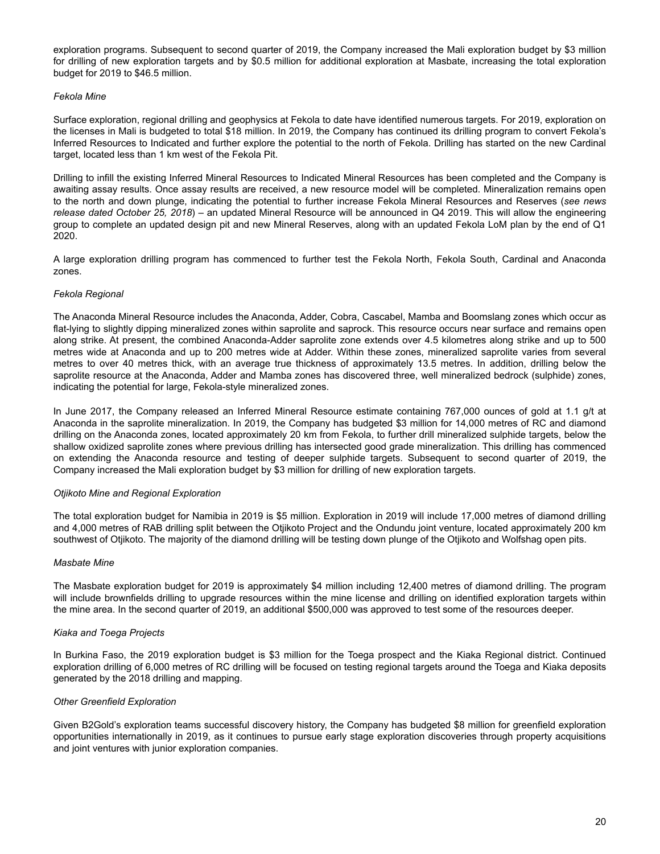exploration programs. Subsequent to second quarter of 2019, the Company increased the Mali exploration budget by \$3 million for drilling of new exploration targets and by \$0.5 million for additional exploration at Masbate, increasing the total exploration budget for 2019 to \$46.5 million.

### *Fekola Mine*

Surface exploration, regional drilling and geophysics at Fekola to date have identified numerous targets. For 2019, exploration on the licenses in Mali is budgeted to total \$18 million. In 2019, the Company has continued its drilling program to convert Fekola's Inferred Resources to Indicated and further explore the potential to the north of Fekola. Drilling has started on the new Cardinal target, located less than 1 km west of the Fekola Pit.

Drilling to infill the existing Inferred Mineral Resources to Indicated Mineral Resources has been completed and the Company is awaiting assay results. Once assay results are received, a new resource model will be completed. Mineralization remains open to the north and down plunge, indicating the potential to further increase Fekola Mineral Resources and Reserves (*see news release dated October 25, 2018*) – an updated Mineral Resource will be announced in Q4 2019. This will allow the engineering group to complete an updated design pit and new Mineral Reserves, along with an updated Fekola LoM plan by the end of Q1 2020.

A large exploration drilling program has commenced to further test the Fekola North, Fekola South, Cardinal and Anaconda zones.

## *Fekola Regional*

The Anaconda Mineral Resource includes the Anaconda, Adder, Cobra, Cascabel, Mamba and Boomslang zones which occur as flat-lying to slightly dipping mineralized zones within saprolite and saprock. This resource occurs near surface and remains open along strike. At present, the combined Anaconda-Adder saprolite zone extends over 4.5 kilometres along strike and up to 500 metres wide at Anaconda and up to 200 metres wide at Adder. Within these zones, mineralized saprolite varies from several metres to over 40 metres thick, with an average true thickness of approximately 13.5 metres. In addition, drilling below the saprolite resource at the Anaconda, Adder and Mamba zones has discovered three, well mineralized bedrock (sulphide) zones, indicating the potential for large, Fekola-style mineralized zones.

In June 2017, the Company released an Inferred Mineral Resource estimate containing 767,000 ounces of gold at 1.1 g/t at Anaconda in the saprolite mineralization. In 2019, the Company has budgeted \$3 million for 14,000 metres of RC and diamond drilling on the Anaconda zones, located approximately 20 km from Fekola, to further drill mineralized sulphide targets, below the shallow oxidized saprolite zones where previous drilling has intersected good grade mineralization. This drilling has commenced on extending the Anaconda resource and testing of deeper sulphide targets. Subsequent to second quarter of 2019, the Company increased the Mali exploration budget by \$3 million for drilling of new exploration targets.

### *Otjikoto Mine and Regional Exploration*

The total exploration budget for Namibia in 2019 is \$5 million. Exploration in 2019 will include 17,000 metres of diamond drilling and 4,000 metres of RAB drilling split between the Otjikoto Project and the Ondundu joint venture, located approximately 200 km southwest of Otjikoto. The majority of the diamond drilling will be testing down plunge of the Otjikoto and Wolfshag open pits.

### *Masbate Mine*

The Masbate exploration budget for 2019 is approximately \$4 million including 12,400 metres of diamond drilling. The program will include brownfields drilling to upgrade resources within the mine license and drilling on identified exploration targets within the mine area. In the second quarter of 2019, an additional \$500,000 was approved to test some of the resources deeper.

### *Kiaka and Toega Projects*

In Burkina Faso, the 2019 exploration budget is \$3 million for the Toega prospect and the Kiaka Regional district. Continued exploration drilling of 6,000 metres of RC drilling will be focused on testing regional targets around the Toega and Kiaka deposits generated by the 2018 drilling and mapping.

### *Other Greenfield Exploration*

Given B2Gold's exploration teams successful discovery history, the Company has budgeted \$8 million for greenfield exploration opportunities internationally in 2019, as it continues to pursue early stage exploration discoveries through property acquisitions and joint ventures with junior exploration companies.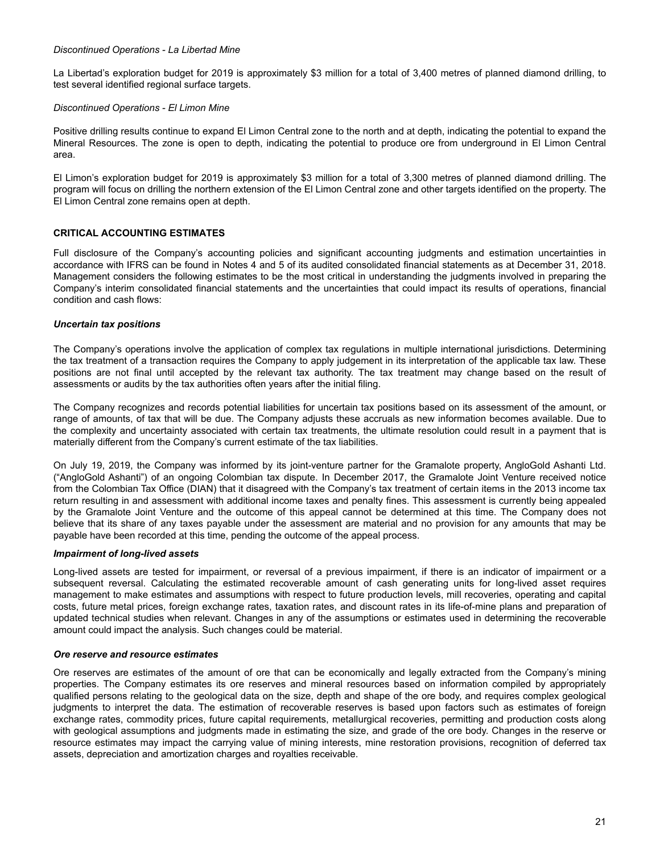### <span id="page-20-0"></span>*Discontinued Operations - La Libertad Mine*

La Libertad's exploration budget for 2019 is approximately \$3 million for a total of 3,400 metres of planned diamond drilling, to test several identified regional surface targets.

### *Discontinued Operations - El Limon Mine*

Positive drilling results continue to expand El Limon Central zone to the north and at depth, indicating the potential to expand the Mineral Resources. The zone is open to depth, indicating the potential to produce ore from underground in El Limon Central area.

El Limon's exploration budget for 2019 is approximately \$3 million for a total of 3,300 metres of planned diamond drilling. The program will focus on drilling the northern extension of the El Limon Central zone and other targets identified on the property. The El Limon Central zone remains open at depth.

### **CRITICAL ACCOUNTING ESTIMATES**

Full disclosure of the Company's accounting policies and significant accounting judgments and estimation uncertainties in accordance with IFRS can be found in Notes 4 and 5 of its audited consolidated financial statements as at December 31, 2018. Management considers the following estimates to be the most critical in understanding the judgments involved in preparing the Company's interim consolidated financial statements and the uncertainties that could impact its results of operations, financial condition and cash flows:

### *Uncertain tax positions*

The Company's operations involve the application of complex tax regulations in multiple international jurisdictions. Determining the tax treatment of a transaction requires the Company to apply judgement in its interpretation of the applicable tax law. These positions are not final until accepted by the relevant tax authority. The tax treatment may change based on the result of assessments or audits by the tax authorities often years after the initial filing.

The Company recognizes and records potential liabilities for uncertain tax positions based on its assessment of the amount, or range of amounts, of tax that will be due. The Company adjusts these accruals as new information becomes available. Due to the complexity and uncertainty associated with certain tax treatments, the ultimate resolution could result in a payment that is materially different from the Company's current estimate of the tax liabilities.

On July 19, 2019, the Company was informed by its joint-venture partner for the Gramalote property, AngloGold Ashanti Ltd. ("AngloGold Ashanti") of an ongoing Colombian tax dispute. In December 2017, the Gramalote Joint Venture received notice from the Colombian Tax Office (DIAN) that it disagreed with the Company's tax treatment of certain items in the 2013 income tax return resulting in and assessment with additional income taxes and penalty fines. This assessment is currently being appealed by the Gramalote Joint Venture and the outcome of this appeal cannot be determined at this time. The Company does not believe that its share of any taxes payable under the assessment are material and no provision for any amounts that may be payable have been recorded at this time, pending the outcome of the appeal process.

#### *Impairment of long-lived assets*

Long-lived assets are tested for impairment, or reversal of a previous impairment, if there is an indicator of impairment or a subsequent reversal. Calculating the estimated recoverable amount of cash generating units for long-lived asset requires management to make estimates and assumptions with respect to future production levels, mill recoveries, operating and capital costs, future metal prices, foreign exchange rates, taxation rates, and discount rates in its life-of-mine plans and preparation of updated technical studies when relevant. Changes in any of the assumptions or estimates used in determining the recoverable amount could impact the analysis. Such changes could be material.

#### *Ore reserve and resource estimates*

Ore reserves are estimates of the amount of ore that can be economically and legally extracted from the Company's mining properties. The Company estimates its ore reserves and mineral resources based on information compiled by appropriately qualified persons relating to the geological data on the size, depth and shape of the ore body, and requires complex geological judgments to interpret the data. The estimation of recoverable reserves is based upon factors such as estimates of foreign exchange rates, commodity prices, future capital requirements, metallurgical recoveries, permitting and production costs along with geological assumptions and judgments made in estimating the size, and grade of the ore body. Changes in the reserve or resource estimates may impact the carrying value of mining interests, mine restoration provisions, recognition of deferred tax assets, depreciation and amortization charges and royalties receivable.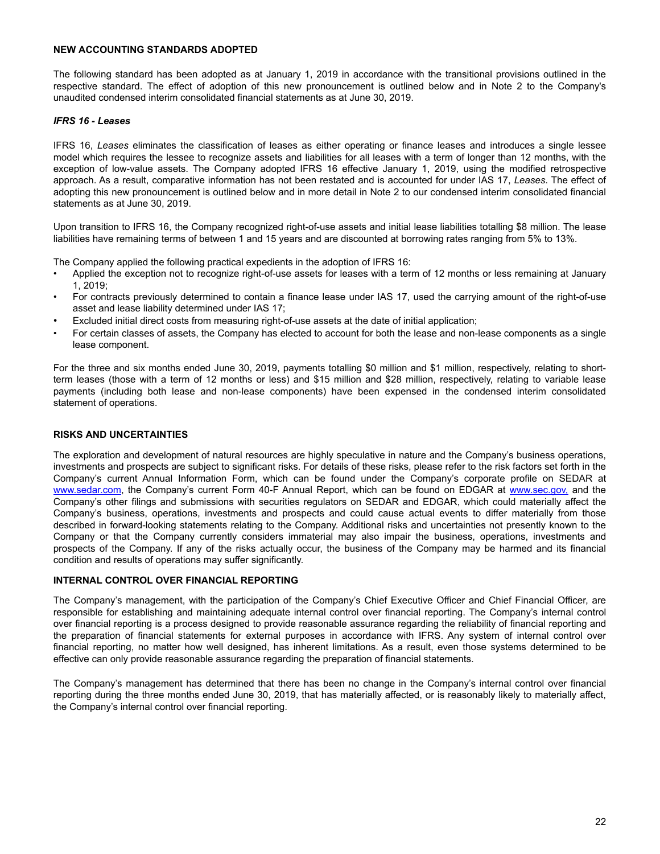## <span id="page-21-0"></span>**NEW ACCOUNTING STANDARDS ADOPTED**

The following standard has been adopted as at January 1, 2019 in accordance with the transitional provisions outlined in the respective standard. The effect of adoption of this new pronouncement is outlined below and in Note 2 to the Company's unaudited condensed interim consolidated financial statements as at June 30, 2019.

### *IFRS 16 - Leases*

IFRS 16, *Leases* eliminates the classification of leases as either operating or finance leases and introduces a single lessee model which requires the lessee to recognize assets and liabilities for all leases with a term of longer than 12 months, with the exception of low-value assets. The Company adopted IFRS 16 effective January 1, 2019, using the modified retrospective approach. As a result, comparative information has not been restated and is accounted for under IAS 17, *Leases*. The effect of adopting this new pronouncement is outlined below and in more detail in Note 2 to our condensed interim consolidated financial statements as at June 30, 2019.

Upon transition to IFRS 16, the Company recognized right-of-use assets and initial lease liabilities totalling \$8 million. The lease liabilities have remaining terms of between 1 and 15 years and are discounted at borrowing rates ranging from 5% to 13%.

The Company applied the following practical expedients in the adoption of IFRS 16:

- Applied the exception not to recognize right-of-use assets for leases with a term of 12 months or less remaining at January 1, 2019;
- For contracts previously determined to contain a finance lease under IAS 17, used the carrying amount of the right-of-use asset and lease liability determined under IAS 17;
- Excluded initial direct costs from measuring right-of-use assets at the date of initial application;
- For certain classes of assets, the Company has elected to account for both the lease and non-lease components as a single lease component.

For the three and six months ended June 30, 2019, payments totalling \$0 million and \$1 million, respectively, relating to shortterm leases (those with a term of 12 months or less) and \$15 million and \$28 million, respectively, relating to variable lease payments (including both lease and non-lease components) have been expensed in the condensed interim consolidated statement of operations.

## **RISKS AND UNCERTAINTIES**

The exploration and development of natural resources are highly speculative in nature and the Company's business operations, investments and prospects are subject to significant risks. For details of these risks, please refer to the risk factors set forth in the Company's current Annual Information Form, which can be found under the Company's corporate profile on SEDAR at www.sedar.com, the Company's current Form 40-F Annual Report, which can be found on EDGAR at www.sec.gov, and the Company's other filings and submissions with securities regulators on SEDAR and EDGAR, which could materially affect the Company's business, operations, investments and prospects and could cause actual events to differ materially from those described in forward-looking statements relating to the Company. Additional risks and uncertainties not presently known to the Company or that the Company currently considers immaterial may also impair the business, operations, investments and prospects of the Company. If any of the risks actually occur, the business of the Company may be harmed and its financial condition and results of operations may suffer significantly.

### **INTERNAL CONTROL OVER FINANCIAL REPORTING**

The Company's management, with the participation of the Company's Chief Executive Officer and Chief Financial Officer, are responsible for establishing and maintaining adequate internal control over financial reporting. The Company's internal control over financial reporting is a process designed to provide reasonable assurance regarding the reliability of financial reporting and the preparation of financial statements for external purposes in accordance with IFRS. Any system of internal control over financial reporting, no matter how well designed, has inherent limitations. As a result, even those systems determined to be effective can only provide reasonable assurance regarding the preparation of financial statements.

The Company's management has determined that there has been no change in the Company's internal control over financial reporting during the three months ended June 30, 2019, that has materially affected, or is reasonably likely to materially affect, the Company's internal control over financial reporting.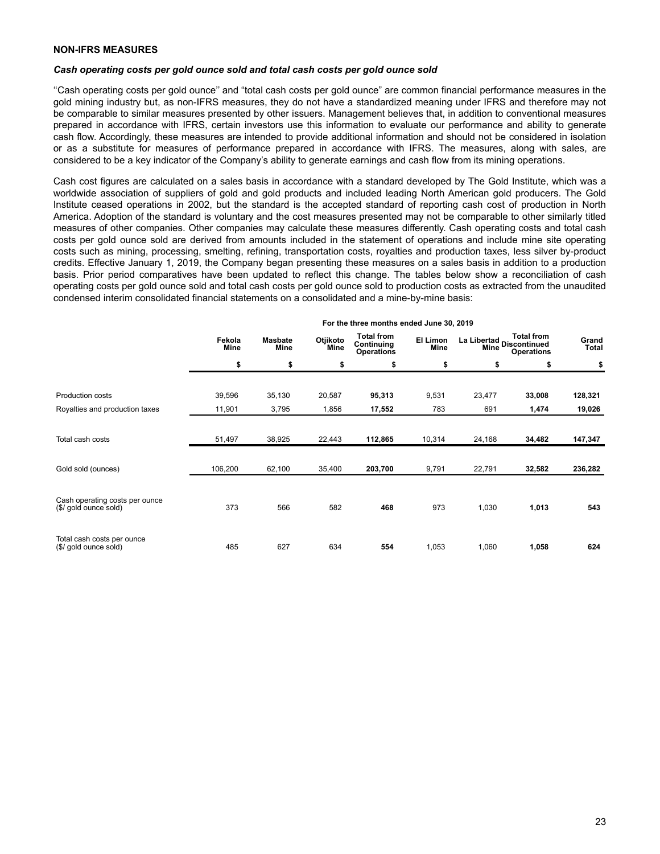### <span id="page-22-0"></span>**NON-IFRS MEASURES**

### *Cash operating costs per gold ounce sold and total cash costs per gold ounce sold*

''Cash operating costs per gold ounce'' and "total cash costs per gold ounce" are common financial performance measures in the gold mining industry but, as non-IFRS measures, they do not have a standardized meaning under IFRS and therefore may not be comparable to similar measures presented by other issuers. Management believes that, in addition to conventional measures prepared in accordance with IFRS, certain investors use this information to evaluate our performance and ability to generate cash flow. Accordingly, these measures are intended to provide additional information and should not be considered in isolation or as a substitute for measures of performance prepared in accordance with IFRS. The measures, along with sales, are considered to be a key indicator of the Company's ability to generate earnings and cash flow from its mining operations.

Cash cost figures are calculated on a sales basis in accordance with a standard developed by The Gold Institute, which was a worldwide association of suppliers of gold and gold products and included leading North American gold producers. The Gold Institute ceased operations in 2002, but the standard is the accepted standard of reporting cash cost of production in North America. Adoption of the standard is voluntary and the cost measures presented may not be comparable to other similarly titled measures of other companies. Other companies may calculate these measures differently. Cash operating costs and total cash costs per gold ounce sold are derived from amounts included in the statement of operations and include mine site operating costs such as mining, processing, smelting, refining, transportation costs, royalties and production taxes, less silver by-product credits. Effective January 1, 2019, the Company began presenting these measures on a sales basis in addition to a production basis. Prior period comparatives have been updated to reflect this change. The tables below show a reconciliation of cash operating costs per gold ounce sold and total cash costs per gold ounce sold to production costs as extracted from the unaudited condensed interim consolidated financial statements on a consolidated and a mine-by-mine basis:

|                                                         | For the three months ended June 30, 2019 |                        |                  |                                                      |                  |                                                                            |        |                |  |  |
|---------------------------------------------------------|------------------------------------------|------------------------|------------------|------------------------------------------------------|------------------|----------------------------------------------------------------------------|--------|----------------|--|--|
|                                                         | Fekola<br>Mine                           | <b>Masbate</b><br>Mine | Otjikoto<br>Mine | <b>Total from</b><br>Continuing<br><b>Operations</b> | El Limon<br>Mine | <b>Total from</b><br>La Libertad Discontinued<br>Mine<br><b>Operations</b> |        | Grand<br>Total |  |  |
|                                                         | \$                                       | \$                     | \$               | \$                                                   | \$               | \$                                                                         | \$     | \$             |  |  |
| Production costs                                        | 39,596                                   | 35,130                 | 20,587           | 95,313                                               | 9,531            | 23,477                                                                     | 33,008 | 128,321        |  |  |
| Royalties and production taxes                          | 11,901                                   | 3,795                  | 1,856            | 17,552                                               | 783              | 691                                                                        | 1,474  | 19,026         |  |  |
| Total cash costs                                        | 51,497                                   | 38,925                 | 22,443           | 112,865                                              | 10,314           | 24,168                                                                     | 34,482 | 147,347        |  |  |
| Gold sold (ounces)                                      | 106,200                                  | 62,100                 | 35,400           | 203,700                                              | 9,791            | 22,791                                                                     | 32,582 | 236,282        |  |  |
| Cash operating costs per ounce<br>(\$/ gold ounce sold) | 373                                      | 566                    | 582              | 468                                                  | 973              | 1,030                                                                      | 1,013  | 543            |  |  |
| Total cash costs per ounce<br>(\$/ gold ounce sold)     | 485                                      | 627                    | 634              | 554                                                  | 1,053            | 1,060                                                                      | 1,058  | 624            |  |  |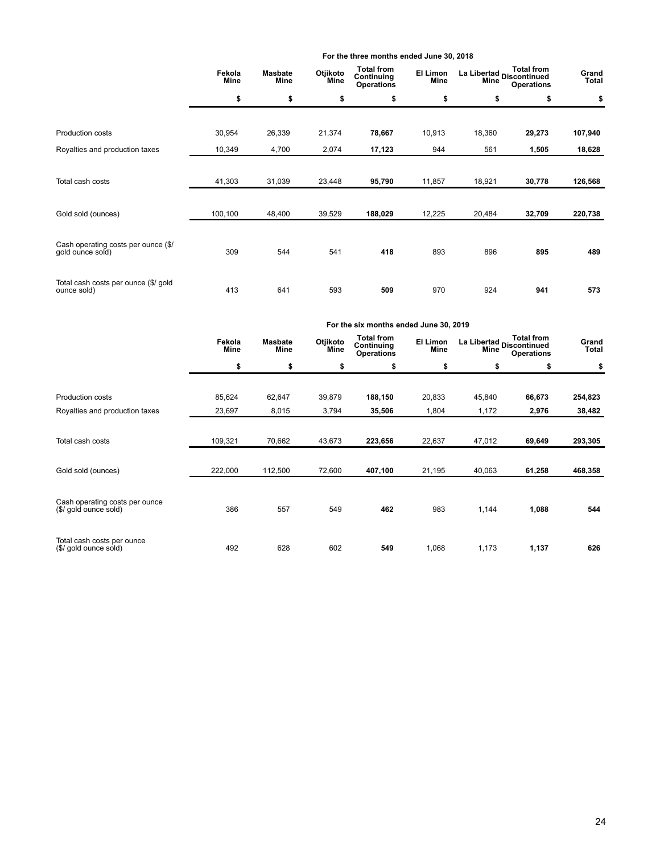|                                                         |                |                        |                  | For the three months ended June 30, 2018             |                  |                             |                   |                       |
|---------------------------------------------------------|----------------|------------------------|------------------|------------------------------------------------------|------------------|-----------------------------|-------------------|-----------------------|
|                                                         | Fekola<br>Mine | <b>Masbate</b><br>Mine | Otjikoto<br>Mine | <b>Total from</b><br>Continuing<br><b>Operations</b> | El Limon<br>Mine | La Libertad<br>Discontinued | <b>Operations</b> | Grand<br><b>Total</b> |
|                                                         | \$             | \$                     | \$               | \$                                                   | \$               | \$                          | \$                | \$                    |
| Production costs                                        | 30,954         | 26,339                 | 21,374           | 78,667                                               | 10,913           | 18,360                      | 29,273            | 107,940               |
| Royalties and production taxes                          | 10,349         | 4,700                  | 2,074            | 17,123                                               | 944              | 561                         | 1,505             | 18,628                |
| Total cash costs                                        | 41,303         | 31,039                 | 23,448           | 95,790                                               | 11,857           | 18,921                      | 30,778            | 126,568               |
| Gold sold (ounces)                                      | 100,100        | 48,400                 | 39,529           | 188,029                                              | 12,225           | 20,484                      | 32,709            | 220,738               |
| Cash operating costs per ounce (\$/<br>gold ounce sold) | 309            | 544                    | 541              | 418                                                  | 893              | 896                         | 895               | 489                   |
| Total cash costs per ounce (\$/ gold<br>ounce sold)     | 413            | 641                    | 593              | 509                                                  | 970              | 924                         | 941               | 573                   |

|                                                         |                |                               |                  | For the six months ended June 30, 2019               |                  |                          |                   |                |
|---------------------------------------------------------|----------------|-------------------------------|------------------|------------------------------------------------------|------------------|--------------------------|-------------------|----------------|
|                                                         | Fekola<br>Mine | <b>Masbate</b><br><b>Mine</b> | Otjikoto<br>Mine | <b>Total from</b><br>Continuing<br><b>Operations</b> | El Limon<br>Mine | La Libertad<br>Continued | <b>Operations</b> | Grand<br>Total |
|                                                         | \$             | \$                            | \$               | \$                                                   | \$               | \$                       | \$                | \$             |
| <b>Production costs</b>                                 | 85,624         | 62,647                        | 39,879           | 188,150                                              | 20,833           | 45,840                   | 66,673            | 254,823        |
| Royalties and production taxes                          | 23,697         | 8,015                         | 3,794            | 35,506                                               | 1,804            | 1,172                    | 2,976             | 38,482         |
| Total cash costs                                        | 109,321        | 70,662                        | 43,673           | 223,656                                              | 22,637           | 47,012                   | 69,649            | 293,305        |
| Gold sold (ounces)                                      | 222,000        | 112,500                       | 72,600           | 407,100                                              | 21,195           | 40,063                   | 61,258            | 468,358        |
| Cash operating costs per ounce<br>(\$/ gold ounce sold) | 386            | 557                           | 549              | 462                                                  | 983              | 1,144                    | 1,088             | 544            |
| Total cash costs per ounce<br>(\$/ gold ounce sold)     | 492            | 628                           | 602              | 549                                                  | 1,068            | 1,173                    | 1,137             | 626            |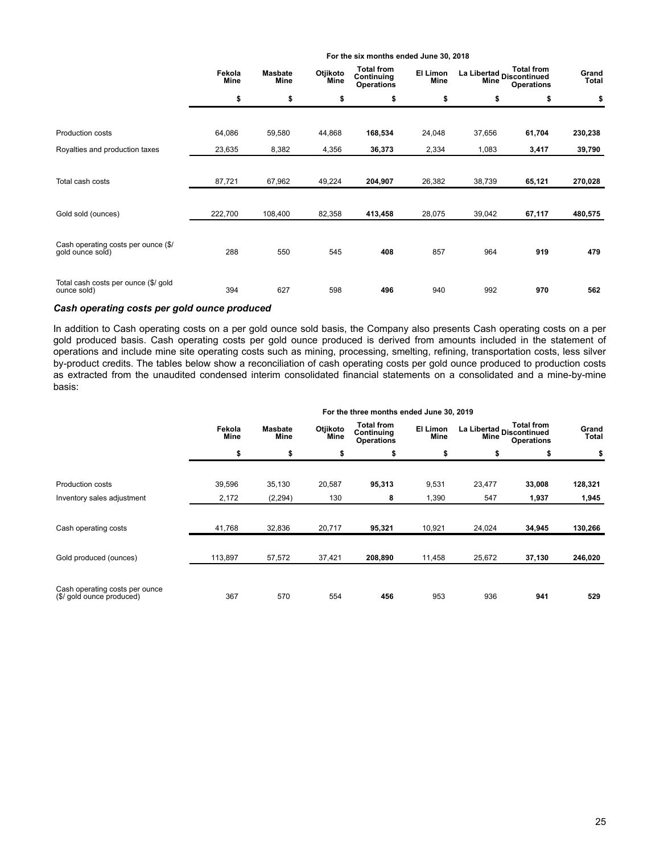|                                                         | Fekola<br>Mine | <b>Masbate</b><br>Mine | Otjikoto<br>Mine | <b>Total from</b><br>Continuing<br><b>Operations</b> | El Limon<br>Mine |        | <b>Total from</b><br>La Libertad<br>Alian Discontinued<br><b>Operations</b> | Grand<br>Total |
|---------------------------------------------------------|----------------|------------------------|------------------|------------------------------------------------------|------------------|--------|-----------------------------------------------------------------------------|----------------|
|                                                         | \$             | \$                     | \$               | \$                                                   | \$               | \$     | \$                                                                          | \$             |
|                                                         |                |                        |                  |                                                      |                  |        |                                                                             |                |
| Production costs                                        | 64,086         | 59,580                 | 44,868           | 168,534                                              | 24,048           | 37,656 | 61,704                                                                      | 230,238        |
| Royalties and production taxes                          | 23,635         | 8,382                  | 4,356            | 36,373                                               | 2,334            | 1,083  | 3,417                                                                       | 39,790         |
|                                                         |                |                        |                  |                                                      |                  |        |                                                                             |                |
| Total cash costs                                        | 87,721         | 67,962                 | 49,224           | 204,907                                              | 26,382           | 38,739 | 65,121                                                                      | 270,028        |
|                                                         |                |                        |                  |                                                      |                  |        |                                                                             |                |
| Gold sold (ounces)                                      | 222,700        | 108,400                | 82,358           | 413,458                                              | 28,075           | 39,042 | 67,117                                                                      | 480,575        |
|                                                         |                |                        |                  |                                                      |                  |        |                                                                             |                |
| Cash operating costs per ounce (\$/<br>gold ounce sold) | 288            | 550                    | 545              | 408                                                  | 857              | 964    | 919                                                                         | 479            |
|                                                         |                |                        |                  |                                                      |                  |        |                                                                             |                |
| Total cash costs per ounce (\$/ gold                    |                |                        |                  |                                                      |                  |        |                                                                             |                |
| ounce sold)                                             | 394            | 627                    | 598              | 496                                                  | 940              | 992    | 970                                                                         | 562            |

## *Cash operating costs per gold ounce produced*

In addition to Cash operating costs on a per gold ounce sold basis, the Company also presents Cash operating costs on a per gold produced basis. Cash operating costs per gold ounce produced is derived from amounts included in the statement of operations and include mine site operating costs such as mining, processing, smelting, refining, transportation costs, less silver by-product credits. The tables below show a reconciliation of cash operating costs per gold ounce produced to production costs as extracted from the unaudited condensed interim consolidated financial statements on a consolidated and a mine-by-mine basis:

|                                                             | The time things internated bank ov, Lo 19<br><b>Total from</b><br>Total from<br>Otjikoto<br>El Limon<br>Fekola<br><b>Masbate</b><br>La Libertad<br>Discontinued<br>Continuing<br><b>Mine</b><br><b>Mine</b><br>Mine<br>Mine<br><b>Operations</b><br><b>Operations</b><br>\$<br>\$<br>\$<br>\$<br>\$<br>\$<br>\$<br>39,596<br>35,130<br>20,587<br>95,313<br>9,531<br>23,477<br>33,008<br>2,172<br>(2, 294)<br>130<br>8<br>1,390<br>547<br>1,937<br>32,836<br>20,717<br>95,321<br>10,921<br>34,945<br>41,768<br>24,024 |        |        |         |        |        |                |         |
|-------------------------------------------------------------|----------------------------------------------------------------------------------------------------------------------------------------------------------------------------------------------------------------------------------------------------------------------------------------------------------------------------------------------------------------------------------------------------------------------------------------------------------------------------------------------------------------------|--------|--------|---------|--------|--------|----------------|---------|
|                                                             |                                                                                                                                                                                                                                                                                                                                                                                                                                                                                                                      |        |        |         |        |        | Grand<br>Total |         |
|                                                             |                                                                                                                                                                                                                                                                                                                                                                                                                                                                                                                      |        |        |         |        |        |                | \$      |
| Production costs                                            |                                                                                                                                                                                                                                                                                                                                                                                                                                                                                                                      |        |        |         |        |        |                | 128,321 |
| Inventory sales adjustment                                  |                                                                                                                                                                                                                                                                                                                                                                                                                                                                                                                      |        |        |         |        |        |                | 1,945   |
| Cash operating costs                                        |                                                                                                                                                                                                                                                                                                                                                                                                                                                                                                                      |        |        |         |        |        |                | 130,266 |
| Gold produced (ounces)                                      | 113,897                                                                                                                                                                                                                                                                                                                                                                                                                                                                                                              | 57,572 | 37,421 | 208,890 | 11,458 | 25,672 | 37,130         | 246,020 |
| Cash operating costs per ounce<br>(\$/ gold ounce produced) | 367                                                                                                                                                                                                                                                                                                                                                                                                                                                                                                                  | 570    | 554    | 456     | 953    | 936    | 941            | 529     |

#### **For the three months ended June 30, 2019**

**For the six months ended June 30, 2018**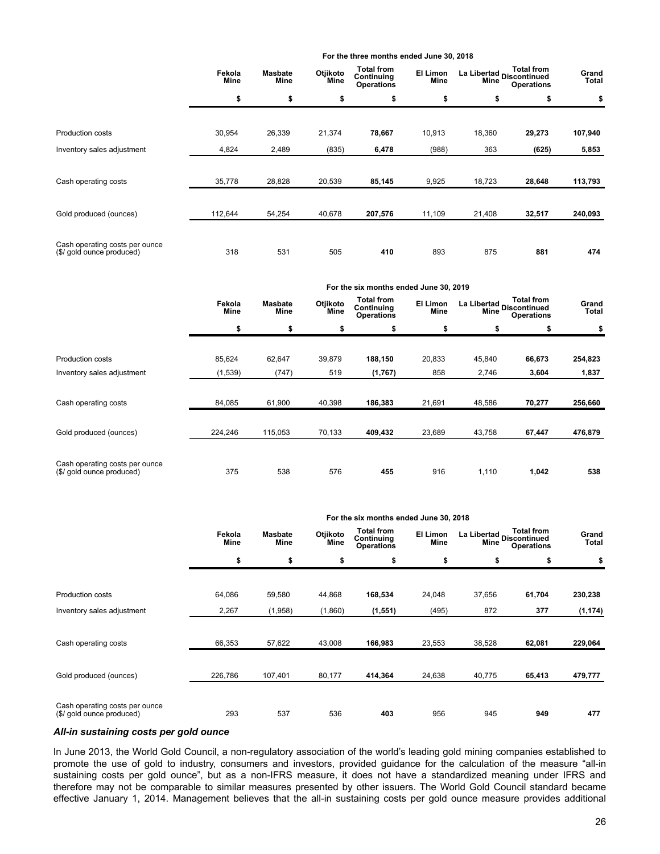|                                                             |                |                               |                  | For the three months ended June 30, 2018             |                  |                                   |                   |                |
|-------------------------------------------------------------|----------------|-------------------------------|------------------|------------------------------------------------------|------------------|-----------------------------------|-------------------|----------------|
|                                                             | Fekola<br>Mine | <b>Masbate</b><br><b>Mine</b> | Otjikoto<br>Mine | <b>Total from</b><br>Continuing<br><b>Operations</b> | El Limon<br>Mine | La Libertad<br>Alino Discontinued | <b>Operations</b> | Grand<br>Total |
|                                                             | \$             | \$                            | \$               | \$                                                   | \$               | \$                                | \$                | \$             |
|                                                             |                |                               |                  |                                                      |                  |                                   |                   |                |
| <b>Production costs</b>                                     | 30,954         | 26,339                        | 21,374           | 78,667                                               | 10,913           | 18,360                            | 29,273            | 107,940        |
| Inventory sales adjustment                                  | 4,824          | 2,489                         | (835)            | 6,478                                                | (988)            | 363                               | (625)             | 5,853          |
|                                                             |                |                               |                  |                                                      |                  |                                   |                   |                |
| Cash operating costs                                        | 35,778         | 28,828                        | 20,539           | 85,145                                               | 9,925            | 18,723                            | 28,648            | 113,793        |
|                                                             |                |                               |                  |                                                      |                  |                                   |                   |                |
| Gold produced (ounces)                                      | 112,644        | 54,254                        | 40,678           | 207,576                                              | 11,109           | 21,408                            | 32,517            | 240,093        |
|                                                             |                |                               |                  |                                                      |                  |                                   |                   |                |
| Cash operating costs per ounce<br>(\$/ gold ounce produced) | 318            | 531                           | 505              | 410                                                  | 893              | 875                               | 881               | 474            |

|                                                             |                |                        |                  | For the six months ended June 30, 2019               |                  |                                   |                                        |                |
|-------------------------------------------------------------|----------------|------------------------|------------------|------------------------------------------------------|------------------|-----------------------------------|----------------------------------------|----------------|
|                                                             | Fekola<br>Mine | <b>Masbate</b><br>Mine | Otjikoto<br>Mine | <b>Total from</b><br>Continuing<br><b>Operations</b> | El Limon<br>Mine | La Libertad<br>Alima Discontinued | <b>Total from</b><br><b>Operations</b> | Grand<br>Total |
|                                                             | \$             | \$                     | \$               | \$                                                   | \$               | \$                                | \$                                     | \$             |
|                                                             |                |                        |                  |                                                      |                  |                                   |                                        |                |
| <b>Production costs</b>                                     | 85,624         | 62,647                 | 39,879           | 188,150                                              | 20,833           | 45,840                            | 66,673                                 | 254,823        |
| Inventory sales adjustment                                  | (1,539)        | (747)                  | 519              | (1,767)                                              | 858              | 2,746                             | 3,604                                  | 1,837          |
|                                                             |                |                        |                  |                                                      |                  |                                   |                                        |                |
| Cash operating costs                                        | 84,085         | 61,900                 | 40,398           | 186,383                                              | 21,691           | 48,586                            | 70,277                                 | 256,660        |
|                                                             |                |                        |                  |                                                      |                  |                                   |                                        |                |
| Gold produced (ounces)                                      | 224,246        | 115,053                | 70,133           | 409,432                                              | 23,689           | 43,758                            | 67,447                                 | 476,879        |
|                                                             |                |                        |                  |                                                      |                  |                                   |                                        |                |
| Cash operating costs per ounce<br>(\$/ gold ounce produced) | 375            | 538                    | 576              | 455                                                  | 916              | 1,110                             | 1,042                                  | 538            |

| For the six months ended June 30, 2018 |  |  |
|----------------------------------------|--|--|
|                                        |  |  |

|                                                             | Fekola<br>Mine | <b>Masbate</b><br><b>Mine</b> | Otjikoto<br>Mine | <b>Total from</b><br>Continuing<br><b>Operations</b> | El Limon<br>Mine | La Libertad Discontinued<br>Mine | <b>Total from</b><br><b>Operations</b> | Grand<br>Total |
|-------------------------------------------------------------|----------------|-------------------------------|------------------|------------------------------------------------------|------------------|----------------------------------|----------------------------------------|----------------|
|                                                             | \$             | \$                            | \$               | \$                                                   | \$               | \$                               | \$                                     | \$             |
| <b>Production costs</b>                                     | 64,086         | 59,580                        | 44,868           | 168,534                                              | 24,048           | 37,656                           | 61,704                                 | 230,238        |
| Inventory sales adjustment                                  | 2,267          | (1,958)                       | (1,860)          | (1, 551)                                             | (495)            | 872                              | 377                                    | (1, 174)       |
| Cash operating costs                                        | 66,353         | 57,622                        | 43,008           | 166,983                                              | 23,553           | 38,528                           | 62,081                                 | 229,064        |
| Gold produced (ounces)                                      | 226,786        | 107,401                       | 80,177           | 414,364                                              | 24,638           | 40,775                           | 65,413                                 | 479,777        |
| Cash operating costs per ounce<br>(\$/ gold ounce produced) | 293            | 537                           | 536              | 403                                                  | 956              | 945                              | 949                                    | 477            |

### *All-in sustaining costs per gold ounce*

In June 2013, the World Gold Council, a non-regulatory association of the world's leading gold mining companies established to promote the use of gold to industry, consumers and investors, provided guidance for the calculation of the measure "all-in sustaining costs per gold ounce", but as a non-IFRS measure, it does not have a standardized meaning under IFRS and therefore may not be comparable to similar measures presented by other issuers. The World Gold Council standard became effective January 1, 2014. Management believes that the all-in sustaining costs per gold ounce measure provides additional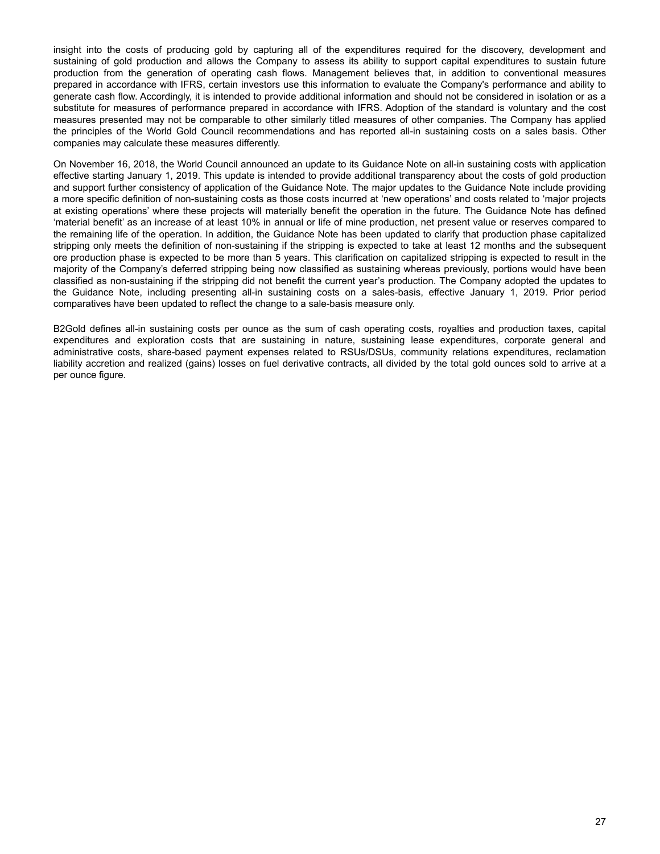insight into the costs of producing gold by capturing all of the expenditures required for the discovery, development and sustaining of gold production and allows the Company to assess its ability to support capital expenditures to sustain future production from the generation of operating cash flows. Management believes that, in addition to conventional measures prepared in accordance with IFRS, certain investors use this information to evaluate the Company's performance and ability to generate cash flow. Accordingly, it is intended to provide additional information and should not be considered in isolation or as a substitute for measures of performance prepared in accordance with IFRS. Adoption of the standard is voluntary and the cost measures presented may not be comparable to other similarly titled measures of other companies. The Company has applied the principles of the World Gold Council recommendations and has reported all-in sustaining costs on a sales basis. Other companies may calculate these measures differently.

On November 16, 2018, the World Council announced an update to its Guidance Note on all-in sustaining costs with application effective starting January 1, 2019. This update is intended to provide additional transparency about the costs of gold production and support further consistency of application of the Guidance Note. The major updates to the Guidance Note include providing a more specific definition of non-sustaining costs as those costs incurred at 'new operations' and costs related to 'major projects at existing operations' where these projects will materially benefit the operation in the future. The Guidance Note has defined 'material benefit' as an increase of at least 10% in annual or life of mine production, net present value or reserves compared to the remaining life of the operation. In addition, the Guidance Note has been updated to clarify that production phase capitalized stripping only meets the definition of non-sustaining if the stripping is expected to take at least 12 months and the subsequent ore production phase is expected to be more than 5 years. This clarification on capitalized stripping is expected to result in the majority of the Company's deferred stripping being now classified as sustaining whereas previously, portions would have been classified as non-sustaining if the stripping did not benefit the current year's production. The Company adopted the updates to the Guidance Note, including presenting all-in sustaining costs on a sales-basis, effective January 1, 2019. Prior period comparatives have been updated to reflect the change to a sale-basis measure only.

B2Gold defines all-in sustaining costs per ounce as the sum of cash operating costs, royalties and production taxes, capital expenditures and exploration costs that are sustaining in nature, sustaining lease expenditures, corporate general and administrative costs, share-based payment expenses related to RSUs/DSUs, community relations expenditures, reclamation liability accretion and realized (gains) losses on fuel derivative contracts, all divided by the total gold ounces sold to arrive at a per ounce figure.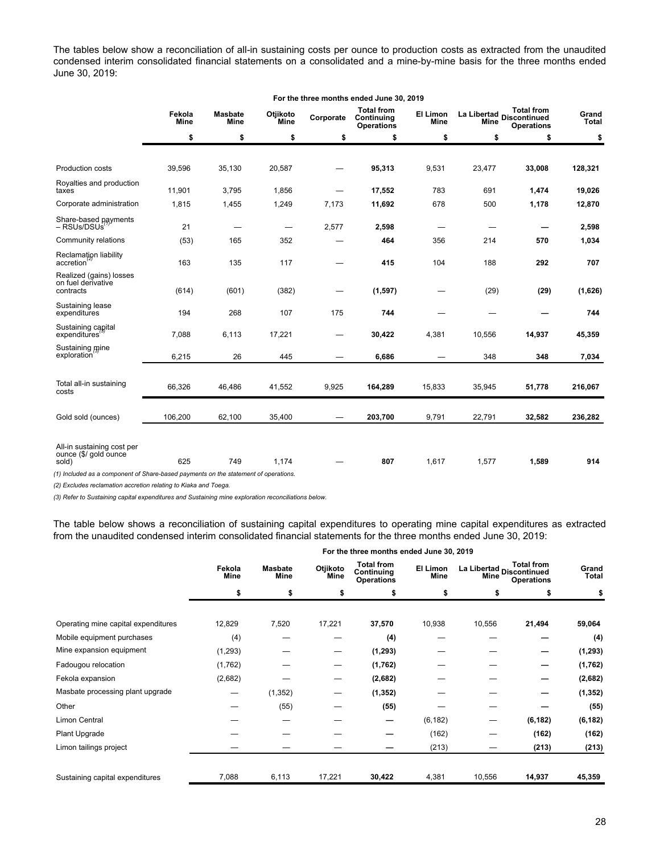The tables below show a reconciliation of all-in sustaining costs per ounce to production costs as extracted from the unaudited condensed interim consolidated financial statements on a consolidated and a mine-by-mine basis for the three months ended June 30, 2019:

|                                                                                     |                       |                               |                                 |           | For the three months ended June 30, 2019             |                                |             |                                                                                                     |                       |
|-------------------------------------------------------------------------------------|-----------------------|-------------------------------|---------------------------------|-----------|------------------------------------------------------|--------------------------------|-------------|-----------------------------------------------------------------------------------------------------|-----------------------|
|                                                                                     | Fekola<br><b>Mine</b> | <b>Masbate</b><br><b>Mine</b> | Otjikoto<br>Mine                | Corporate | <b>Total from</b><br>Continuing<br><b>Operations</b> | <b>El Limon</b><br><b>Mine</b> | <b>Mine</b> | <b>Total from</b><br>La Libertad<br>Discontinued<br>La Libertad<br>La Libertad<br><b>Operations</b> | Grand<br><b>Total</b> |
|                                                                                     | \$                    | \$                            | \$                              | \$        | \$                                                   | \$                             | \$          | \$                                                                                                  | \$                    |
|                                                                                     |                       |                               |                                 |           |                                                      |                                |             |                                                                                                     |                       |
| Production costs                                                                    | 39,596                | 35,130                        | 20,587                          |           | 95,313                                               | 9,531                          | 23,477      | 33,008                                                                                              | 128,321               |
| Royalties and production<br>taxes                                                   | 11,901                | 3,795                         | 1,856                           |           | 17,552                                               | 783                            | 691         | 1,474                                                                                               | 19,026                |
| Corporate administration                                                            | 1,815                 | 1,455                         | 1,249                           | 7,173     | 11,692                                               | 678                            | 500         | 1,178                                                                                               | 12,870                |
| Share-based payments<br>- RSUs/DSUs                                                 | 21                    |                               | $\hspace{0.1mm}-\hspace{0.1mm}$ | 2,577     | 2,598                                                |                                |             |                                                                                                     | 2,598                 |
| Community relations                                                                 | (53)                  | 165                           | 352                             |           | 464                                                  | 356                            | 214         | 570                                                                                                 | 1,034                 |
| Reclamation liability<br>accretion                                                  | 163                   | 135                           | 117                             |           | 415                                                  | 104                            | 188         | 292                                                                                                 | 707                   |
| Realized (gains) losses<br>on fuel derivative<br>contracts                          | (614)                 | (601)                         | (382)                           |           | (1, 597)                                             |                                | (29)        | (29)                                                                                                | (1,626)               |
| Sustaining lease<br>expenditures                                                    | 194                   | 268                           | 107                             | 175       | 744                                                  |                                |             |                                                                                                     | 744                   |
| Sustaining capital<br>expenditures                                                  | 7,088                 | 6,113                         | 17,221                          |           | 30,422                                               | 4,381                          | 10.556      | 14,937                                                                                              | 45,359                |
| Sustaining mine<br>exploration                                                      | 6,215                 | 26                            | 445                             |           | 6,686                                                |                                | 348         | 348                                                                                                 | 7,034                 |
| Total all-in sustaining<br>costs                                                    | 66,326                | 46,486                        | 41,552                          | 9,925     | 164,289                                              | 15,833                         | 35,945      | 51,778                                                                                              | 216,067               |
| Gold sold (ounces)                                                                  | 106.200               | 62,100                        | 35,400                          |           | 203,700                                              | 9,791                          | 22,791      | 32,582                                                                                              | 236,282               |
| All-in sustaining cost per<br>ounce (\$/ gold ounce)<br>sold)                       | 625                   | 749                           | 1,174                           |           | 807                                                  | 1,617                          | 1,577       | 1,589                                                                                               | 914                   |
| (1) Included as a component of Share-based payments on the statement of operations. |                       |                               |                                 |           |                                                      |                                |             |                                                                                                     |                       |

*(2) Excludes reclamation accretion relating to Kiaka and Toega.*

*(3) Refer to Sustaining capital expenditures and Sustaining mine exploration reconciliations below.*

The table below shows a reconciliation of sustaining capital expenditures to operating mine capital expenditures as extracted from the unaudited condensed interim consolidated financial statements for the three months ended June 30, 2019:

|                                     |                |                        |                  |                                                      | For the three months ended June 30, 2019 |                                                                                   |          |                |
|-------------------------------------|----------------|------------------------|------------------|------------------------------------------------------|------------------------------------------|-----------------------------------------------------------------------------------|----------|----------------|
|                                     | Fekola<br>Mine | <b>Masbate</b><br>Mine | Otjikoto<br>Mine | <b>Total from</b><br>Continuing<br><b>Operations</b> | El Limon<br>Mine                         | <b>Total from</b><br>La Libertad Discontinued<br><b>Mine</b><br><b>Operations</b> |          | Grand<br>Total |
|                                     | \$             | \$                     | \$               | \$                                                   | \$                                       | \$                                                                                | \$       | \$             |
|                                     |                |                        |                  |                                                      |                                          |                                                                                   |          |                |
| Operating mine capital expenditures | 12,829         | 7,520                  | 17,221           | 37,570                                               | 10,938                                   | 10,556                                                                            | 21,494   | 59,064         |
| Mobile equipment purchases          | (4)            |                        |                  | (4)                                                  |                                          |                                                                                   |          | (4)            |
| Mine expansion equipment            | (1, 293)       |                        |                  | (1, 293)                                             |                                          |                                                                                   |          | (1, 293)       |
| Fadougou relocation                 | (1,762)        |                        | —                | (1,762)                                              |                                          |                                                                                   |          | (1,762)        |
| Fekola expansion                    | (2,682)        |                        |                  | (2,682)                                              |                                          |                                                                                   |          | (2,682)        |
| Masbate processing plant upgrade    |                | (1, 352)               |                  | (1, 352)                                             |                                          |                                                                                   |          | (1, 352)       |
| Other                               |                | (55)                   |                  | (55)                                                 |                                          |                                                                                   |          | (55)           |
| Limon Central                       |                |                        |                  | –                                                    | (6, 182)                                 |                                                                                   | (6, 182) | (6, 182)       |
| Plant Upgrade                       |                |                        |                  |                                                      | (162)                                    |                                                                                   | (162)    | (162)          |
| Limon tailings project              |                |                        |                  |                                                      | (213)                                    |                                                                                   | (213)    | (213)          |
|                                     |                |                        |                  |                                                      |                                          |                                                                                   |          |                |
| Sustaining capital expenditures     | 7,088          | 6,113                  | 17,221           | 30,422                                               | 4,381                                    | 10,556                                                                            | 14,937   | 45,359         |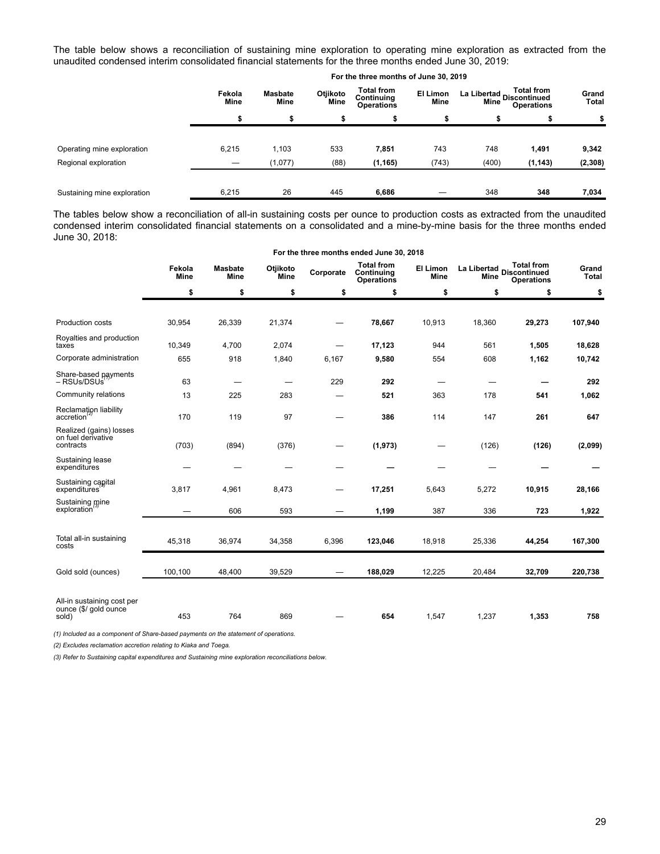The table below shows a reconciliation of sustaining mine exploration to operating mine exploration as extracted from the unaudited condensed interim consolidated financial statements for the three months ended June 30, 2019:

|                             |                       |                               |                         | For the three months of June 30, 2019                |                         |                                         |                                        |                       |
|-----------------------------|-----------------------|-------------------------------|-------------------------|------------------------------------------------------|-------------------------|-----------------------------------------|----------------------------------------|-----------------------|
|                             | Fekola<br><b>Mine</b> | <b>Masbate</b><br><b>Mine</b> | Otjikoto<br><b>Mine</b> | <b>Total from</b><br>Continuing<br><b>Operations</b> | El Limon<br><b>Mine</b> | La Libertad Discontinued<br><b>Mine</b> | <b>Total from</b><br><b>Operations</b> | Grand<br><b>Total</b> |
|                             | \$                    | \$                            | \$                      | э                                                    | \$                      | \$                                      | S                                      | \$                    |
| Operating mine exploration  | 6,215                 | 1,103                         | 533                     | 7,851                                                | 743                     | 748                                     | 1,491                                  | 9,342                 |
| Regional exploration        |                       | (1,077)                       | (88)                    | (1, 165)                                             | (743)                   | (400)                                   | (1, 143)                               | (2, 308)              |
| Sustaining mine exploration | 6,215                 | 26                            | 445                     | 6,686                                                |                         | 348                                     | 348                                    | 7,034                 |

The tables below show a reconciliation of all-in sustaining costs per ounce to production costs as extracted from the unaudited condensed interim consolidated financial statements on a consolidated and a mine-by-mine basis for the three months ended June 30, 2018:

|                                                              |                       |                        |                  |                          | For the three months ended June 30, 2018             |                          |                            |                                                                                  |                       |
|--------------------------------------------------------------|-----------------------|------------------------|------------------|--------------------------|------------------------------------------------------|--------------------------|----------------------------|----------------------------------------------------------------------------------|-----------------------|
|                                                              | Fekola<br><b>Mine</b> | <b>Masbate</b><br>Mine | Otjikoto<br>Mine | Corporate                | <b>Total from</b><br>Continuing<br><b>Operations</b> | El Limon<br><b>Mine</b>  | La Libertad<br><b>Mine</b> | <b>Total from</b><br><b>Discontinued</b><br><b>Operations</b>                    | Grand<br><b>Total</b> |
|                                                              | \$                    | \$                     | \$               | \$                       | \$                                                   | \$                       | \$                         | \$<br>29,273<br>1,505<br>1,162<br>541<br>261<br>(126)<br>10,915<br>723<br>44,254 | \$                    |
|                                                              |                       |                        |                  |                          |                                                      |                          |                            |                                                                                  |                       |
| <b>Production costs</b>                                      | 30,954                | 26,339                 | 21,374           |                          | 78,667                                               | 10,913                   | 18,360                     |                                                                                  | 107,940               |
| Royalties and production<br>taxes                            | 10,349                | 4,700                  | 2,074            |                          | 17,123                                               | 944                      | 561                        |                                                                                  | 18,628                |
| Corporate administration                                     | 655                   | 918                    | 1,840            | 6,167                    | 9,580                                                | 554                      | 608                        |                                                                                  | 10,742                |
| Share-based payments<br>- RSUs/DSUs                          | 63                    |                        |                  | 229                      | 292                                                  | $\overline{\phantom{0}}$ |                            |                                                                                  | 292                   |
| Community relations                                          | 13                    | 225                    | 283              |                          | 521                                                  | 363                      | 178                        |                                                                                  | 1,062                 |
| Reclamation liability<br>accretion                           | 170                   | 119                    | 97               |                          | 386                                                  | 114                      | 147                        |                                                                                  | 647                   |
| Realized (gains) losses<br>on fuel derivative<br>contracts   | (703)                 | (894)                  | (376)            |                          | (1, 973)                                             | —                        | (126)                      |                                                                                  | (2,099)               |
| Sustaining lease<br>expenditures                             |                       |                        |                  |                          |                                                      |                          |                            |                                                                                  |                       |
| Sustaining capital<br>expenditures                           | 3,817                 | 4,961                  | 8,473            |                          | 17,251                                               | 5,643                    | 5,272                      |                                                                                  | 28,166                |
| Sustaining mine<br>exploration                               |                       | 606                    | 593              | $\overline{\phantom{0}}$ | 1,199                                                | 387                      | 336                        |                                                                                  | 1,922                 |
|                                                              |                       |                        |                  |                          |                                                      |                          |                            |                                                                                  |                       |
| Total all-in sustaining<br>costs                             | 45,318                | 36,974                 | 34,358           | 6,396                    | 123,046                                              | 18,918                   | 25,336                     |                                                                                  | 167,300               |
| Gold sold (ounces)                                           | 100,100               | 48,400                 | 39,529           | $\overline{\phantom{0}}$ | 188,029                                              | 12,225                   | 20,484                     | 32,709                                                                           | 220,738               |
|                                                              |                       |                        |                  |                          |                                                      |                          |                            |                                                                                  |                       |
| All-in sustaining cost per<br>ounce (\$/ gold ounce<br>sold) | 453                   | 764                    | 869              |                          | 654                                                  | 1,547                    | 1,237                      | 1,353                                                                            | 758                   |

*(1) Included as a component of Share-based payments on the statement of operations.*

*(2) Excludes reclamation accretion relating to Kiaka and Toega.*

*(3) Refer to Sustaining capital expenditures and Sustaining mine exploration reconciliations below.*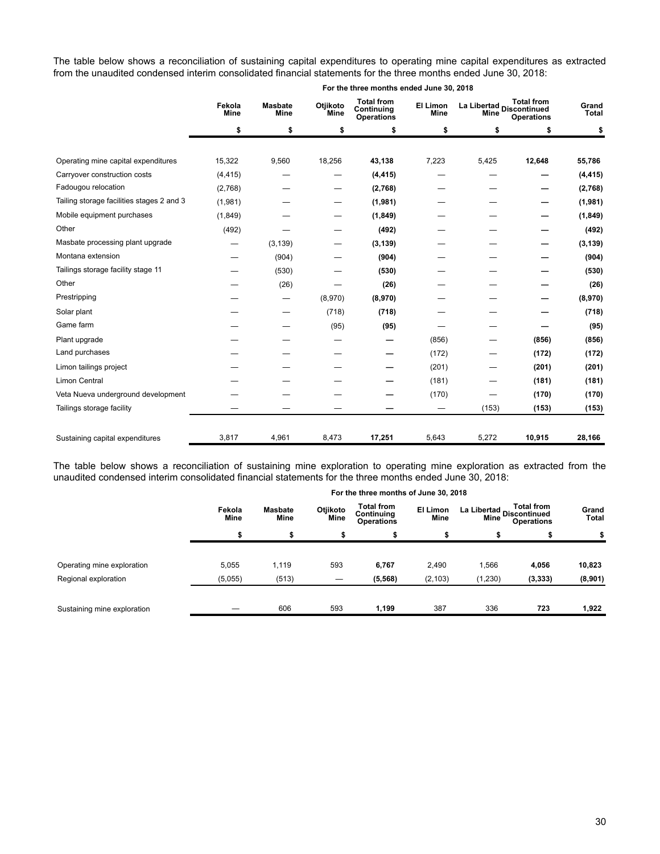The table below shows a reconciliation of sustaining capital expenditures to operating mine capital expenditures as extracted from the unaudited condensed interim consolidated financial statements for the three months ended June 30, 2018:

|                                           | Fekola<br><b>Mine</b> | <b>Total from</b><br>Otjikoto<br><b>Masbate</b><br><b>El Limon</b><br>Continuing<br>Mine<br><b>Mine</b><br>Mine<br>Mine<br><b>Operations</b> |         | La Libertad Discontinued | <b>Total from</b><br><b>Operations</b> | Grand<br><b>Total</b> |        |          |
|-------------------------------------------|-----------------------|----------------------------------------------------------------------------------------------------------------------------------------------|---------|--------------------------|----------------------------------------|-----------------------|--------|----------|
|                                           | \$                    | \$                                                                                                                                           | \$      | \$                       | \$                                     | \$                    | \$     | \$       |
| Operating mine capital expenditures       | 15,322                | 9,560                                                                                                                                        | 18,256  | 43,138                   | 7,223                                  | 5,425                 | 12,648 | 55,786   |
| Carryover construction costs              | (4, 415)              |                                                                                                                                              |         | (4, 415)                 |                                        |                       |        | (4, 415) |
| Fadougou relocation                       | (2,768)               |                                                                                                                                              |         | (2,768)                  |                                        |                       |        | (2,768)  |
| Tailing storage facilities stages 2 and 3 | (1,981)               |                                                                                                                                              |         | (1,981)                  |                                        |                       |        | (1,981)  |
| Mobile equipment purchases                | (1,849)               |                                                                                                                                              |         | (1, 849)                 |                                        |                       |        | (1, 849) |
| Other                                     | (492)                 |                                                                                                                                              |         | (492)                    |                                        |                       |        | (492)    |
| Masbate processing plant upgrade          |                       | (3, 139)                                                                                                                                     |         | (3, 139)                 |                                        |                       |        | (3, 139) |
| Montana extension                         |                       | (904)                                                                                                                                        |         | (904)                    |                                        |                       |        | (904)    |
| Tailings storage facility stage 11        |                       | (530)                                                                                                                                        |         | (530)                    |                                        |                       |        | (530)    |
| Other                                     |                       | (26)                                                                                                                                         |         | (26)                     |                                        |                       |        | (26)     |
| Prestripping                              |                       | $\hspace{0.1mm}-\hspace{0.1mm}$                                                                                                              | (8,970) | (8,970)                  |                                        |                       |        | (8,970)  |
| Solar plant                               |                       |                                                                                                                                              | (718)   | (718)                    |                                        |                       |        | (718)    |
| Game farm                                 |                       |                                                                                                                                              | (95)    | (95)                     |                                        |                       |        | (95)     |
| Plant upgrade                             |                       |                                                                                                                                              |         |                          | (856)                                  |                       | (856)  | (856)    |
| Land purchases                            |                       |                                                                                                                                              |         |                          | (172)                                  |                       | (172)  | (172)    |
| Limon tailings project                    |                       |                                                                                                                                              |         |                          | (201)                                  |                       | (201)  | (201)    |
| <b>Limon Central</b>                      |                       |                                                                                                                                              |         |                          | (181)                                  |                       | (181)  | (181)    |
| Veta Nueva underground development        |                       |                                                                                                                                              |         |                          | (170)                                  |                       | (170)  | (170)    |
| Tailings storage facility                 |                       |                                                                                                                                              |         |                          |                                        | (153)                 | (153)  | (153)    |
| Sustaining capital expenditures           | 3,817                 | 4,961                                                                                                                                        | 8,473   | 17,251                   | 5,643                                  | 5,272                 | 10,915 | 28,166   |

The table below shows a reconciliation of sustaining mine exploration to operating mine exploration as extracted from the unaudited condensed interim consolidated financial statements for the three months ended June 30, 2018:

|                             |                       |                        |                  | For the three months of June 30, 2018                |                  |                                                                             |          |                |
|-----------------------------|-----------------------|------------------------|------------------|------------------------------------------------------|------------------|-----------------------------------------------------------------------------|----------|----------------|
|                             | Fekola<br><b>Mine</b> | <b>Masbate</b><br>Mine | Otjikoto<br>Mine | <b>Total from</b><br>Continuing<br><b>Operations</b> | El Limon<br>Mine | <b>Total from</b><br>La Libertad<br>Alima Discontinued<br><b>Operations</b> |          | Grand<br>Total |
|                             |                       |                        |                  |                                                      |                  |                                                                             |          |                |
|                             |                       |                        |                  |                                                      |                  |                                                                             |          |                |
| Operating mine exploration  | 5,055                 | 1,119                  | 593              | 6,767                                                | 2,490            | 1,566                                                                       | 4,056    | 10,823         |
| Regional exploration        | (5,055)               | (513)                  | —                | (5, 568)                                             | (2, 103)         | (1, 230)                                                                    | (3, 333) | (8,901)        |
|                             |                       |                        |                  |                                                      |                  |                                                                             |          |                |
| Sustaining mine exploration |                       | 606                    | 593              | 1,199                                                | 387              | 336                                                                         | 723      | 1,922          |

#### **For the three months ended June 30, 2018**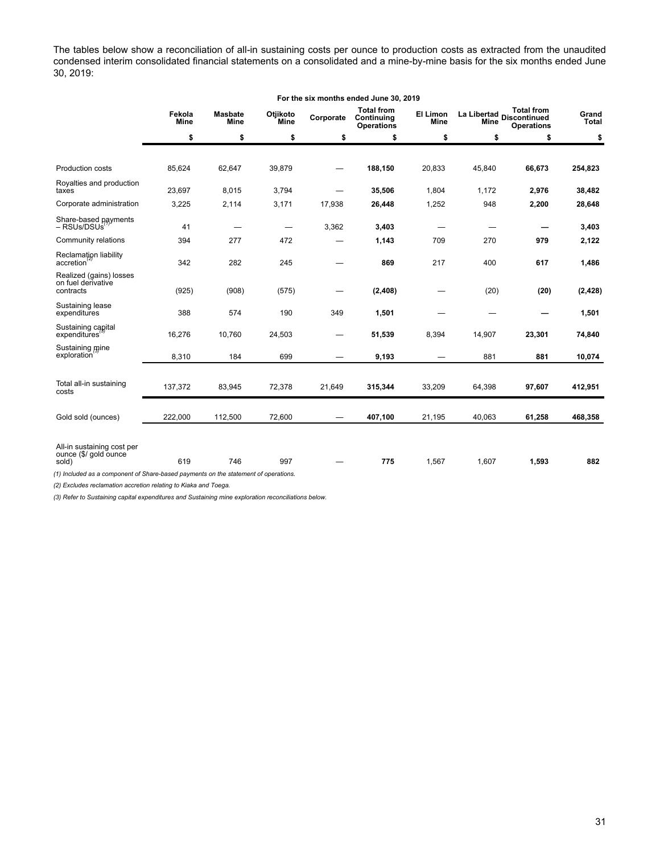The tables below show a reconciliation of all-in sustaining costs per ounce to production costs as extracted from the unaudited condensed interim consolidated financial statements on a consolidated and a mine-by-mine basis for the six months ended June 30, 2019:

|                                                                                                                                                     | For the six months ended June 30, 2019 |                        |                                 |           |                                                      |                                 |        |                                                                       |                |
|-----------------------------------------------------------------------------------------------------------------------------------------------------|----------------------------------------|------------------------|---------------------------------|-----------|------------------------------------------------------|---------------------------------|--------|-----------------------------------------------------------------------|----------------|
|                                                                                                                                                     | Fekola<br>Mine                         | <b>Masbate</b><br>Mine | Otjikoto<br><b>Mine</b>         | Corporate | <b>Total from</b><br>Continuing<br><b>Operations</b> | <b>El Limon</b><br><b>Mine</b>  | Mine   | <b>Total from</b><br>La Libertad<br>Discontinued<br><b>Operations</b> | Grand<br>Total |
|                                                                                                                                                     | \$                                     | \$                     | \$                              | \$        | \$                                                   | \$                              | \$     | \$                                                                    | \$             |
|                                                                                                                                                     |                                        |                        |                                 |           |                                                      |                                 |        |                                                                       |                |
| Production costs                                                                                                                                    | 85,624                                 | 62,647                 | 39,879                          |           | 188,150                                              | 20,833                          | 45,840 | 66,673                                                                | 254,823        |
| Royalties and production<br>taxes                                                                                                                   | 23,697                                 | 8,015                  | 3,794                           |           | 35,506                                               | 1,804                           | 1,172  | 2,976                                                                 | 38,482         |
| Corporate administration                                                                                                                            | 3,225                                  | 2,114                  | 3,171                           | 17,938    | 26,448                                               | 1,252                           | 948    | 2,200                                                                 | 28,648         |
| Share-based payments<br>– RSUs/DSUs                                                                                                                 | 41                                     |                        | $\hspace{0.1mm}-\hspace{0.1mm}$ | 3,362     | 3,403                                                |                                 |        |                                                                       | 3,403          |
| Community relations                                                                                                                                 | 394                                    | 277                    | 472                             |           | 1,143                                                | 709                             | 270    | 979                                                                   | 2,122          |
| Reclamation liability<br>accretion                                                                                                                  | 342                                    | 282                    | 245                             |           | 869                                                  | 217                             | 400    | 617                                                                   | 1,486          |
| Realized (gains) losses<br>on fuel derivative<br>contracts                                                                                          | (925)                                  | (908)                  | (575)                           |           | (2, 408)                                             |                                 | (20)   | (20)                                                                  | (2, 428)       |
| Sustaining lease<br>expenditures                                                                                                                    | 388                                    | 574                    | 190                             | 349       | 1,501                                                |                                 |        |                                                                       | 1,501          |
| Sustaining capital<br>expenditures                                                                                                                  | 16,276                                 | 10,760                 | 24,503                          |           | 51,539                                               | 8,394                           | 14,907 | 23,301                                                                | 74,840         |
| Sustaining mine<br>exploration                                                                                                                      | 8,310                                  | 184                    | 699                             |           | 9,193                                                | $\hspace{0.1mm}-\hspace{0.1mm}$ | 881    | 881                                                                   | 10,074         |
|                                                                                                                                                     |                                        |                        |                                 |           |                                                      |                                 |        |                                                                       |                |
| Total all-in sustaining<br>costs                                                                                                                    | 137,372                                | 83,945                 | 72,378                          | 21,649    | 315,344                                              | 33,209                          | 64,398 | 97,607                                                                | 412,951        |
| Gold sold (ounces)                                                                                                                                  | 222,000                                | 112,500                | 72,600                          |           | 407,100                                              | 21,195                          | 40,063 | 61,258                                                                | 468,358        |
| All-in sustaining cost per<br>ounce (\$/ gold ounce<br>sold)<br>(1) Included as a component of Share-based payments on the statement of operations. | 619                                    | 746                    | 997                             |           | 775                                                  | 1,567                           | 1,607  | 1,593                                                                 | 882            |

*(2) Excludes reclamation accretion relating to Kiaka and Toega.*

*(3) Refer to Sustaining capital expenditures and Sustaining mine exploration reconciliations below.*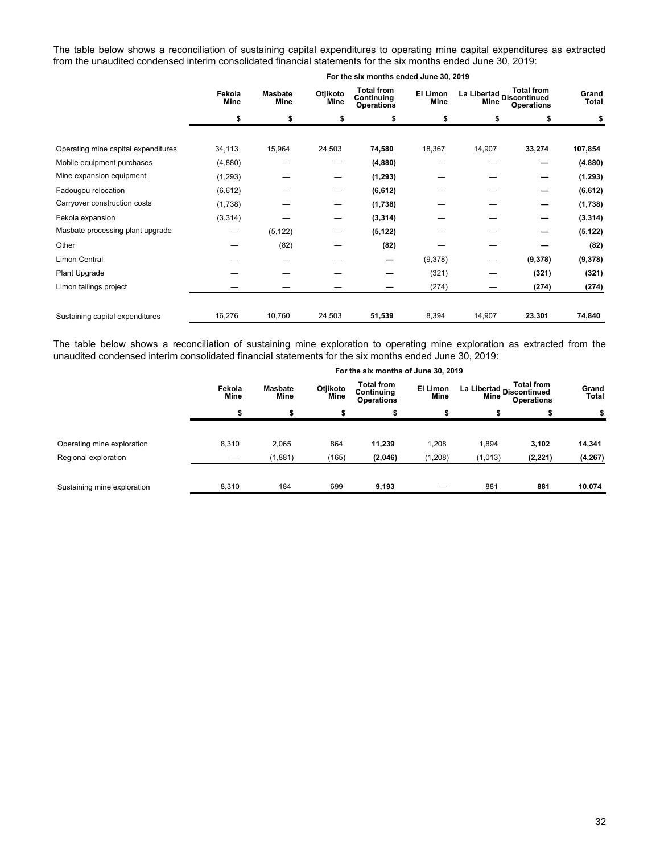The table below shows a reconciliation of sustaining capital expenditures to operating mine capital expenditures as extracted from the unaudited condensed interim consolidated financial statements for the six months ended June 30, 2019:

|                                     | Fekola<br>Mine |          | Otjikoto<br><b>Masbate</b><br>Mine<br>Mine |          | El Limon<br>Mine | <b>Total from</b><br>La Libertad Discontinued<br>Mine<br><b>Operations</b> |         | Grand<br>Total |
|-------------------------------------|----------------|----------|--------------------------------------------|----------|------------------|----------------------------------------------------------------------------|---------|----------------|
|                                     | \$             | \$       | \$                                         | \$       | \$               | \$                                                                         | \$      | \$             |
|                                     |                |          |                                            |          |                  |                                                                            |         |                |
| Operating mine capital expenditures | 34,113         | 15,964   | 24,503                                     | 74,580   | 18,367           | 14,907                                                                     | 33,274  | 107,854        |
| Mobile equipment purchases          | (4,880)        |          | –                                          | (4,880)  |                  |                                                                            |         | (4,880)        |
| Mine expansion equipment            | (1,293)        |          | —                                          | (1, 293) |                  |                                                                            |         | (1, 293)       |
| Fadougou relocation                 | (6, 612)       |          | —                                          | (6, 612) |                  |                                                                            | —       | (6, 612)       |
| Carryover construction costs        | (1,738)        |          | —                                          | (1,738)  |                  |                                                                            |         | (1,738)        |
| Fekola expansion                    | (3, 314)       |          | –                                          | (3, 314) |                  |                                                                            |         | (3, 314)       |
| Masbate processing plant upgrade    | —              | (5, 122) |                                            | (5, 122) |                  |                                                                            |         | (5, 122)       |
| Other                               |                | (82)     |                                            | (82)     |                  |                                                                            |         | (82)           |
| Limon Central                       |                |          |                                            | —        | (9,378)          | —                                                                          | (9,378) | (9,378)        |
| Plant Upgrade                       |                |          |                                            |          | (321)            |                                                                            | (321)   | (321)          |
| Limon tailings project              |                |          |                                            |          | (274)            |                                                                            | (274)   | (274)          |
| Sustaining capital expenditures     | 16,276         | 10,760   | 24,503                                     | 51,539   | 8,394            | 14,907                                                                     | 23,301  | 74,840         |

#### **For the six months ended June 30, 2019**

The table below shows a reconciliation of sustaining mine exploration to operating mine exploration as extracted from the unaudited condensed interim consolidated financial statements for the six months ended June 30, 2019:

|                             | For the six months of June 30, 2019 |                        |                  |                                                      |                         |                                                                       |          |                |  |  |
|-----------------------------|-------------------------------------|------------------------|------------------|------------------------------------------------------|-------------------------|-----------------------------------------------------------------------|----------|----------------|--|--|
|                             | Fekola<br>Mine                      | <b>Masbate</b><br>Mine | Otjikoto<br>Mine | <b>Total from</b><br>Continuing<br><b>Operations</b> | El Limon<br><b>Mine</b> | <b>Total from</b><br>La Libertad<br>Discontinued<br><b>Operations</b> |          | Grand<br>Total |  |  |
|                             |                                     |                        |                  |                                                      |                         | \$                                                                    |          |                |  |  |
| Operating mine exploration  | 8,310                               | 2,065                  | 864              | 11,239                                               | 1,208                   | 1,894                                                                 | 3,102    | 14,341         |  |  |
| Regional exploration        | $\overline{\phantom{0}}$            | (1,881)                | (165)            | (2,046)                                              | (1, 208)                | (1,013)                                                               | (2, 221) | (4, 267)       |  |  |
| Sustaining mine exploration | 8,310                               | 184                    | 699              | 9,193                                                |                         | 881                                                                   | 881      | 10,074         |  |  |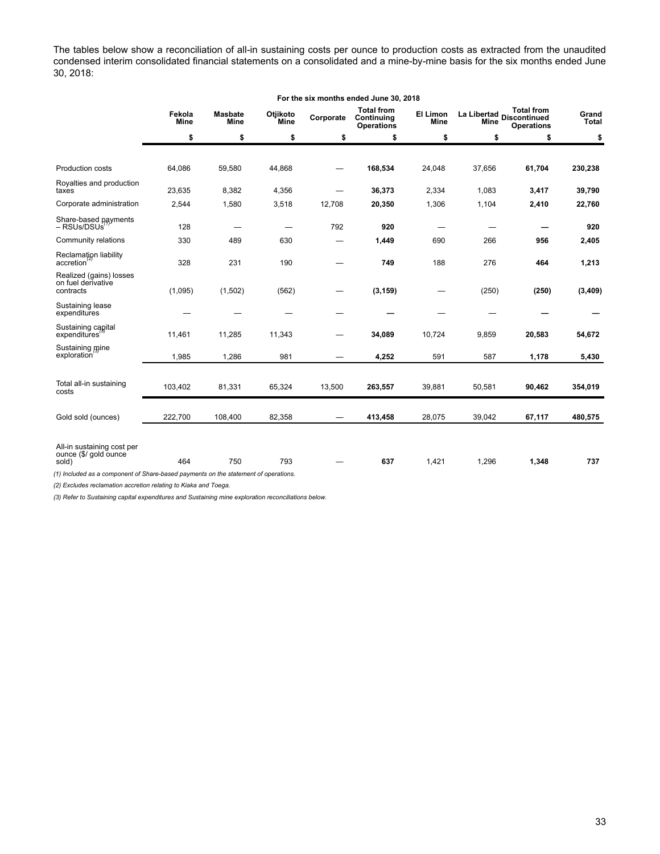The tables below show a reconciliation of all-in sustaining costs per ounce to production costs as extracted from the unaudited condensed interim consolidated financial statements on a consolidated and a mine-by-mine basis for the six months ended June 30, 2018:

|                                                                                                                                                     | For the six months ended June 30, 2018 |                               |                  |           |                                                      |                  |        |                                                                       |                       |
|-----------------------------------------------------------------------------------------------------------------------------------------------------|----------------------------------------|-------------------------------|------------------|-----------|------------------------------------------------------|------------------|--------|-----------------------------------------------------------------------|-----------------------|
|                                                                                                                                                     | Fekola<br><b>Mine</b>                  | <b>Masbate</b><br><b>Mine</b> | Otjikoto<br>Mine | Corporate | <b>Total from</b><br>Continuing<br><b>Operations</b> | El Limon<br>Mine | Mine   | <b>Total from</b><br>La Libertad<br>Discontinued<br><b>Operations</b> | Grand<br><b>Total</b> |
|                                                                                                                                                     | \$                                     | \$                            | \$               | \$        | \$                                                   | \$               | \$     | \$                                                                    | \$                    |
|                                                                                                                                                     |                                        |                               |                  |           |                                                      |                  |        |                                                                       |                       |
| Production costs                                                                                                                                    | 64,086                                 | 59,580                        | 44,868           |           | 168,534                                              | 24,048           | 37,656 | 61,704                                                                | 230,238               |
| Royalties and production<br>taxes                                                                                                                   | 23,635                                 | 8,382                         | 4,356            |           | 36,373                                               | 2,334            | 1,083  | 3,417                                                                 | 39,790                |
| Corporate administration                                                                                                                            | 2,544                                  | 1,580                         | 3,518            | 12,708    | 20,350                                               | 1,306            | 1,104  | 2,410                                                                 | 22,760                |
| Share-based payments<br>– RSUs/DSUs <sup>'</sup>                                                                                                    | 128                                    |                               |                  | 792       | 920                                                  |                  |        |                                                                       | 920                   |
| Community relations                                                                                                                                 | 330                                    | 489                           | 630              |           | 1,449                                                | 690              | 266    | 956                                                                   | 2,405                 |
| Reclamation liability<br>accretion                                                                                                                  | 328                                    | 231                           | 190              |           | 749                                                  | 188              | 276    | 464                                                                   | 1,213                 |
| Realized (gains) losses<br>on fuel derivative<br>contracts                                                                                          | (1,095)                                | (1,502)                       | (562)            |           | (3, 159)                                             |                  | (250)  | (250)                                                                 | (3, 409)              |
| Sustaining lease<br>expenditures                                                                                                                    |                                        |                               |                  |           |                                                      |                  |        |                                                                       |                       |
| Sustaining capital<br>expenditures                                                                                                                  | 11,461                                 | 11,285                        | 11,343           |           | 34,089                                               | 10,724           | 9,859  | 20,583                                                                | 54,672                |
| Sustaining mine<br>exploration                                                                                                                      | 1,985                                  | 1,286                         | 981              |           | 4,252                                                | 591              | 587    | 1,178                                                                 | 5,430                 |
|                                                                                                                                                     |                                        |                               |                  |           |                                                      |                  |        |                                                                       |                       |
| Total all-in sustaining<br>costs                                                                                                                    | 103,402                                | 81,331                        | 65,324           | 13,500    | 263,557                                              | 39,881           | 50,581 | 90,462                                                                | 354,019               |
| Gold sold (ounces)                                                                                                                                  | 222,700                                | 108,400                       | 82,358           |           | 413,458                                              | 28,075           | 39,042 | 67,117                                                                | 480,575               |
| All-in sustaining cost per<br>ounce (\$/ gold ounce<br>sold)<br>(1) Included as a component of Share-based payments on the statement of operations. | 464                                    | 750                           | 793              |           | 637                                                  | 1,421            | 1,296  | 1,348                                                                 | 737                   |

*(2) Excludes reclamation accretion relating to Kiaka and Toega.*

*(3) Refer to Sustaining capital expenditures and Sustaining mine exploration reconciliations below.*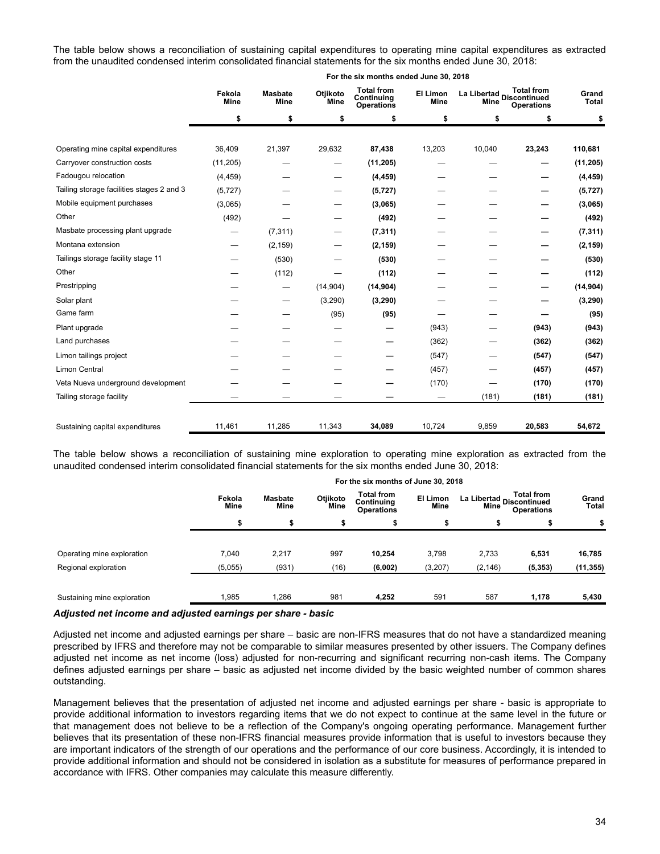The table below shows a reconciliation of sustaining capital expenditures to operating mine capital expenditures as extracted from the unaudited condensed interim consolidated financial statements for the six months ended June 30, 2018:

|                                           | Fekola<br><b>Mine</b> | <b>Masbate</b><br>Mine | Otjikoto<br><b>Mine</b> | <b>Total from</b><br>Continuing<br><b>Operations</b> | El Limon<br><b>Mine</b> | La Libertad Discontinued<br><b>Mine</b> | <b>Total from</b><br><b>Operations</b> | Grand<br>Total |
|-------------------------------------------|-----------------------|------------------------|-------------------------|------------------------------------------------------|-------------------------|-----------------------------------------|----------------------------------------|----------------|
|                                           | \$                    | \$                     | \$                      | \$                                                   | \$                      | \$                                      | \$                                     | \$             |
| Operating mine capital expenditures       | 36,409                | 21,397                 | 29,632                  | 87,438                                               | 13,203                  | 10,040                                  | 23,243                                 | 110,681        |
| Carryover construction costs              | (11, 205)             |                        |                         | (11, 205)                                            |                         |                                         |                                        | (11, 205)      |
| Fadougou relocation                       | (4, 459)              |                        | -                       | (4, 459)                                             |                         |                                         |                                        | (4, 459)       |
| Tailing storage facilities stages 2 and 3 | (5, 727)              |                        |                         | (5, 727)                                             |                         |                                         |                                        | (5, 727)       |
| Mobile equipment purchases                | (3,065)               |                        |                         | (3,065)                                              |                         |                                         |                                        | (3,065)        |
| Other                                     | (492)                 |                        |                         | (492)                                                |                         |                                         |                                        | (492)          |
| Masbate processing plant upgrade          |                       | (7, 311)               |                         | (7, 311)                                             |                         |                                         |                                        | (7, 311)       |
| Montana extension                         |                       | (2, 159)               |                         | (2, 159)                                             |                         |                                         |                                        | (2, 159)       |
| Tailings storage facility stage 11        |                       | (530)                  |                         | (530)                                                |                         |                                         |                                        | (530)          |
| Other                                     |                       | (112)                  |                         | (112)                                                |                         |                                         |                                        | (112)          |
| Prestripping                              |                       | —                      | (14, 904)               | (14, 904)                                            |                         |                                         |                                        | (14, 904)      |
| Solar plant                               |                       | —                      | (3,290)                 | (3, 290)                                             |                         |                                         |                                        | (3, 290)       |
| Game farm                                 |                       |                        | (95)                    | (95)                                                 |                         |                                         |                                        | (95)           |
| Plant upgrade                             |                       |                        |                         |                                                      | (943)                   |                                         | (943)                                  | (943)          |
| Land purchases                            |                       |                        |                         |                                                      | (362)                   |                                         | (362)                                  | (362)          |
| Limon tailings project                    |                       |                        |                         |                                                      | (547)                   |                                         | (547)                                  | (547)          |
| <b>Limon Central</b>                      |                       |                        |                         |                                                      | (457)                   |                                         | (457)                                  | (457)          |
| Veta Nueva underground development        |                       |                        |                         |                                                      | (170)                   |                                         | (170)                                  | (170)          |
| Tailing storage facility                  |                       |                        |                         |                                                      |                         | (181)                                   | (181)                                  | (181)          |
| Sustaining capital expenditures           | 11,461                | 11,285                 | 11,343                  | 34,089                                               | 10,724                  | 9,859                                   | 20,583                                 | 54,672         |

**For the six months ended June 30, 2018**

The table below shows a reconciliation of sustaining mine exploration to operating mine exploration as extracted from the unaudited condensed interim consolidated financial statements for the six months ended June 30, 2018:

|                                                    | For the six months of June 30, 2018 |                        |                  |                                                      |                  |                                                                       |                   |                     |  |  |
|----------------------------------------------------|-------------------------------------|------------------------|------------------|------------------------------------------------------|------------------|-----------------------------------------------------------------------|-------------------|---------------------|--|--|
|                                                    | Fekola<br><b>Mine</b>               | <b>Masbate</b><br>Mine | Otjikoto<br>Mine | <b>Total from</b><br>Continuing<br><b>Operations</b> | El Limon<br>Mine | <b>Total from</b><br>La Libertad<br>Discontinued<br><b>Operations</b> |                   | Grand<br>Total      |  |  |
|                                                    |                                     |                        |                  |                                                      |                  | \$                                                                    |                   | \$                  |  |  |
|                                                    |                                     |                        |                  |                                                      |                  |                                                                       |                   |                     |  |  |
| Operating mine exploration<br>Regional exploration | 7,040<br>(5,055)                    | 2,217<br>(931)         | 997<br>(16)      | 10,254<br>(6,002)                                    | 3,798<br>(3,207) | 2,733<br>(2, 146)                                                     | 6,531<br>(5, 353) | 16,785<br>(11, 355) |  |  |
|                                                    |                                     |                        |                  |                                                      |                  |                                                                       |                   |                     |  |  |
| Sustaining mine exploration                        | 1,985                               | 1,286                  | 981              | 4,252                                                | 591              | 587                                                                   | 1.178             | 5,430               |  |  |

#### *Adjusted net income and adjusted earnings per share - basic*

Adjusted net income and adjusted earnings per share – basic are non-IFRS measures that do not have a standardized meaning prescribed by IFRS and therefore may not be comparable to similar measures presented by other issuers. The Company defines adjusted net income as net income (loss) adjusted for non-recurring and significant recurring non-cash items. The Company defines adjusted earnings per share – basic as adjusted net income divided by the basic weighted number of common shares outstanding.

Management believes that the presentation of adjusted net income and adjusted earnings per share - basic is appropriate to provide additional information to investors regarding items that we do not expect to continue at the same level in the future or that management does not believe to be a reflection of the Company's ongoing operating performance. Management further believes that its presentation of these non-IFRS financial measures provide information that is useful to investors because they are important indicators of the strength of our operations and the performance of our core business. Accordingly, it is intended to provide additional information and should not be considered in isolation as a substitute for measures of performance prepared in accordance with IFRS. Other companies may calculate this measure differently.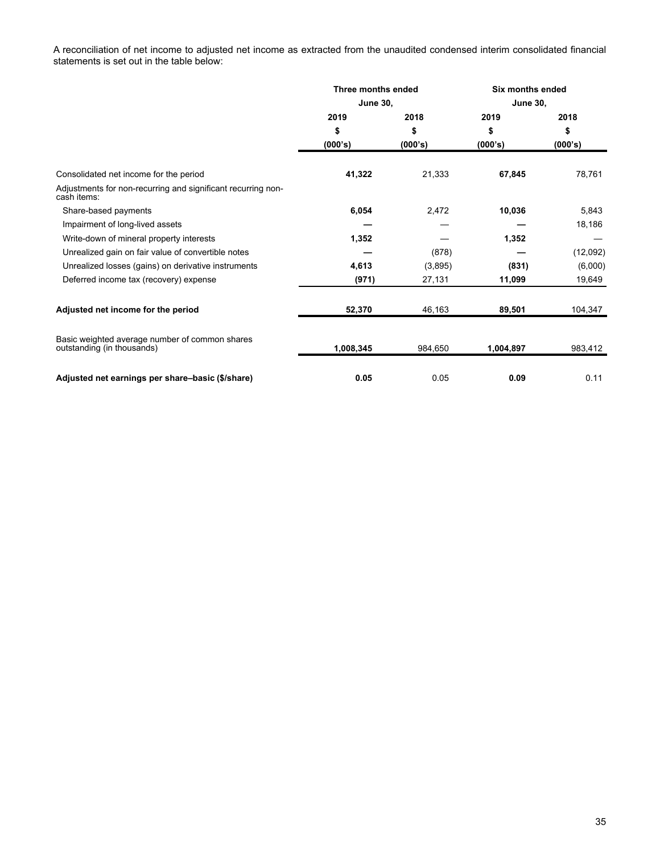A reconciliation of net income to adjusted net income as extracted from the unaudited condensed interim consolidated financial statements is set out in the table below:

|                                                                              | Three months ended |         | <b>Six months ended</b> |          |
|------------------------------------------------------------------------------|--------------------|---------|-------------------------|----------|
|                                                                              | <b>June 30,</b>    |         | <b>June 30,</b>         |          |
|                                                                              | 2019               | 2018    | 2019                    | 2018     |
|                                                                              | \$                 | \$      | \$                      | \$       |
|                                                                              | (000's)            | (000's) | (000's)                 | (000's)  |
| Consolidated net income for the period                                       | 41,322             | 21,333  | 67,845                  | 78,761   |
| Adjustments for non-recurring and significant recurring non-<br>cash items:  |                    |         |                         |          |
| Share-based payments                                                         | 6,054              | 2,472   | 10,036                  | 5,843    |
| Impairment of long-lived assets                                              |                    |         |                         | 18,186   |
| Write-down of mineral property interests                                     | 1,352              |         | 1,352                   |          |
| Unrealized gain on fair value of convertible notes                           |                    | (878)   |                         | (12,092) |
| Unrealized losses (gains) on derivative instruments                          | 4,613              | (3,895) | (831)                   | (6,000)  |
| Deferred income tax (recovery) expense                                       | (971)              | 27,131  | 11,099                  | 19,649   |
| Adjusted net income for the period                                           | 52,370             | 46,163  | 89,501                  | 104,347  |
| Basic weighted average number of common shares<br>outstanding (in thousands) | 1,008,345          | 984,650 | 1,004,897               | 983,412  |
| Adjusted net earnings per share-basic (\$/share)                             | 0.05               | 0.05    | 0.09                    | 0.11     |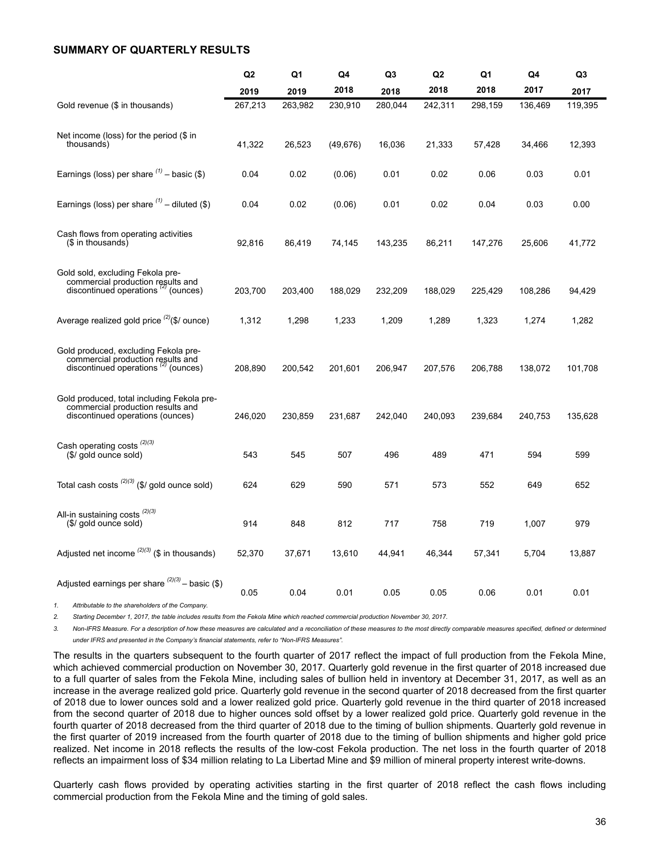### <span id="page-35-0"></span>**SUMMARY OF QUARTERLY RESULTS**

|                                                                                                                          | Q <sub>2</sub> | Q1      | Q4        | Q3      | Q <sub>2</sub> | Q1      | Q4      | Q <sub>3</sub> |
|--------------------------------------------------------------------------------------------------------------------------|----------------|---------|-----------|---------|----------------|---------|---------|----------------|
|                                                                                                                          | 2019           | 2019    | 2018      | 2018    | 2018           | 2018    | 2017    | 2017           |
| Gold revenue (\$ in thousands)                                                                                           | 267,213        | 263,982 | 230,910   | 280,044 | 242,311        | 298,159 | 136,469 | 119,395        |
| Net income (loss) for the period (\$ in<br>thousands)                                                                    | 41,322         | 26,523  | (49, 676) | 16,036  | 21,333         | 57,428  | 34,466  | 12,393         |
| Earnings (loss) per share $(1)$ – basic (\$)                                                                             | 0.04           | 0.02    | (0.06)    | 0.01    | 0.02           | 0.06    | 0.03    | 0.01           |
| Earnings (loss) per share $(1)$ – diluted (\$)                                                                           | 0.04           | 0.02    | (0.06)    | 0.01    | 0.02           | 0.04    | 0.03    | 0.00           |
| Cash flows from operating activities<br>(\$ in thousands)                                                                | 92,816         | 86,419  | 74,145    | 143,235 | 86,211         | 147,276 | 25,606  | 41,772         |
| Gold sold, excluding Fekola pre-<br>commercial production results and<br>discontinued operations <sup>(2)</sup> (ounces) | 203,700        | 203,400 | 188,029   | 232,209 | 188,029        | 225,429 | 108,286 | 94,429         |
| Average realized gold price $^{(2)}$ (\$/ ounce)                                                                         | 1,312          | 1,298   | 1,233     | 1,209   | 1,289          | 1,323   | 1,274   | 1,282          |
| Gold produced, excluding Fekola pre-<br>commercial production results and<br>discontinued operations<br>' (ounces)       | 208,890        | 200,542 | 201,601   | 206,947 | 207,576        | 206,788 | 138,072 | 101,708        |
| Gold produced, total including Fekola pre-<br>commercial production results and<br>discontinued operations (ounces)      | 246,020        | 230,859 | 231,687   | 242,040 | 240,093        | 239,684 | 240,753 | 135,628        |
| Cash operating costs <sup>(2)(3)</sup><br>(\$/ gold ounce sold)                                                          | 543            | 545     | 507       | 496     | 489            | 471     | 594     | 599            |
| Total cash costs $^{(2)(3)}$ (\$/ gold ounce sold)                                                                       | 624            | 629     | 590       | 571     | 573            | 552     | 649     | 652            |
| All-in sustaining costs <sup>(2)(3)</sup><br>(\$/ gold ounce sold)                                                       | 914            | 848     | 812       | 717     | 758            | 719     | 1,007   | 979            |
| Adjusted net income $(2)(3)$ (\$ in thousands)                                                                           | 52,370         | 37,671  | 13,610    | 44,941  | 46,344         | 57,341  | 5,704   | 13,887         |
| Adjusted earnings per share $(2)(3)$ – basic (\$)                                                                        | 0.05           | 0.04    | 0.01      | 0.05    | 0.05           | 0.06    | 0.01    | 0.01           |

*1. Attributable to the shareholders of the Company.*

2. Starting December 1, 2017, the table includes results from the Fekola Mine which reached commercial production November 30, 2017.

3. Non-IFRS Measure. For a description of how these measures are calculated and a reconciliation of these measures to the most directly comparable measures specified, defined or determined *under IFRS and presented in the Company's financial statements, refer to "Non-IFRS Measures".*

The results in the quarters subsequent to the fourth quarter of 2017 reflect the impact of full production from the Fekola Mine, which achieved commercial production on November 30, 2017. Quarterly gold revenue in the first quarter of 2018 increased due to a full quarter of sales from the Fekola Mine, including sales of bullion held in inventory at December 31, 2017, as well as an increase in the average realized gold price. Quarterly gold revenue in the second quarter of 2018 decreased from the first quarter of 2018 due to lower ounces sold and a lower realized gold price. Quarterly gold revenue in the third quarter of 2018 increased from the second quarter of 2018 due to higher ounces sold offset by a lower realized gold price. Quarterly gold revenue in the fourth quarter of 2018 decreased from the third quarter of 2018 due to the timing of bullion shipments. Quarterly gold revenue in the first quarter of 2019 increased from the fourth quarter of 2018 due to the timing of bullion shipments and higher gold price realized. Net income in 2018 reflects the results of the low-cost Fekola production. The net loss in the fourth quarter of 2018 reflects an impairment loss of \$34 million relating to La Libertad Mine and \$9 million of mineral property interest write-downs.

Quarterly cash flows provided by operating activities starting in the first quarter of 2018 reflect the cash flows including commercial production from the Fekola Mine and the timing of gold sales.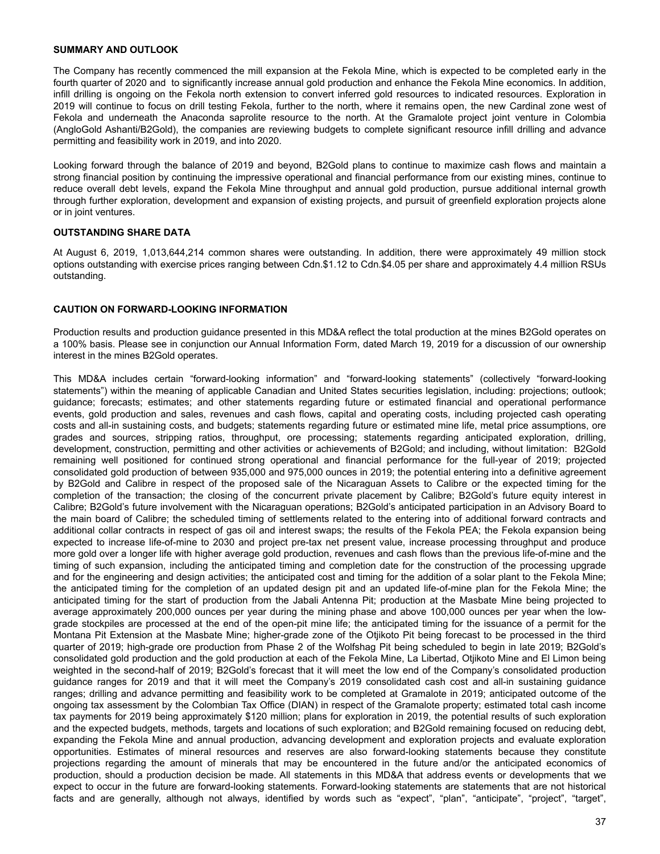### <span id="page-36-0"></span>**SUMMARY AND OUTLOOK**

The Company has recently commenced the mill expansion at the Fekola Mine, which is expected to be completed early in the fourth quarter of 2020 and to significantly increase annual gold production and enhance the Fekola Mine economics. In addition, infill drilling is ongoing on the Fekola north extension to convert inferred gold resources to indicated resources. Exploration in 2019 will continue to focus on drill testing Fekola, further to the north, where it remains open, the new Cardinal zone west of Fekola and underneath the Anaconda saprolite resource to the north. At the Gramalote project joint venture in Colombia (AngloGold Ashanti/B2Gold), the companies are reviewing budgets to complete significant resource infill drilling and advance permitting and feasibility work in 2019, and into 2020.

Looking forward through the balance of 2019 and beyond, B2Gold plans to continue to maximize cash flows and maintain a strong financial position by continuing the impressive operational and financial performance from our existing mines, continue to reduce overall debt levels, expand the Fekola Mine throughput and annual gold production, pursue additional internal growth through further exploration, development and expansion of existing projects, and pursuit of greenfield exploration projects alone or in joint ventures.

### **OUTSTANDING SHARE DATA**

At August 6, 2019, 1,013,644,214 common shares were outstanding. In addition, there were approximately 49 million stock options outstanding with exercise prices ranging between Cdn.\$1.12 to Cdn.\$4.05 per share and approximately 4.4 million RSUs outstanding.

### **CAUTION ON FORWARD-LOOKING INFORMATION**

Production results and production guidance presented in this MD&A reflect the total production at the mines B2Gold operates on a 100% basis. Please see in conjunction our Annual Information Form, dated March 19, 2019 for a discussion of our ownership interest in the mines B2Gold operates.

This MD&A includes certain "forward-looking information" and "forward-looking statements" (collectively "forward-looking statements") within the meaning of applicable Canadian and United States securities legislation, including: projections; outlook; guidance; forecasts; estimates; and other statements regarding future or estimated financial and operational performance events, gold production and sales, revenues and cash flows, capital and operating costs, including projected cash operating costs and all-in sustaining costs, and budgets; statements regarding future or estimated mine life, metal price assumptions, ore grades and sources, stripping ratios, throughput, ore processing; statements regarding anticipated exploration, drilling, development, construction, permitting and other activities or achievements of B2Gold; and including, without limitation: B2Gold remaining well positioned for continued strong operational and financial performance for the full-year of 2019; projected consolidated gold production of between 935,000 and 975,000 ounces in 2019; the potential entering into a definitive agreement by B2Gold and Calibre in respect of the proposed sale of the Nicaraguan Assets to Calibre or the expected timing for the completion of the transaction; the closing of the concurrent private placement by Calibre; B2Gold's future equity interest in Calibre; B2Gold's future involvement with the Nicaraguan operations; B2Gold's anticipated participation in an Advisory Board to the main board of Calibre; the scheduled timing of settlements related to the entering into of additional forward contracts and additional collar contracts in respect of gas oil and interest swaps; the results of the Fekola PEA; the Fekola expansion being expected to increase life-of-mine to 2030 and project pre-tax net present value, increase processing throughput and produce more gold over a longer life with higher average gold production, revenues and cash flows than the previous life-of-mine and the timing of such expansion, including the anticipated timing and completion date for the construction of the processing upgrade and for the engineering and design activities; the anticipated cost and timing for the addition of a solar plant to the Fekola Mine; the anticipated timing for the completion of an updated design pit and an updated life-of-mine plan for the Fekola Mine; the anticipated timing for the start of production from the Jabali Antenna Pit; production at the Masbate Mine being projected to average approximately 200,000 ounces per year during the mining phase and above 100,000 ounces per year when the lowgrade stockpiles are processed at the end of the open-pit mine life; the anticipated timing for the issuance of a permit for the Montana Pit Extension at the Masbate Mine; higher-grade zone of the Otjikoto Pit being forecast to be processed in the third quarter of 2019; high-grade ore production from Phase 2 of the Wolfshag Pit being scheduled to begin in late 2019; B2Gold's consolidated gold production and the gold production at each of the Fekola Mine, La Libertad, Otjikoto Mine and El Limon being weighted in the second-half of 2019; B2Gold's forecast that it will meet the low end of the Company's consolidated production guidance ranges for 2019 and that it will meet the Company's 2019 consolidated cash cost and all-in sustaining guidance ranges; drilling and advance permitting and feasibility work to be completed at Gramalote in 2019; anticipated outcome of the ongoing tax assessment by the Colombian Tax Office (DIAN) in respect of the Gramalote property; estimated total cash income tax payments for 2019 being approximately \$120 million; plans for exploration in 2019, the potential results of such exploration and the expected budgets, methods, targets and locations of such exploration; and B2Gold remaining focused on reducing debt, expanding the Fekola Mine and annual production, advancing development and exploration projects and evaluate exploration opportunities. Estimates of mineral resources and reserves are also forward-looking statements because they constitute projections regarding the amount of minerals that may be encountered in the future and/or the anticipated economics of production, should a production decision be made. All statements in this MD&A that address events or developments that we expect to occur in the future are forward-looking statements. Forward-looking statements are statements that are not historical facts and are generally, although not always, identified by words such as "expect", "plan", "anticipate", "project", "target",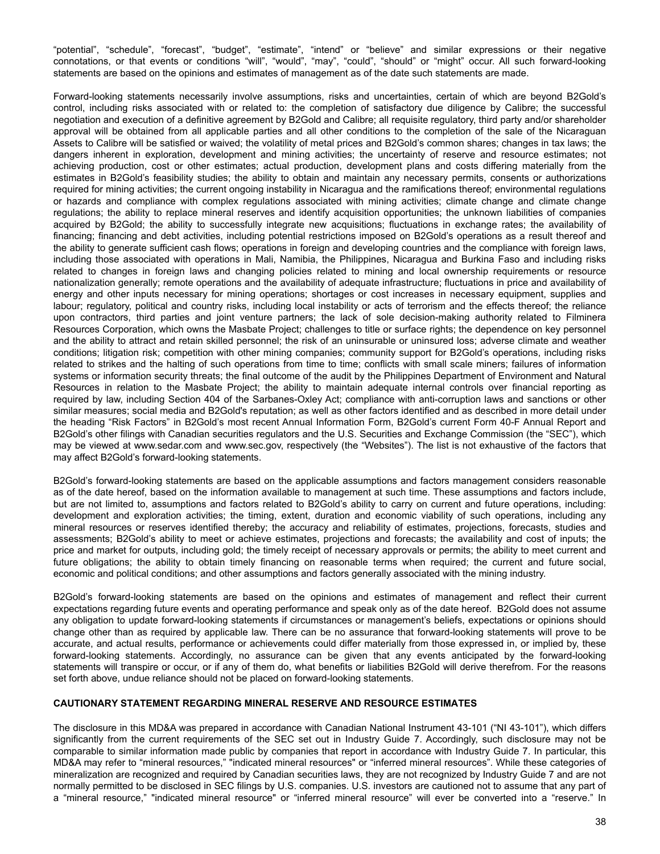"potential", "schedule", "forecast", "budget", "estimate", "intend" or "believe" and similar expressions or their negative connotations, or that events or conditions "will", "would", "may", "could", "should" or "might" occur. All such forward-looking statements are based on the opinions and estimates of management as of the date such statements are made.

Forward-looking statements necessarily involve assumptions, risks and uncertainties, certain of which are beyond B2Gold's control, including risks associated with or related to: the completion of satisfactory due diligence by Calibre; the successful negotiation and execution of a definitive agreement by B2Gold and Calibre; all requisite regulatory, third party and/or shareholder approval will be obtained from all applicable parties and all other conditions to the completion of the sale of the Nicaraguan Assets to Calibre will be satisfied or waived; the volatility of metal prices and B2Gold's common shares; changes in tax laws; the dangers inherent in exploration, development and mining activities; the uncertainty of reserve and resource estimates; not achieving production, cost or other estimates; actual production, development plans and costs differing materially from the estimates in B2Gold's feasibility studies; the ability to obtain and maintain any necessary permits, consents or authorizations required for mining activities; the current ongoing instability in Nicaragua and the ramifications thereof; environmental regulations or hazards and compliance with complex regulations associated with mining activities; climate change and climate change regulations; the ability to replace mineral reserves and identify acquisition opportunities; the unknown liabilities of companies acquired by B2Gold; the ability to successfully integrate new acquisitions; fluctuations in exchange rates; the availability of financing; financing and debt activities, including potential restrictions imposed on B2Gold's operations as a result thereof and the ability to generate sufficient cash flows; operations in foreign and developing countries and the compliance with foreign laws, including those associated with operations in Mali, Namibia, the Philippines, Nicaragua and Burkina Faso and including risks related to changes in foreign laws and changing policies related to mining and local ownership requirements or resource nationalization generally; remote operations and the availability of adequate infrastructure; fluctuations in price and availability of energy and other inputs necessary for mining operations; shortages or cost increases in necessary equipment, supplies and labour; regulatory, political and country risks, including local instability or acts of terrorism and the effects thereof; the reliance upon contractors, third parties and joint venture partners; the lack of sole decision-making authority related to Filminera Resources Corporation, which owns the Masbate Project; challenges to title or surface rights; the dependence on key personnel and the ability to attract and retain skilled personnel; the risk of an uninsurable or uninsured loss; adverse climate and weather conditions; litigation risk; competition with other mining companies; community support for B2Gold's operations, including risks related to strikes and the halting of such operations from time to time; conflicts with small scale miners; failures of information systems or information security threats; the final outcome of the audit by the Philippines Department of Environment and Natural Resources in relation to the Masbate Project; the ability to maintain adequate internal controls over financial reporting as required by law, including Section 404 of the Sarbanes-Oxley Act; compliance with anti-corruption laws and sanctions or other similar measures; social media and B2Gold's reputation; as well as other factors identified and as described in more detail under the heading "Risk Factors" in B2Gold's most recent Annual Information Form, B2Gold's current Form 40-F Annual Report and B2Gold's other filings with Canadian securities regulators and the U.S. Securities and Exchange Commission (the "SEC"), which may be viewed at www.sedar.com and www.sec.gov, respectively (the "Websites"). The list is not exhaustive of the factors that may affect B2Gold's forward-looking statements.

B2Gold's forward-looking statements are based on the applicable assumptions and factors management considers reasonable as of the date hereof, based on the information available to management at such time. These assumptions and factors include, but are not limited to, assumptions and factors related to B2Gold's ability to carry on current and future operations, including: development and exploration activities; the timing, extent, duration and economic viability of such operations, including any mineral resources or reserves identified thereby; the accuracy and reliability of estimates, projections, forecasts, studies and assessments; B2Gold's ability to meet or achieve estimates, projections and forecasts; the availability and cost of inputs; the price and market for outputs, including gold; the timely receipt of necessary approvals or permits; the ability to meet current and future obligations; the ability to obtain timely financing on reasonable terms when required; the current and future social, economic and political conditions; and other assumptions and factors generally associated with the mining industry.

B2Gold's forward-looking statements are based on the opinions and estimates of management and reflect their current expectations regarding future events and operating performance and speak only as of the date hereof. B2Gold does not assume any obligation to update forward-looking statements if circumstances or management's beliefs, expectations or opinions should change other than as required by applicable law. There can be no assurance that forward-looking statements will prove to be accurate, and actual results, performance or achievements could differ materially from those expressed in, or implied by, these forward-looking statements. Accordingly, no assurance can be given that any events anticipated by the forward-looking statements will transpire or occur, or if any of them do, what benefits or liabilities B2Gold will derive therefrom. For the reasons set forth above, undue reliance should not be placed on forward-looking statements.

### **CAUTIONARY STATEMENT REGARDING MINERAL RESERVE AND RESOURCE ESTIMATES**

The disclosure in this MD&A was prepared in accordance with Canadian National Instrument 43-101 ("NI 43-101"), which differs significantly from the current requirements of the SEC set out in Industry Guide 7. Accordingly, such disclosure may not be comparable to similar information made public by companies that report in accordance with Industry Guide 7. In particular, this MD&A may refer to "mineral resources," "indicated mineral resources" or "inferred mineral resources". While these categories of mineralization are recognized and required by Canadian securities laws, they are not recognized by Industry Guide 7 and are not normally permitted to be disclosed in SEC filings by U.S. companies. U.S. investors are cautioned not to assume that any part of a "mineral resource," "indicated mineral resource" or "inferred mineral resource" will ever be converted into a "reserve." In